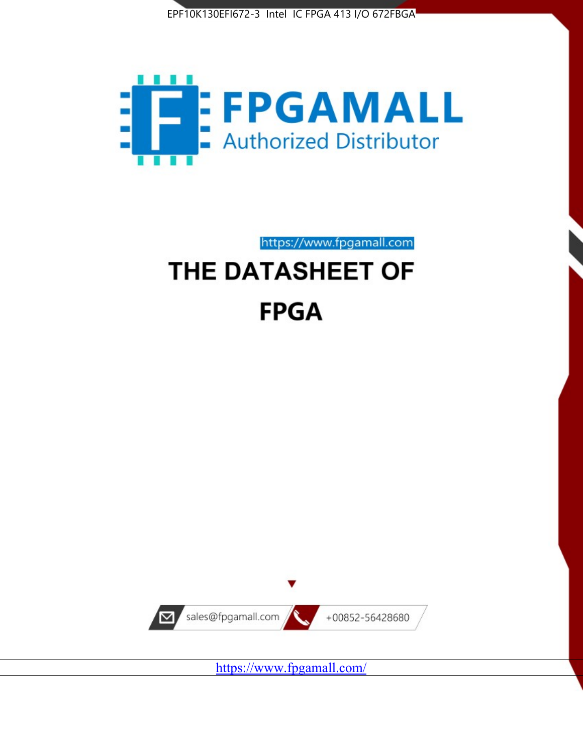



https://www.fpgamall.com

# THE DATASHEET OF **FPGA**



<https://www.fpgamall.com/>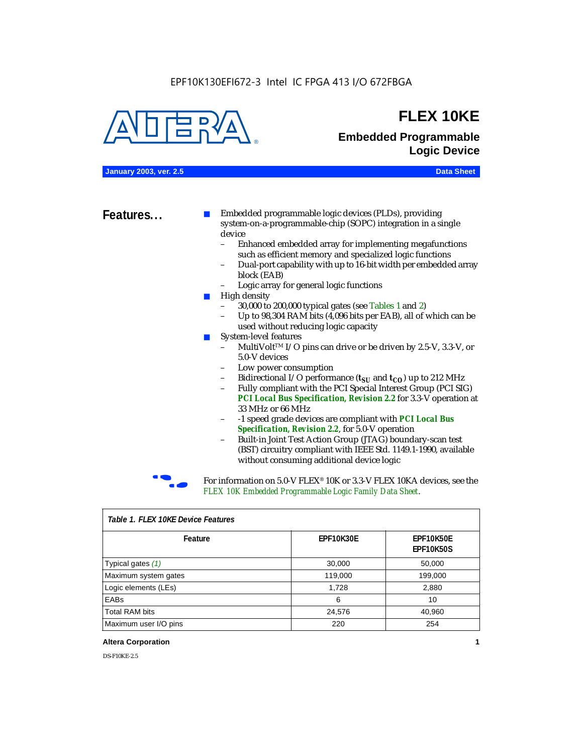#### EPF10K130EFI672-3 Intel IC FPGA 413 I/O 672FBGA



### **FLEX 10KE**

### **Embedded Programmable Logic Device**

**January 2003, ver. 2.5 Data Sheet**

**Features...** ■ Embedded programmable logic devices (PLDs), providing system-on-a-programmable-chip (SOPC) integration in a single device

- Enhanced embedded array for implementing megafunctions such as efficient memory and specialized logic functions
- Dual-port capability with up to 16-bit width per embedded array block (EAB)
- Logic array for general logic functions
- High density
	- 30,000 to 200,000 typical gates (see Tables 1 and 2)
	- Up to 98,304 RAM bits (4,096 bits per EAB), all of which can be used without reducing logic capacity
- System-level features
	- MultiVolt<sup>™</sup> I/O pins can drive or be driven by 2.5-V, 3.3-V, or 5.0-V devices
	- Low power consumption
	- Bidirectional I/O performance  $(t_{SI}$  and  $t_{CO}$ ) up to 212 MHz
	- Fully compliant with the PCI Special Interest Group (PCI SIG) *PCI Local Bus Specification, Revision 2.2* for 3.3-V operation at 33 MHz or 66 MHz
	- -1 speed grade devices are compliant with *PCI Local Bus Specification, Revision 2.2*, for 5.0-V operation
	- Built-in Joint Test Action Group (JTAG) boundary-scan test (BST) circuitry compliant with IEEE Std. 1149.1-1990, available without consuming additional device logic



For information on 5.0-V FLEX<sup>®</sup> 10K or 3.3-V FLEX 10KA devices, see the *FLEX 10K Embedded Programmable Logic Family Data Sheet*.

| Table T. FLEX TUKE Device Features |                  |                                      |  |  |
|------------------------------------|------------------|--------------------------------------|--|--|
| Feature                            | <b>EPF10K30E</b> | <b>EPF10K50E</b><br><b>EPF10K50S</b> |  |  |
| Typical gates (1)                  | 30,000           | 50,000                               |  |  |
| Maximum system gates               | 119,000          | 199,000                              |  |  |
| Logic elements (LEs)               | 1,728            | 2,880                                |  |  |
| EABs                               | 6                | 10                                   |  |  |
| <b>Total RAM bits</b>              | 24,576           | 40,960                               |  |  |
| Maximum user I/O pins              | 220              | 254                                  |  |  |

#### *Table 1. FLEX 10KE Device Features*

#### **Altera Corporation 1**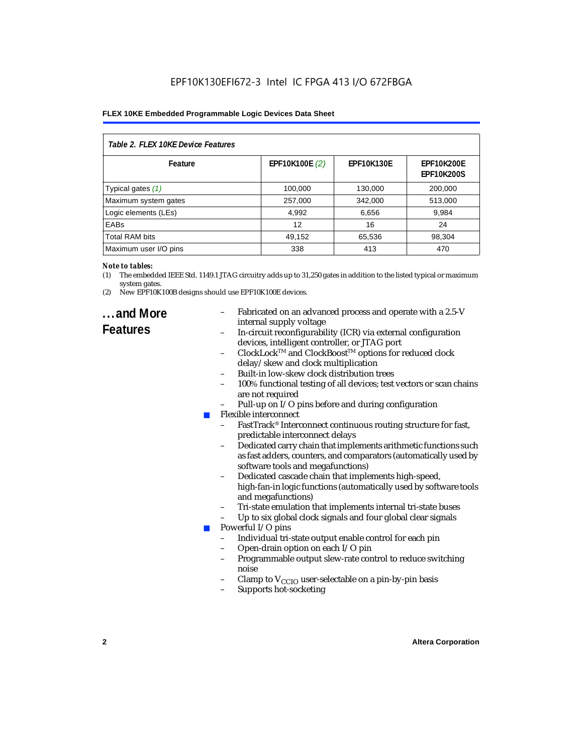| Table 2. FLEX 10KE Device Features |                |                   |                                        |  |
|------------------------------------|----------------|-------------------|----------------------------------------|--|
| Feature                            | EPF10K100E (2) | <b>EPF10K130E</b> | <b>EPF10K200E</b><br><b>EPF10K200S</b> |  |
| Typical gates (1)                  | 100,000        | 130,000           | 200,000                                |  |
| Maximum system gates               | 257,000        | 342,000           | 513,000                                |  |
| Logic elements (LEs)               | 4,992          | 6,656             | 9,984                                  |  |
| <b>EABs</b>                        | 12             | 16                | 24                                     |  |
| <b>Total RAM bits</b>              | 49,152         | 65,536            | 98,304                                 |  |
| Maximum user I/O pins              | 338            | 413               | 470                                    |  |

#### *Note to tables:*

- (1) The embedded IEEE Std. 1149.1 JTAG circuitry adds up to 31,250 gates in addition to the listed typical or maximum system gates.
- (2) New EPF10K100B designs should use EPF10K100E devices.

### **...and More Features**

- Fabricated on an advanced process and operate with a 2.5-V internal supply voltage
- In-circuit reconfigurability (ICR) via external configuration devices, intelligent controller, or JTAG port
- ClockLockTM and ClockBoostTM options for reduced clock delay/skew and clock multiplication
- Built-in low-skew clock distribution trees
- 100% functional testing of all devices; test vectors or scan chains are not required
- Pull-up on I/O pins before and during configuration
- Flexible interconnect
	- FastTrack<sup>®</sup> Interconnect continuous routing structure for fast, predictable interconnect delays
	- Dedicated carry chain that implements arithmetic functions such as fast adders, counters, and comparators (automatically used by software tools and megafunctions)
	- Dedicated cascade chain that implements high-speed, high-fan-in logic functions (automatically used by software tools and megafunctions)
	- Tri-state emulation that implements internal tri-state buses
	- Up to six global clock signals and four global clear signals
	- Powerful I/O pins
		- Individual tri-state output enable control for each pin
		- Open-drain option on each I/O pin
		- Programmable output slew-rate control to reduce switching noise
		- Clamp to  $V_{\text{CCIO}}$  user-selectable on a pin-by-pin basis
		- Supports hot-socketing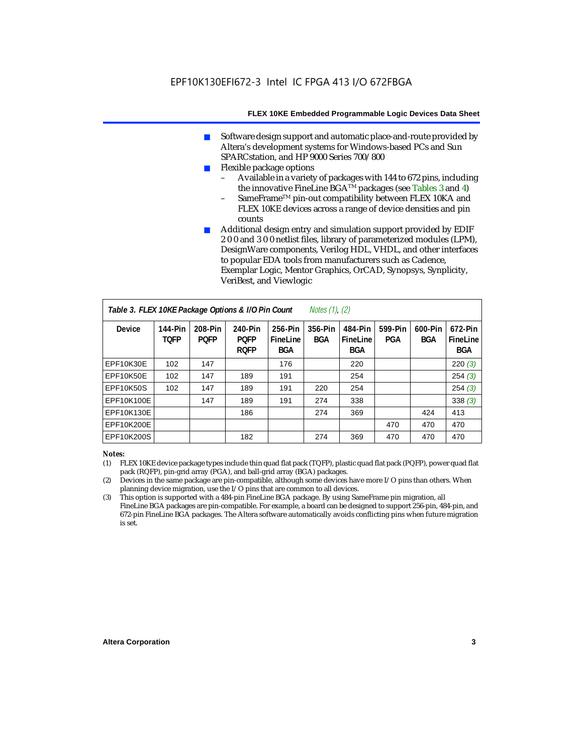- Software design support and automatic place-and-route provided by Altera's development systems for Windows-based PCs and Sun SPARCstation, and HP 9000 Series 700/800
- Flexible package options
	- Available in a variety of packages with 144 to 672 pins, including the innovative FineLine BGA<sup>TM</sup> packages (see Tables 3 and 4)
	- SameFrame™ pin-out compatibility between FLEX 10KA and FLEX 10KE devices across a range of device densities and pin counts
- Additional design entry and simulation support provided by EDIF 2 0 0 and 3 0 0 netlist files, library of parameterized modules (LPM), DesignWare components, Verilog HDL, VHDL, and other interfaces to popular EDA tools from manufacturers such as Cadence, Exemplar Logic, Mentor Graphics, OrCAD, Synopsys, Synplicity, VeriBest, and Viewlogic

| Table 3. FLEX 10KE Package Options & I/O Pin Count<br>Notes $(1)$ , $(2)$ |                        |                        |                                       |                                   |                |                            |                |                       |                            |
|---------------------------------------------------------------------------|------------------------|------------------------|---------------------------------------|-----------------------------------|----------------|----------------------------|----------------|-----------------------|----------------------------|
| <b>Device</b>                                                             | 144-Pin<br><b>TOFP</b> | 208-Pin<br><b>POFP</b> | 240-Pin<br><b>POFP</b><br><b>ROFP</b> | 256-Pin<br>FineLine<br><b>BGA</b> | 356-Pin<br>BGA | 484-Pin<br>FineLine<br>BGA | 599-Pin<br>PGA | 600-Pin<br><b>BGA</b> | 672-Pin<br>FineLine<br>BGA |
| EPF10K30E                                                                 | 102                    | 147                    |                                       | 176                               |                | 220                        |                |                       | 220(3)                     |
| <b>EPF10K50E</b>                                                          | 102                    | 147                    | 189                                   | 191                               |                | 254                        |                |                       | 254(3)                     |
| <b>EPF10K50S</b>                                                          | 102                    | 147                    | 189                                   | 191                               | 220            | 254                        |                |                       | 254(3)                     |
| EPF10K100E                                                                |                        | 147                    | 189                                   | 191                               | 274            | 338                        |                |                       | 338(3)                     |
| EPF10K130E                                                                |                        |                        | 186                                   |                                   | 274            | 369                        |                | 424                   | 413                        |
| EPF10K200E                                                                |                        |                        |                                       |                                   |                |                            | 470            | 470                   | 470                        |
| EPF10K200S                                                                |                        |                        | 182                                   |                                   | 274            | 369                        | 470            | 470                   | 470                        |

#### *Notes:*

- (1) FLEX 10KE device package types include thin quad flat pack (TQFP), plastic quad flat pack (PQFP), power quad flat pack (RQFP), pin-grid array (PGA), and ball-grid array (BGA) packages.
- (2) Devices in the same package are pin-compatible, although some devices have more I/O pins than others. When planning device migration, use the I/O pins that are common to all devices.
- (3) This option is supported with a 484-pin FineLine BGA package. By using SameFrame pin migration, all FineLine BGA packages are pin-compatible. For example, a board can be designed to support 256-pin, 484-pin, and 672-pin FineLine BGA packages. The Altera software automatically avoids conflicting pins when future migration is set.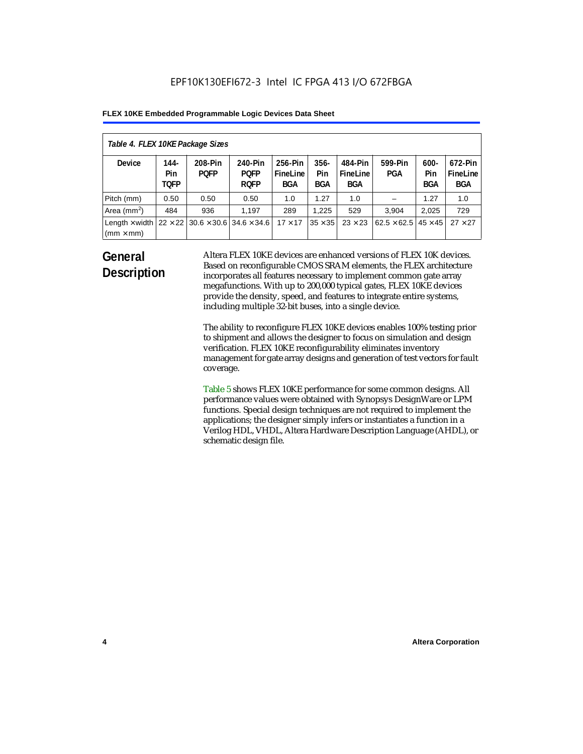| Table 4. FLEX 10KE Package Sizes          |                            |                                                      |                                       |                                   |                       |                            |                                   |                              |                                   |
|-------------------------------------------|----------------------------|------------------------------------------------------|---------------------------------------|-----------------------------------|-----------------------|----------------------------|-----------------------------------|------------------------------|-----------------------------------|
| <b>Device</b>                             | 144-<br>Pin<br><b>TOFP</b> | 208-Pin<br><b>POFP</b>                               | 240-Pin<br><b>POFP</b><br><b>ROFP</b> | 256-Pin<br>FineLine<br><b>BGA</b> | $356 -$<br>Pin<br>BGA | 484-Pin<br>FineLine<br>BGA | 599-Pin<br><b>PGA</b>             | $600 -$<br>Pin<br><b>BGA</b> | 672-Pin<br>FineLine<br><b>BGA</b> |
| Pitch (mm)                                | 0.50                       | 0.50                                                 | 0.50                                  | 1.0                               | 1.27                  | 1.0                        |                                   | 1.27                         | 1.0                               |
| Area $(mm2)$                              | 484                        | 936                                                  | 1.197                                 | 289                               | 1.225                 | 529                        | 3.904                             | 2,025                        | 729                               |
| Length $\times$ width<br>$(mm \times mm)$ |                            | $22 \times 22$ 30.6 $\times$ 30.6 34.6 $\times$ 34.6 |                                       | $17 \times 17$                    | $35 \times 35$        | $23 \times 23$             | $62.5 \times 62.5$ 45 $\times$ 45 |                              | $27 \times 27$                    |

### **General Description**

Altera FLEX 10KE devices are enhanced versions of FLEX 10K devices. Based on reconfigurable CMOS SRAM elements, the FLEX architecture incorporates all features necessary to implement common gate array megafunctions. With up to 200,000 typical gates, FLEX 10KE devices provide the density, speed, and features to integrate entire systems, including multiple 32-bit buses, into a single device.

The ability to reconfigure FLEX 10KE devices enables 100% testing prior to shipment and allows the designer to focus on simulation and design verification. FLEX 10KE reconfigurability eliminates inventory management for gate array designs and generation of test vectors for fault coverage.

Table 5 shows FLEX 10KE performance for some common designs. All performance values were obtained with Synopsys DesignWare or LPM functions. Special design techniques are not required to implement the applications; the designer simply infers or instantiates a function in a Verilog HDL, VHDL, Altera Hardware Description Language (AHDL), or schematic design file.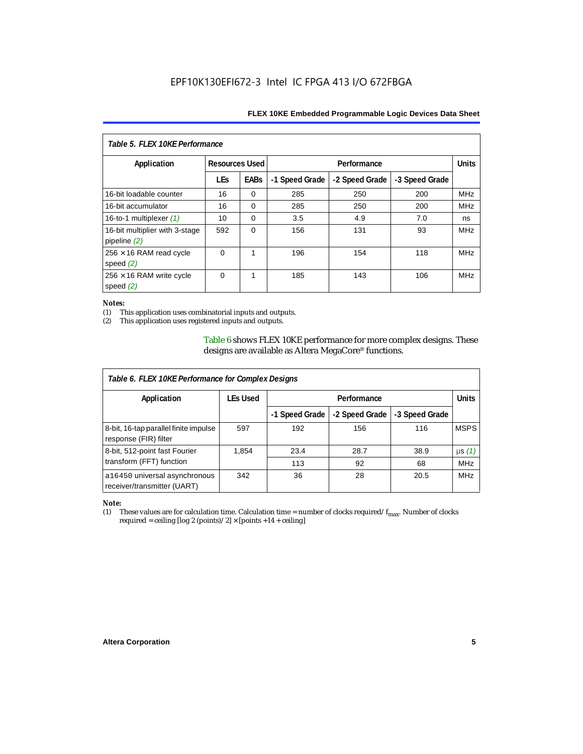| Table 5. FLEX 10KE Performance                   |            |                                      |                |                |                |              |
|--------------------------------------------------|------------|--------------------------------------|----------------|----------------|----------------|--------------|
| Application                                      |            | <b>Resources Used</b><br>Performance |                |                |                | <b>Units</b> |
|                                                  | <b>LEs</b> | <b>EABs</b>                          | -1 Speed Grade | -2 Speed Grade | -3 Speed Grade |              |
| 16-bit loadable counter                          | 16         | $\Omega$                             | 285            | 250            | 200            | <b>MHz</b>   |
| 16-bit accumulator                               | 16         | $\Omega$                             | 285            | 250            | 200            | <b>MHz</b>   |
| 16-to-1 multiplexer $(1)$                        | 10         | $\Omega$                             | 3.5            | 4.9            | 7.0            | ns           |
| 16-bit multiplier with 3-stage<br>pipeline $(2)$ | 592        | $\Omega$                             | 156            | 131            | 93             | <b>MHz</b>   |
| $256 \times 16$ RAM read cycle<br>speed $(2)$    | $\Omega$   | 1                                    | 196            | 154            | 118            | <b>MHz</b>   |
| $256 \times 16$ RAM write cycle<br>speed $(2)$   | $\Omega$   | 1                                    | 185            | 143            | 106            | <b>MHz</b>   |

#### *Notes:*

(1) This application uses combinatorial inputs and outputs.

This application uses registered inputs and outputs.

Table 6 shows FLEX 10KE performance for more complex designs. These designs are available as Altera MegaCore® functions.

| Table 6. FLEX 10KE Performance for Complex Designs             |                 |                |                |                |              |
|----------------------------------------------------------------|-----------------|----------------|----------------|----------------|--------------|
| Application                                                    | <b>LEs Used</b> | Performance    |                |                | <b>Units</b> |
|                                                                |                 | -1 Speed Grade | -2 Speed Grade | -3 Speed Grade |              |
| 8-bit, 16-tap parallel finite impulse<br>response (FIR) filter | 597             | 192            | 156            | 116            | <b>MSPS</b>  |
| 8-bit, 512-point fast Fourier                                  | 1,854           | 23.4           | 28.7           | 38.9           | $\mu s(1)$   |
| transform (FFT) function                                       |                 | 113            | 92             | 68             | <b>MHz</b>   |
| a16450 universal asynchronous<br>receiver/transmitter (UART)   | 342             | 36             | 28             | 20.5           | <b>MHz</b>   |

## *Note:*<br>(1) 1

These values are for calculation time. Calculation time = number of clocks required/ $f_{max}$ . Number of clocks required = ceiling [log 2 (points)/2]  $\times$  [points +14 + ceiling]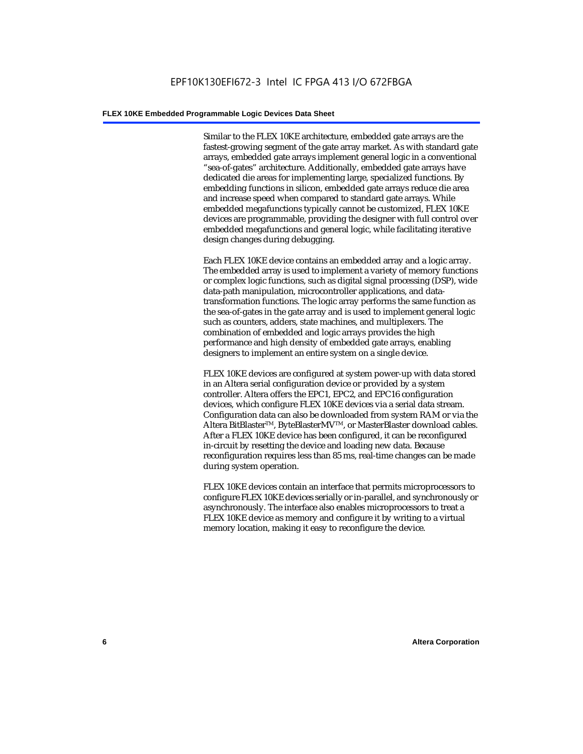Similar to the FLEX 10KE architecture, embedded gate arrays are the fastest-growing segment of the gate array market. As with standard gate arrays, embedded gate arrays implement general logic in a conventional "sea-of-gates" architecture. Additionally, embedded gate arrays have dedicated die areas for implementing large, specialized functions. By embedding functions in silicon, embedded gate arrays reduce die area and increase speed when compared to standard gate arrays. While embedded megafunctions typically cannot be customized, FLEX 10KE devices are programmable, providing the designer with full control over embedded megafunctions and general logic, while facilitating iterative design changes during debugging.

Each FLEX 10KE device contains an embedded array and a logic array. The embedded array is used to implement a variety of memory functions or complex logic functions, such as digital signal processing (DSP), wide data-path manipulation, microcontroller applications, and datatransformation functions. The logic array performs the same function as the sea-of-gates in the gate array and is used to implement general logic such as counters, adders, state machines, and multiplexers. The combination of embedded and logic arrays provides the high performance and high density of embedded gate arrays, enabling designers to implement an entire system on a single device.

FLEX 10KE devices are configured at system power-up with data stored in an Altera serial configuration device or provided by a system controller. Altera offers the EPC1, EPC2, and EPC16 configuration devices, which configure FLEX 10KE devices via a serial data stream. Configuration data can also be downloaded from system RAM or via the Altera BitBlaster™, ByteBlasterMV™, or MasterBlaster download cables. After a FLEX 10KE device has been configured, it can be reconfigured in-circuit by resetting the device and loading new data. Because reconfiguration requires less than 85 ms, real-time changes can be made during system operation.

FLEX 10KE devices contain an interface that permits microprocessors to configure FLEX 10KE devices serially or in-parallel, and synchronously or asynchronously. The interface also enables microprocessors to treat a FLEX 10KE device as memory and configure it by writing to a virtual memory location, making it easy to reconfigure the device.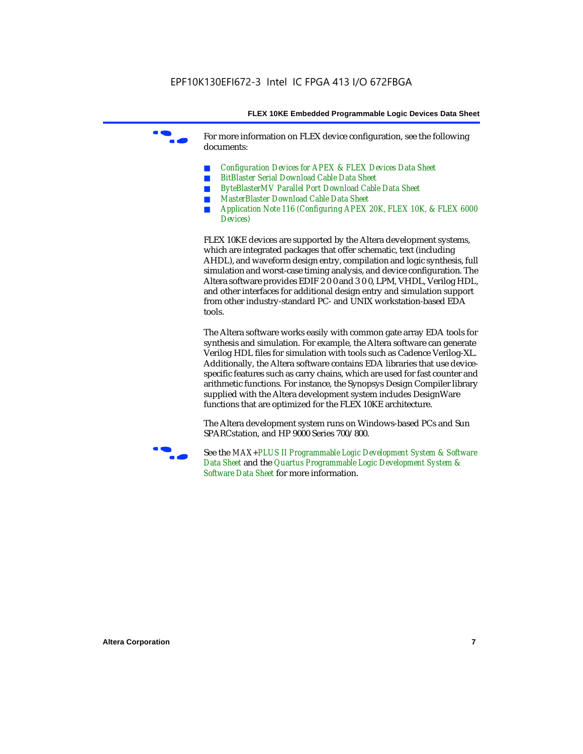For more information on FLEX device configuration, see the following documents:

- *Configuration Devices for APEX & FLEX Devices Data Sheet*
- *BitBlaster Serial Download Cable Data Sheet*
- *ByteBlasterMV Parallel Port Download Cable Data Sheet*
- *MasterBlaster Download Cable Data Sheet*
- *Application Note 116 (Configuring APEX 20K, FLEX 10K, & FLEX 6000 Devices)*

FLEX 10KE devices are supported by the Altera development systems, which are integrated packages that offer schematic, text (including AHDL), and waveform design entry, compilation and logic synthesis, full simulation and worst-case timing analysis, and device configuration. The Altera software provides EDIF 2 0 0 and 3 0 0, LPM, VHDL, Verilog HDL, and other interfaces for additional design entry and simulation support from other industry-standard PC- and UNIX workstation-based EDA tools.

The Altera software works easily with common gate array EDA tools for synthesis and simulation. For example, the Altera software can generate Verilog HDL files for simulation with tools such as Cadence Verilog-XL. Additionally, the Altera software contains EDA libraries that use devicespecific features such as carry chains, which are used for fast counter and arithmetic functions. For instance, the Synopsys Design Compiler library supplied with the Altera development system includes DesignWare functions that are optimized for the FLEX 10KE architecture.

The Altera development system runs on Windows-based PCs and Sun SPARCstation, and HP 9000 Series 700/800.



See the *MAX+PLUS II Programmable Logic Development System & Software Data Sheet* and the *Quartus Programmable Logic Development System & Software Data Sheet* for more information.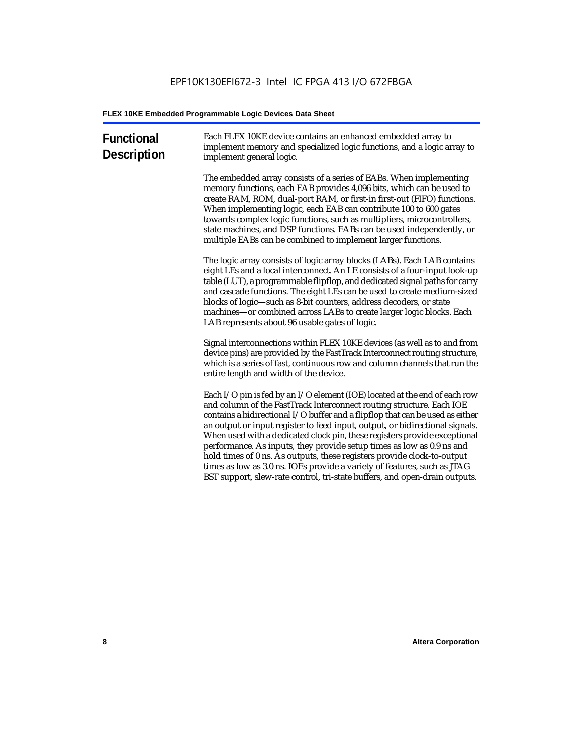| <b>Functional</b><br><b>Description</b> | Each FLEX 10KE device contains an enhanced embedded array to<br>implement memory and specialized logic functions, and a logic array to<br>implement general logic.                                                                                                                                                                                                                                                                                                                                                                                                                                                                                                                                             |
|-----------------------------------------|----------------------------------------------------------------------------------------------------------------------------------------------------------------------------------------------------------------------------------------------------------------------------------------------------------------------------------------------------------------------------------------------------------------------------------------------------------------------------------------------------------------------------------------------------------------------------------------------------------------------------------------------------------------------------------------------------------------|
|                                         | The embedded array consists of a series of EABs. When implementing<br>memory functions, each EAB provides 4,096 bits, which can be used to<br>create RAM, ROM, dual-port RAM, or first-in first-out (FIFO) functions.<br>When implementing logic, each EAB can contribute 100 to 600 gates<br>towards complex logic functions, such as multipliers, microcontrollers,<br>state machines, and DSP functions. EABs can be used independently, or<br>multiple EABs can be combined to implement larger functions.                                                                                                                                                                                                 |
|                                         | The logic array consists of logic array blocks (LABs). Each LAB contains<br>eight LEs and a local interconnect. An LE consists of a four-input look-up<br>table (LUT), a programmable flipflop, and dedicated signal paths for carry<br>and cascade functions. The eight LEs can be used to create medium-sized<br>blocks of logic-such as 8-bit counters, address decoders, or state<br>machines-or combined across LABs to create larger logic blocks. Each<br>LAB represents about 96 usable gates of logic.                                                                                                                                                                                                |
|                                         | Signal interconnections within FLEX 10KE devices (as well as to and from<br>device pins) are provided by the FastTrack Interconnect routing structure,<br>which is a series of fast, continuous row and column channels that run the<br>entire length and width of the device.                                                                                                                                                                                                                                                                                                                                                                                                                                 |
|                                         | Each I/O pin is fed by an I/O element (IOE) located at the end of each row<br>and column of the FastTrack Interconnect routing structure. Each IOE<br>contains a bidirectional I/O buffer and a flipflop that can be used as either<br>an output or input register to feed input, output, or bidirectional signals.<br>When used with a dedicated clock pin, these registers provide exceptional<br>performance. As inputs, they provide setup times as low as 0.9 ns and<br>hold times of 0 ns. As outputs, these registers provide clock-to-output<br>times as low as 3.0 ns. IOEs provide a variety of features, such as JTAG<br>BST support, slew-rate control, tri-state buffers, and open-drain outputs. |
|                                         |                                                                                                                                                                                                                                                                                                                                                                                                                                                                                                                                                                                                                                                                                                                |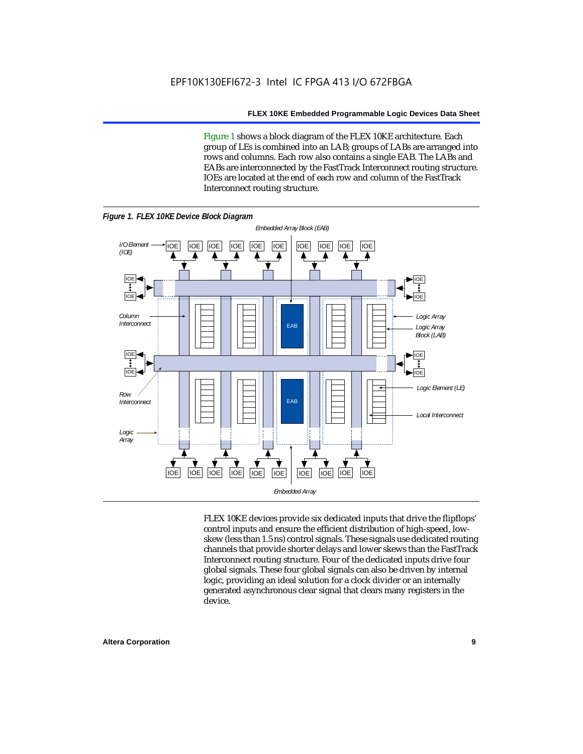Figure 1 shows a block diagram of the FLEX 10KE architecture. Each group of LEs is combined into an LAB; groups of LABs are arranged into rows and columns. Each row also contains a single EAB. The LABs and EABs are interconnected by the FastTrack Interconnect routing structure. IOEs are located at the end of each row and column of the FastTrack Interconnect routing structure.



FLEX 10KE devices provide six dedicated inputs that drive the flipflops' control inputs and ensure the efficient distribution of high-speed, lowskew (less than 1.5 ns) control signals. These signals use dedicated routing channels that provide shorter delays and lower skews than the FastTrack Interconnect routing structure. Four of the dedicated inputs drive four global signals. These four global signals can also be driven by internal logic, providing an ideal solution for a clock divider or an internally generated asynchronous clear signal that clears many registers in the device.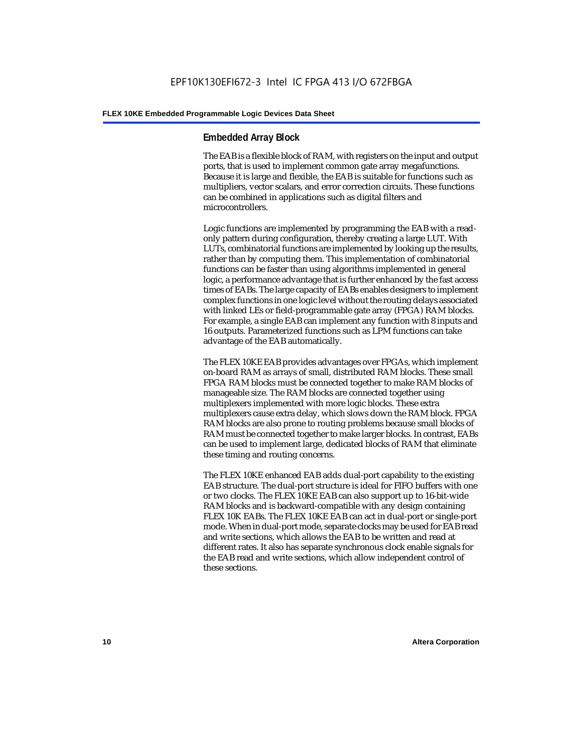#### **Embedded Array Block**

The EAB is a flexible block of RAM, with registers on the input and output ports, that is used to implement common gate array megafunctions. Because it is large and flexible, the EAB is suitable for functions such as multipliers, vector scalars, and error correction circuits. These functions can be combined in applications such as digital filters and microcontrollers.

Logic functions are implemented by programming the EAB with a readonly pattern during configuration, thereby creating a large LUT. With LUTs, combinatorial functions are implemented by looking up the results, rather than by computing them. This implementation of combinatorial functions can be faster than using algorithms implemented in general logic, a performance advantage that is further enhanced by the fast access times of EABs. The large capacity of EABs enables designers to implement complex functions in one logic level without the routing delays associated with linked LEs or field-programmable gate array (FPGA) RAM blocks. For example, a single EAB can implement any function with 8 inputs and 16 outputs. Parameterized functions such as LPM functions can take advantage of the EAB automatically.

The FLEX 10KE EAB provides advantages over FPGAs, which implement on-board RAM as arrays of small, distributed RAM blocks. These small FPGA RAM blocks must be connected together to make RAM blocks of manageable size. The RAM blocks are connected together using multiplexers implemented with more logic blocks. These extra multiplexers cause extra delay, which slows down the RAM block. FPGA RAM blocks are also prone to routing problems because small blocks of RAM must be connected together to make larger blocks. In contrast, EABs can be used to implement large, dedicated blocks of RAM that eliminate these timing and routing concerns.

The FLEX 10KE enhanced EAB adds dual-port capability to the existing EAB structure. The dual-port structure is ideal for FIFO buffers with one or two clocks. The FLEX 10KE EAB can also support up to 16-bit-wide RAM blocks and is backward-compatible with any design containing FLEX 10K EABs. The FLEX 10KE EAB can act in dual-port or single-port mode. When in dual-port mode, separate clocks may be used for EAB read and write sections, which allows the EAB to be written and read at different rates. It also has separate synchronous clock enable signals for the EAB read and write sections, which allow independent control of these sections.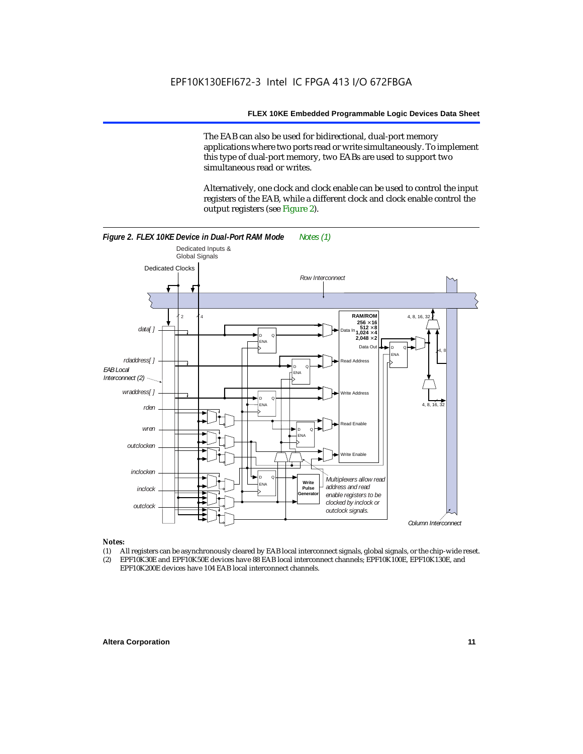The EAB can also be used for bidirectional, dual-port memory applications where two ports read or write simultaneously. To implement this type of dual-port memory, two EABs are used to support two simultaneous read or writes.

Alternatively, one clock and clock enable can be used to control the input registers of the EAB, while a different clock and clock enable control the output registers (see Figure 2).



#### *Notes:*

- (1) All registers can be asynchronously cleared by EAB local interconnect signals, global signals, or the chip-wide reset.
- (2) EPF10K30E and EPF10K50E devices have 88 EAB local interconnect channels; EPF10K100E, EPF10K130E, and EPF10K200E devices have 104 EAB local interconnect channels.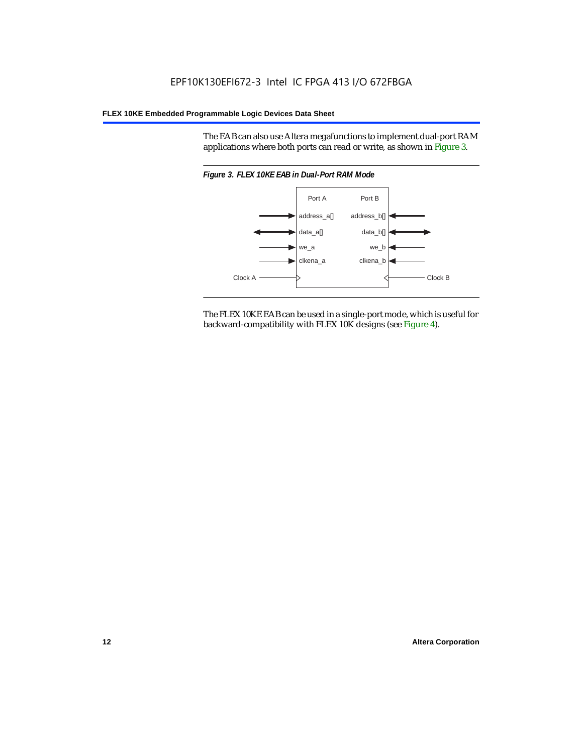The EAB can also use Altera megafunctions to implement dual-port RAM applications where both ports can read or write, as shown in Figure 3.



The FLEX 10KE EAB can be used in a single-port mode, which is useful for backward-compatibility with FLEX 10K designs (see Figure 4).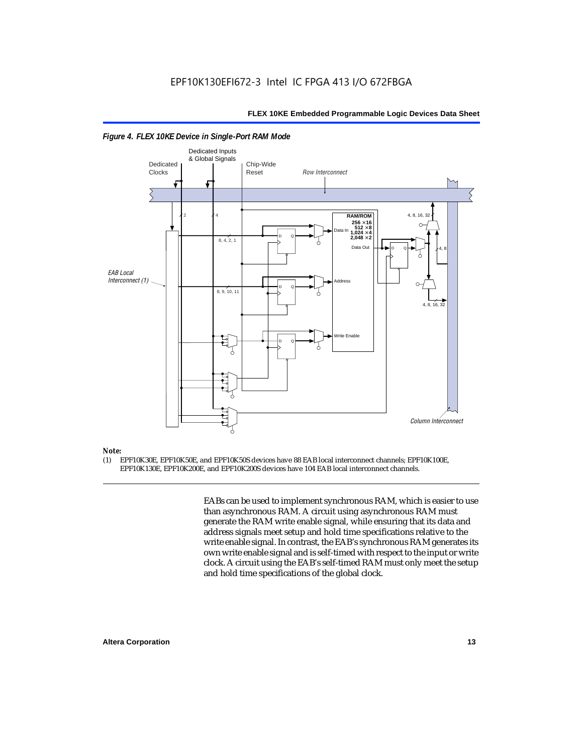

#### *Figure 4. FLEX 10KE Device in Single-Port RAM Mode*

### *Note:*<br>(1) **F**

(1) EPF10K30E, EPF10K50E, and EPF10K50S devices have 88 EAB local interconnect channels; EPF10K100E, EPF10K130E, EPF10K200E, and EPF10K200S devices have 104 EAB local interconnect channels.

> EABs can be used to implement synchronous RAM, which is easier to use than asynchronous RAM. A circuit using asynchronous RAM must generate the RAM write enable signal, while ensuring that its data and address signals meet setup and hold time specifications relative to the write enable signal. In contrast, the EAB's synchronous RAM generates its own write enable signal and is self-timed with respect to the input or write clock. A circuit using the EAB's self-timed RAM must only meet the setup and hold time specifications of the global clock.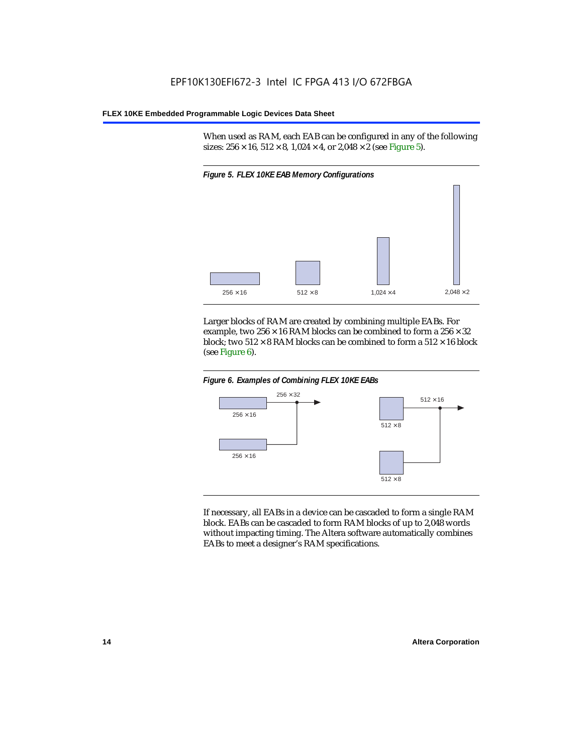When used as RAM, each EAB can be configured in any of the following sizes:  $256 \times 16$ ,  $512 \times 8$ ,  $1,024 \times 4$ , or  $2,048 \times 2$  (see Figure 5).



Larger blocks of RAM are created by combining multiple EABs. For example, two  $256 \times 16$  RAM blocks can be combined to form a  $256 \times 32$ block; two  $512 \times 8$  RAM blocks can be combined to form a  $512 \times 16$  block (see Figure 6).





If necessary, all EABs in a device can be cascaded to form a single RAM block. EABs can be cascaded to form RAM blocks of up to 2,048 words without impacting timing. The Altera software automatically combines EABs to meet a designer's RAM specifications.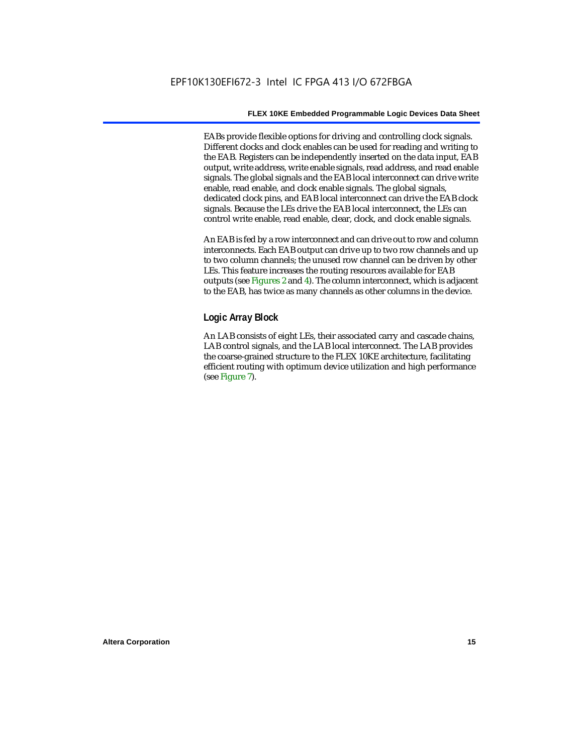EABs provide flexible options for driving and controlling clock signals. Different clocks and clock enables can be used for reading and writing to the EAB. Registers can be independently inserted on the data input, EAB output, write address, write enable signals, read address, and read enable signals. The global signals and the EAB local interconnect can drive write enable, read enable, and clock enable signals. The global signals, dedicated clock pins, and EAB local interconnect can drive the EAB clock signals. Because the LEs drive the EAB local interconnect, the LEs can control write enable, read enable, clear, clock, and clock enable signals.

An EAB is fed by a row interconnect and can drive out to row and column interconnects. Each EAB output can drive up to two row channels and up to two column channels; the unused row channel can be driven by other LEs. This feature increases the routing resources available for EAB outputs (see Figures 2 and 4). The column interconnect, which is adjacent to the EAB, has twice as many channels as other columns in the device.

#### **Logic Array Block**

An LAB consists of eight LEs, their associated carry and cascade chains, LAB control signals, and the LAB local interconnect. The LAB provides the coarse-grained structure to the FLEX 10KE architecture, facilitating efficient routing with optimum device utilization and high performance (see Figure 7).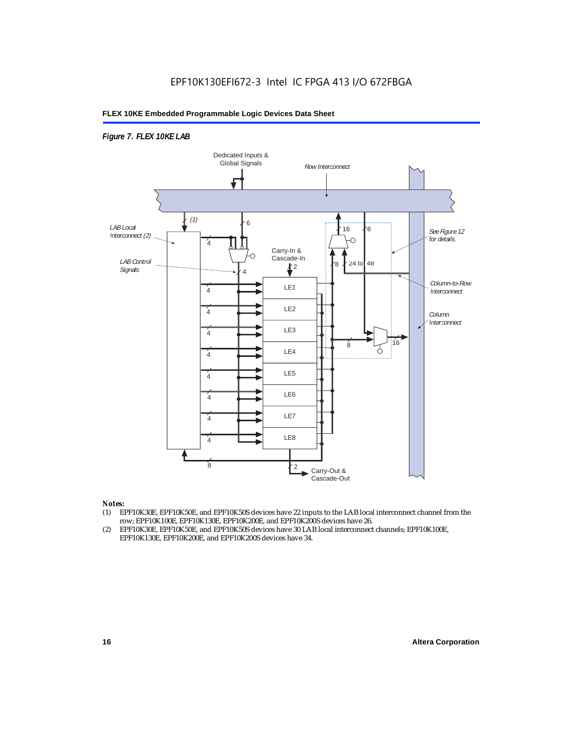#### *Figure 7. FLEX 10KE LAB*



#### *Notes:*

- (1) EPF10K30E, EPF10K50E, and EPF10K50S devices have 22 inputs to the LAB local interconnect channel from the row; EPF10K100E, EPF10K130E, EPF10K200E, and EPF10K200S devices have 26.
- (2) EPF10K30E, EPF10K50E, and EPF10K50S devices have 30 LAB local interconnect channels; EPF10K100E, EPF10K130E, EPF10K200E, and EPF10K200S devices have 34.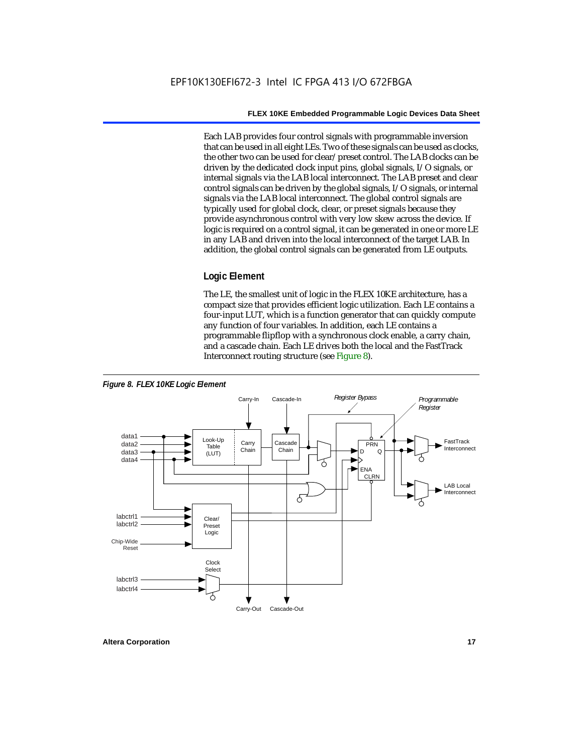Each LAB provides four control signals with programmable inversion that can be used in all eight LEs. Two of these signals can be used as clocks, the other two can be used for clear/preset control. The LAB clocks can be driven by the dedicated clock input pins, global signals, I/O signals, or internal signals via the LAB local interconnect. The LAB preset and clear control signals can be driven by the global signals, I/O signals, or internal signals via the LAB local interconnect. The global control signals are typically used for global clock, clear, or preset signals because they provide asynchronous control with very low skew across the device. If logic is required on a control signal, it can be generated in one or more LE in any LAB and driven into the local interconnect of the target LAB. In addition, the global control signals can be generated from LE outputs.

#### **Logic Element**

The LE, the smallest unit of logic in the FLEX 10KE architecture, has a compact size that provides efficient logic utilization. Each LE contains a four-input LUT, which is a function generator that can quickly compute any function of four variables. In addition, each LE contains a programmable flipflop with a synchronous clock enable, a carry chain, and a cascade chain. Each LE drives both the local and the FastTrack Interconnect routing structure (see Figure 8).



**Altera Corporation 17**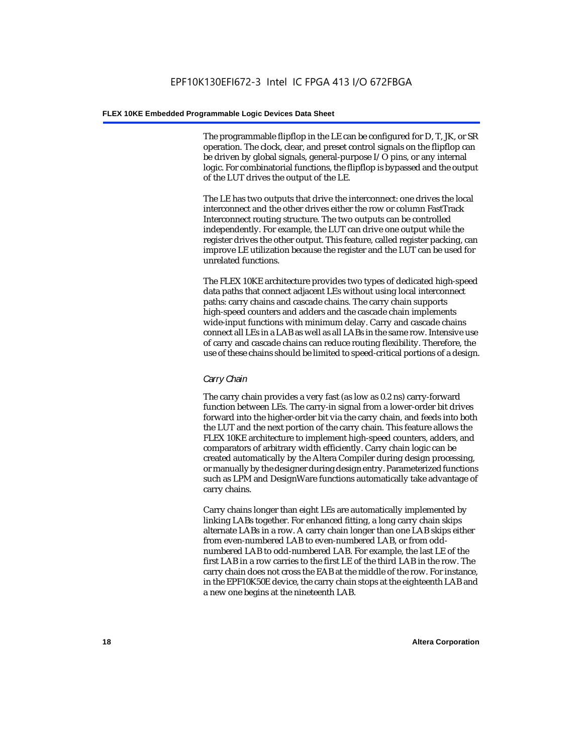The programmable flipflop in the LE can be configured for D, T, JK, or SR operation. The clock, clear, and preset control signals on the flipflop can be driven by global signals, general-purpose I/O pins, or any internal logic. For combinatorial functions, the flipflop is bypassed and the output of the LUT drives the output of the LE.

The LE has two outputs that drive the interconnect: one drives the local interconnect and the other drives either the row or column FastTrack Interconnect routing structure. The two outputs can be controlled independently. For example, the LUT can drive one output while the register drives the other output. This feature, called register packing, can improve LE utilization because the register and the LUT can be used for unrelated functions.

The FLEX 10KE architecture provides two types of dedicated high-speed data paths that connect adjacent LEs without using local interconnect paths: carry chains and cascade chains. The carry chain supports high-speed counters and adders and the cascade chain implements wide-input functions with minimum delay. Carry and cascade chains connect all LEs in a LAB as well as all LABs in the same row. Intensive use of carry and cascade chains can reduce routing flexibility. Therefore, the use of these chains should be limited to speed-critical portions of a design.

#### *Carry Chain*

The carry chain provides a very fast (as low as 0.2 ns) carry-forward function between LEs. The carry-in signal from a lower-order bit drives forward into the higher-order bit via the carry chain, and feeds into both the LUT and the next portion of the carry chain. This feature allows the FLEX 10KE architecture to implement high-speed counters, adders, and comparators of arbitrary width efficiently. Carry chain logic can be created automatically by the Altera Compiler during design processing, or manually by the designer during design entry. Parameterized functions such as LPM and DesignWare functions automatically take advantage of carry chains.

Carry chains longer than eight LEs are automatically implemented by linking LABs together. For enhanced fitting, a long carry chain skips alternate LABs in a row. A carry chain longer than one LAB skips either from even-numbered LAB to even-numbered LAB, or from oddnumbered LAB to odd-numbered LAB. For example, the last LE of the first LAB in a row carries to the first LE of the third LAB in the row. The carry chain does not cross the EAB at the middle of the row. For instance, in the EPF10K50E device, the carry chain stops at the eighteenth LAB and a new one begins at the nineteenth LAB.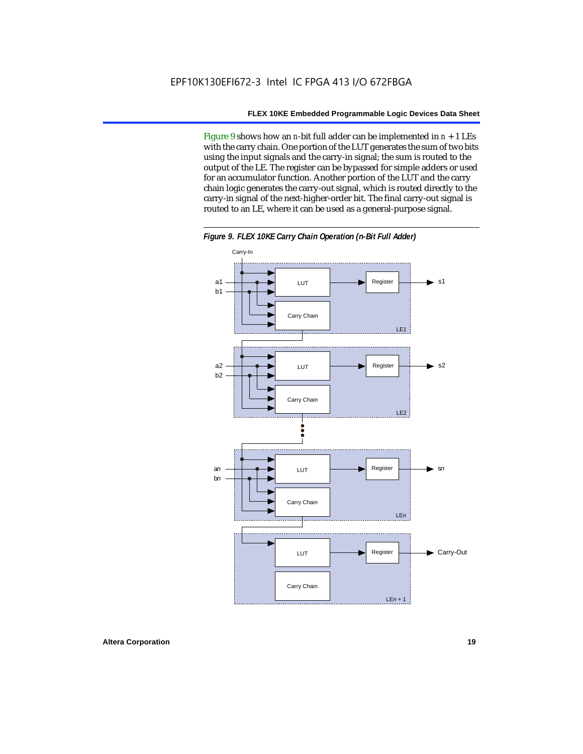Figure 9 shows how an *n*-bit full adder can be implemented in  $n + 1$  LEs with the carry chain. One portion of the LUT generates the sum of two bits using the input signals and the carry-in signal; the sum is routed to the output of the LE. The register can be bypassed for simple adders or used for an accumulator function. Another portion of the LUT and the carry chain logic generates the carry-out signal, which is routed directly to the carry-in signal of the next-higher-order bit. The final carry-out signal is routed to an LE, where it can be used as a general-purpose signal.



*Figure 9. FLEX 10KE Carry Chain Operation (n-Bit Full Adder)*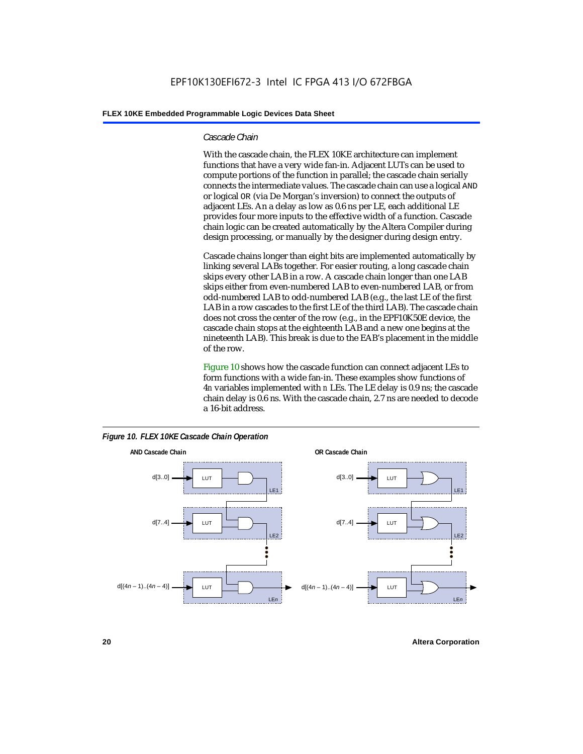#### *Cascade Chain*

With the cascade chain, the FLEX 10KE architecture can implement functions that have a very wide fan-in. Adjacent LUTs can be used to compute portions of the function in parallel; the cascade chain serially connects the intermediate values. The cascade chain can use a logical AND or logical OR (via De Morgan's inversion) to connect the outputs of adjacent LEs. An a delay as low as 0.6 ns per LE, each additional LE provides four more inputs to the effective width of a function. Cascade chain logic can be created automatically by the Altera Compiler during design processing, or manually by the designer during design entry.

Cascade chains longer than eight bits are implemented automatically by linking several LABs together. For easier routing, a long cascade chain skips every other LAB in a row. A cascade chain longer than one LAB skips either from even-numbered LAB to even-numbered LAB, or from odd-numbered LAB to odd-numbered LAB (e.g., the last LE of the first LAB in a row cascades to the first LE of the third LAB). The cascade chain does not cross the center of the row (e.g., in the EPF10K50E device, the cascade chain stops at the eighteenth LAB and a new one begins at the nineteenth LAB). This break is due to the EAB's placement in the middle of the row.

Figure 10 shows how the cascade function can connect adjacent LEs to form functions with a wide fan-in. These examples show functions of 4*n* variables implemented with *n* LEs. The LE delay is 0.9 ns; the cascade chain delay is 0.6 ns. With the cascade chain, 2.7 ns are needed to decode a 16-bit address.



*Figure 10. FLEX 10KE Cascade Chain Operation*

**20 Altera Corporation**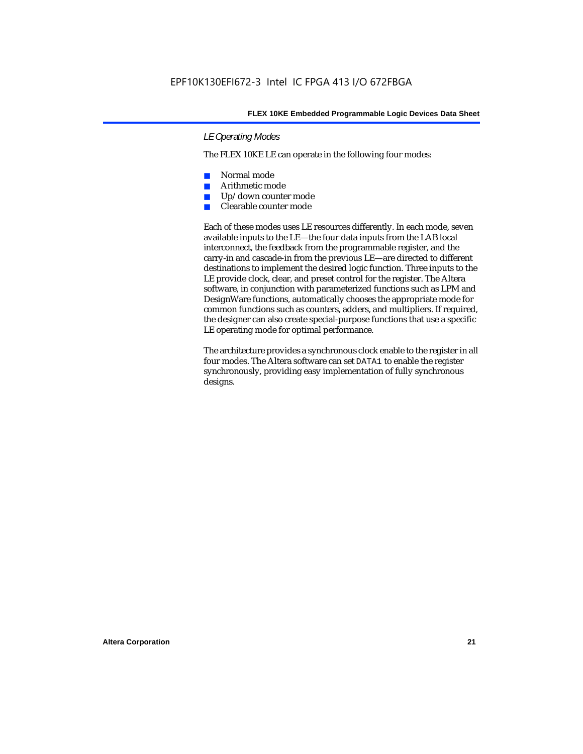#### *LE Operating Modes*

The FLEX 10KE LE can operate in the following four modes:

- Normal mode
- Arithmetic mode
- Up/down counter mode
- Clearable counter mode

Each of these modes uses LE resources differently. In each mode, seven available inputs to the LE—the four data inputs from the LAB local interconnect, the feedback from the programmable register, and the carry-in and cascade-in from the previous LE—are directed to different destinations to implement the desired logic function. Three inputs to the LE provide clock, clear, and preset control for the register. The Altera software, in conjunction with parameterized functions such as LPM and DesignWare functions, automatically chooses the appropriate mode for common functions such as counters, adders, and multipliers. If required, the designer can also create special-purpose functions that use a specific LE operating mode for optimal performance.

The architecture provides a synchronous clock enable to the register in all four modes. The Altera software can set DATA1 to enable the register synchronously, providing easy implementation of fully synchronous designs.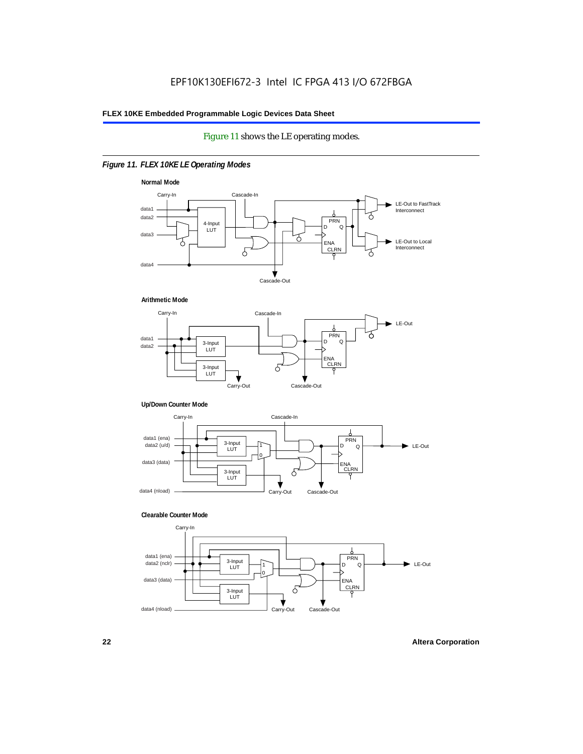#### Figure 11 shows the LE operating modes.

#### *Figure 11. FLEX 10KE LE Operating Modes*









#### **Clearable Counter Mode**

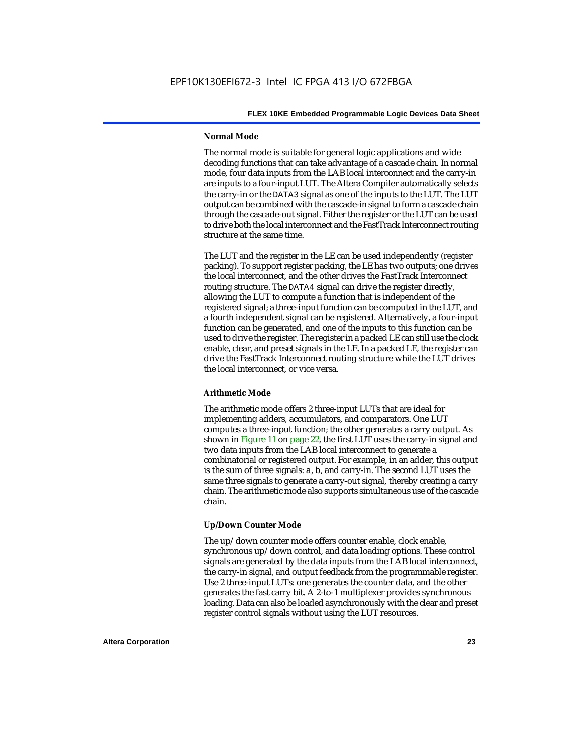#### **Normal Mode**

The normal mode is suitable for general logic applications and wide decoding functions that can take advantage of a cascade chain. In normal mode, four data inputs from the LAB local interconnect and the carry-in are inputs to a four-input LUT. The Altera Compiler automatically selects the carry-in or the DATA3 signal as one of the inputs to the LUT. The LUT output can be combined with the cascade-in signal to form a cascade chain through the cascade-out signal. Either the register or the LUT can be used to drive both the local interconnect and the FastTrack Interconnect routing structure at the same time.

The LUT and the register in the LE can be used independently (register packing). To support register packing, the LE has two outputs; one drives the local interconnect, and the other drives the FastTrack Interconnect routing structure. The DATA4 signal can drive the register directly, allowing the LUT to compute a function that is independent of the registered signal; a three-input function can be computed in the LUT, and a fourth independent signal can be registered. Alternatively, a four-input function can be generated, and one of the inputs to this function can be used to drive the register. The register in a packed LE can still use the clock enable, clear, and preset signals in the LE. In a packed LE, the register can drive the FastTrack Interconnect routing structure while the LUT drives the local interconnect, or vice versa.

#### **Arithmetic Mode**

The arithmetic mode offers 2 three-input LUTs that are ideal for implementing adders, accumulators, and comparators. One LUT computes a three-input function; the other generates a carry output. As shown in Figure 11 on page 22, the first LUT uses the carry-in signal and two data inputs from the LAB local interconnect to generate a combinatorial or registered output. For example, in an adder, this output is the sum of three signals: a, b, and carry-in. The second LUT uses the same three signals to generate a carry-out signal, thereby creating a carry chain. The arithmetic mode also supports simultaneous use of the cascade chain.

#### **Up/Down Counter Mode**

The up/down counter mode offers counter enable, clock enable, synchronous up/down control, and data loading options. These control signals are generated by the data inputs from the LAB local interconnect, the carry-in signal, and output feedback from the programmable register. Use 2 three-input LUTs: one generates the counter data, and the other generates the fast carry bit. A 2-to-1 multiplexer provides synchronous loading. Data can also be loaded asynchronously with the clear and preset register control signals without using the LUT resources.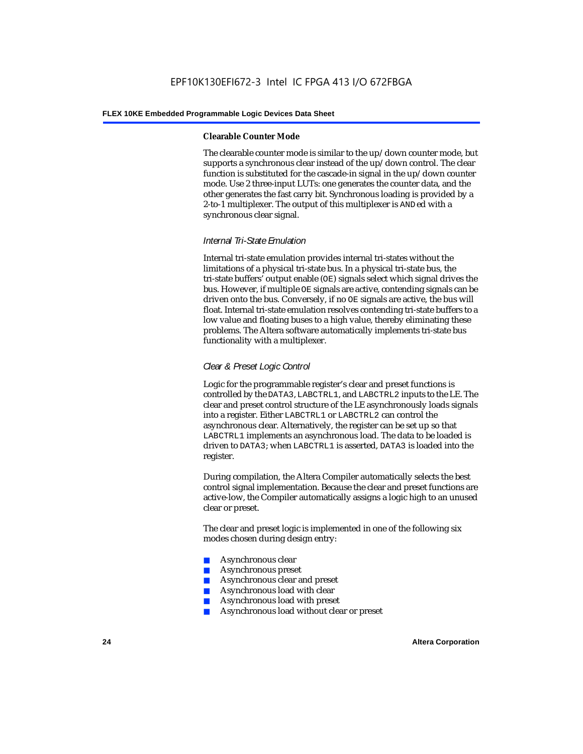#### **Clearable Counter Mode**

The clearable counter mode is similar to the up/down counter mode, but supports a synchronous clear instead of the up/down control. The clear function is substituted for the cascade-in signal in the up/down counter mode. Use 2 three-input LUTs: one generates the counter data, and the other generates the fast carry bit. Synchronous loading is provided by a 2-to-1 multiplexer. The output of this multiplexer is ANDed with a synchronous clear signal.

#### *Internal Tri-State Emulation*

Internal tri-state emulation provides internal tri-states without the limitations of a physical tri-state bus. In a physical tri-state bus, the tri-state buffers' output enable (OE) signals select which signal drives the bus. However, if multiple OE signals are active, contending signals can be driven onto the bus. Conversely, if no OE signals are active, the bus will float. Internal tri-state emulation resolves contending tri-state buffers to a low value and floating buses to a high value, thereby eliminating these problems. The Altera software automatically implements tri-state bus functionality with a multiplexer.

#### *Clear & Preset Logic Control*

Logic for the programmable register's clear and preset functions is controlled by the DATA3, LABCTRL1, and LABCTRL2 inputs to the LE. The clear and preset control structure of the LE asynchronously loads signals into a register. Either LABCTRL1 or LABCTRL2 can control the asynchronous clear. Alternatively, the register can be set up so that LABCTRL1 implements an asynchronous load. The data to be loaded is driven to DATA3; when LABCTRL1 is asserted, DATA3 is loaded into the register.

During compilation, the Altera Compiler automatically selects the best control signal implementation. Because the clear and preset functions are active-low, the Compiler automatically assigns a logic high to an unused clear or preset.

The clear and preset logic is implemented in one of the following six modes chosen during design entry:

- Asynchronous clear
- Asynchronous preset
- Asynchronous clear and preset
- Asynchronous load with clear
- Asynchronous load with preset
- Asynchronous load without clear or preset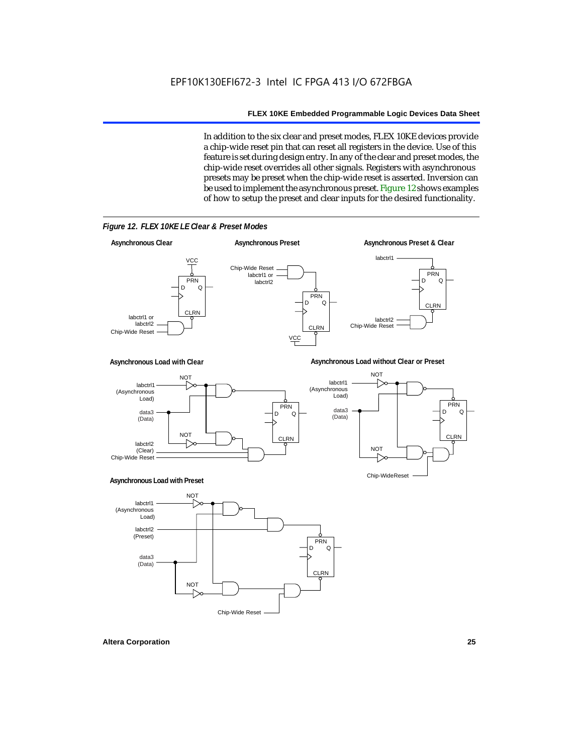In addition to the six clear and preset modes, FLEX 10KE devices provide a chip-wide reset pin that can reset all registers in the device. Use of this feature is set during design entry. In any of the clear and preset modes, the chip-wide reset overrides all other signals. Registers with asynchronous presets may be preset when the chip-wide reset is asserted. Inversion can be used to implement the asynchronous preset. Figure 12 shows examples of how to setup the preset and clear inputs for the desired functionality.



*Figure 12. FLEX 10KE LE Clear & Preset Modes*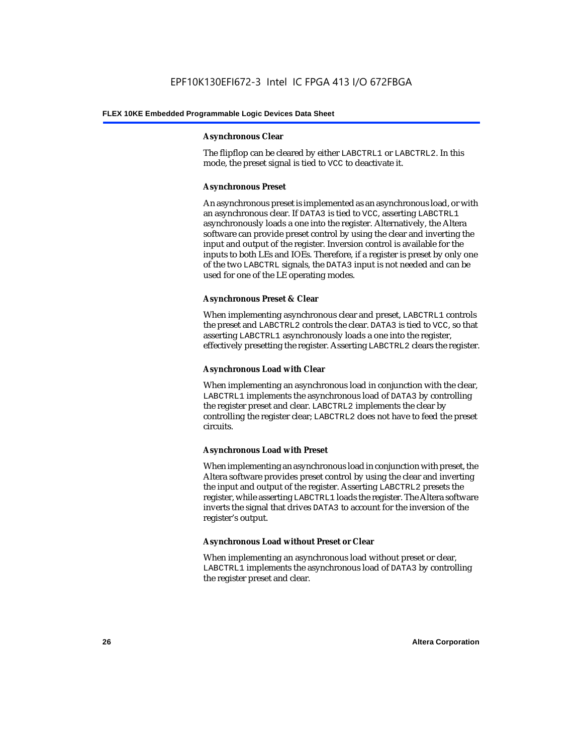#### **Asynchronous Clear**

The flipflop can be cleared by either LABCTRL1 or LABCTRL2. In this mode, the preset signal is tied to VCC to deactivate it.

#### **Asynchronous Preset**

An asynchronous preset is implemented as an asynchronous load, or with an asynchronous clear. If DATA3 is tied to VCC, asserting LABCTRL1 asynchronously loads a one into the register. Alternatively, the Altera software can provide preset control by using the clear and inverting the input and output of the register. Inversion control is available for the inputs to both LEs and IOEs. Therefore, if a register is preset by only one of the two LABCTRL signals, the DATA3 input is not needed and can be used for one of the LE operating modes.

#### **Asynchronous Preset & Clear**

When implementing asynchronous clear and preset, LABCTRL1 controls the preset and LABCTRL2 controls the clear. DATA3 is tied to VCC, so that asserting LABCTRL1 asynchronously loads a one into the register, effectively presetting the register. Asserting LABCTRL2 clears the register.

#### **Asynchronous Load with Clear**

When implementing an asynchronous load in conjunction with the clear, LABCTRL1 implements the asynchronous load of DATA3 by controlling the register preset and clear. LABCTRL2 implements the clear by controlling the register clear; LABCTRL2 does not have to feed the preset circuits.

#### **Asynchronous Load with Preset**

When implementing an asynchronous load in conjunction with preset, the Altera software provides preset control by using the clear and inverting the input and output of the register. Asserting LABCTRL2 presets the register, while asserting LABCTRL1 loads the register. The Altera software inverts the signal that drives DATA3 to account for the inversion of the register's output.

#### **Asynchronous Load without Preset or Clear**

When implementing an asynchronous load without preset or clear, LABCTRL1 implements the asynchronous load of DATA3 by controlling the register preset and clear.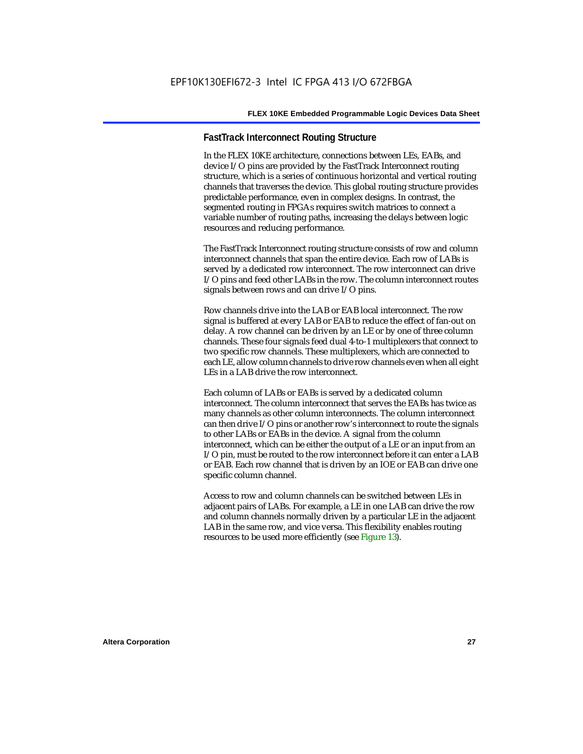#### **FastTrack Interconnect Routing Structure**

In the FLEX 10KE architecture, connections between LEs, EABs, and device I/O pins are provided by the FastTrack Interconnect routing structure, which is a series of continuous horizontal and vertical routing channels that traverses the device. This global routing structure provides predictable performance, even in complex designs. In contrast, the segmented routing in FPGAs requires switch matrices to connect a variable number of routing paths, increasing the delays between logic resources and reducing performance.

The FastTrack Interconnect routing structure consists of row and column interconnect channels that span the entire device. Each row of LABs is served by a dedicated row interconnect. The row interconnect can drive I/O pins and feed other LABs in the row. The column interconnect routes signals between rows and can drive I/O pins.

Row channels drive into the LAB or EAB local interconnect. The row signal is buffered at every LAB or EAB to reduce the effect of fan-out on delay. A row channel can be driven by an LE or by one of three column channels. These four signals feed dual 4-to-1 multiplexers that connect to two specific row channels. These multiplexers, which are connected to each LE, allow column channels to drive row channels even when all eight LEs in a LAB drive the row interconnect.

Each column of LABs or EABs is served by a dedicated column interconnect. The column interconnect that serves the EABs has twice as many channels as other column interconnects. The column interconnect can then drive I/O pins or another row's interconnect to route the signals to other LABs or EABs in the device. A signal from the column interconnect, which can be either the output of a LE or an input from an I/O pin, must be routed to the row interconnect before it can enter a LAB or EAB. Each row channel that is driven by an IOE or EAB can drive one specific column channel.

Access to row and column channels can be switched between LEs in adjacent pairs of LABs. For example, a LE in one LAB can drive the row and column channels normally driven by a particular LE in the adjacent LAB in the same row, and vice versa. This flexibility enables routing resources to be used more efficiently (see Figure 13).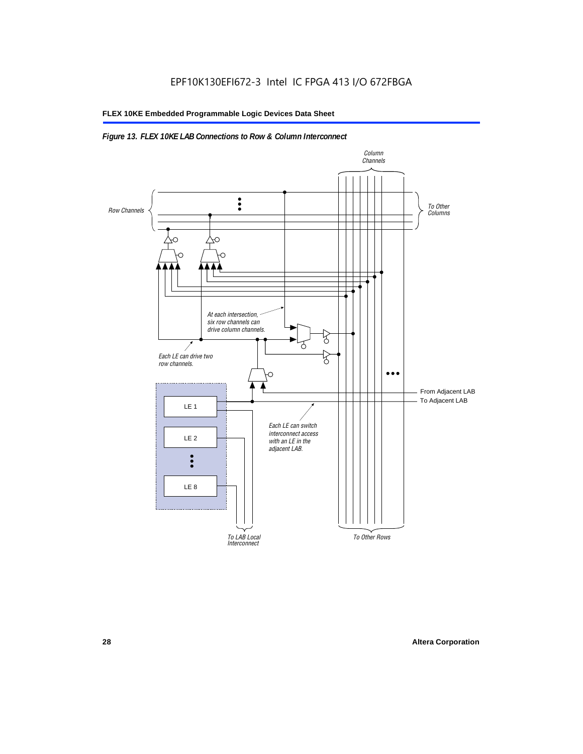#### *Figure 13. FLEX 10KE LAB Connections to Row & Column Interconnect*

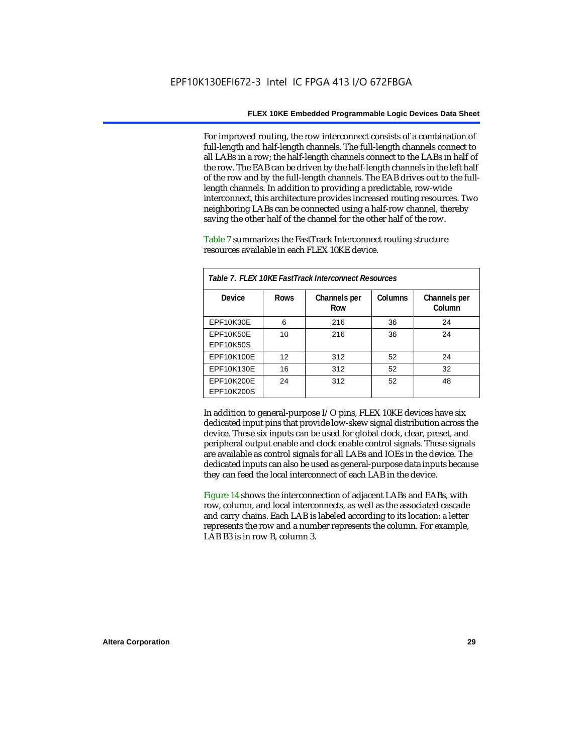For improved routing, the row interconnect consists of a combination of full-length and half-length channels. The full-length channels connect to all LABs in a row; the half-length channels connect to the LABs in half of the row. The EAB can be driven by the half-length channels in the left half of the row and by the full-length channels. The EAB drives out to the fulllength channels. In addition to providing a predictable, row-wide interconnect, this architecture provides increased routing resources. Two neighboring LABs can be connected using a half-row channel, thereby saving the other half of the channel for the other half of the row.

Table 7 summarizes the FastTrack Interconnect routing structure resources available in each FLEX 10KE device.

| Table 7. FLEX 10KE FastTrack Interconnect Resources |             |                     |         |                        |
|-----------------------------------------------------|-------------|---------------------|---------|------------------------|
| Device                                              | <b>Rows</b> | Channels per<br>Row | Columns | Channels per<br>Column |
| <b>EPF10K30E</b>                                    | 6           | 216                 | 36      | 24                     |
| EPF10K50E<br>EPF10K50S                              | 10          | 216                 | 36      | 24                     |
| EPF10K100E                                          | 12          | 312                 | 52      | 24                     |
| EPF10K130E                                          | 16          | 312                 | 52      | 32                     |
| EPF10K200E<br>EPF10K200S                            | 24          | 312                 | 52      | 48                     |

In addition to general-purpose I/O pins, FLEX 10KE devices have six dedicated input pins that provide low-skew signal distribution across the device. These six inputs can be used for global clock, clear, preset, and peripheral output enable and clock enable control signals. These signals are available as control signals for all LABs and IOEs in the device. The dedicated inputs can also be used as general-purpose data inputs because they can feed the local interconnect of each LAB in the device.

Figure 14 shows the interconnection of adjacent LABs and EABs, with row, column, and local interconnects, as well as the associated cascade and carry chains. Each LAB is labeled according to its location: a letter represents the row and a number represents the column. For example, LAB B3 is in row B, column 3.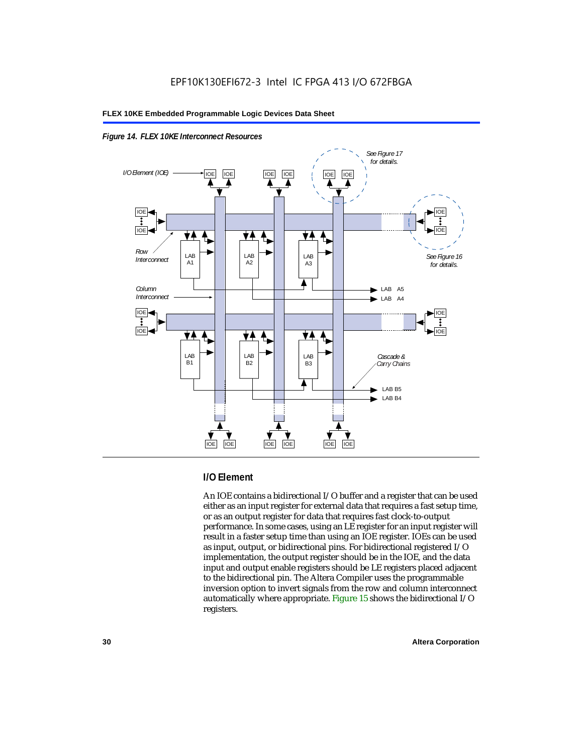



#### **I/O Element**

An IOE contains a bidirectional I/O buffer and a register that can be used either as an input register for external data that requires a fast setup time, or as an output register for data that requires fast clock-to-output performance. In some cases, using an LE register for an input register will result in a faster setup time than using an IOE register. IOEs can be used as input, output, or bidirectional pins. For bidirectional registered I/O implementation, the output register should be in the IOE, and the data input and output enable registers should be LE registers placed adjacent to the bidirectional pin. The Altera Compiler uses the programmable inversion option to invert signals from the row and column interconnect automatically where appropriate. Figure 15 shows the bidirectional I/O registers.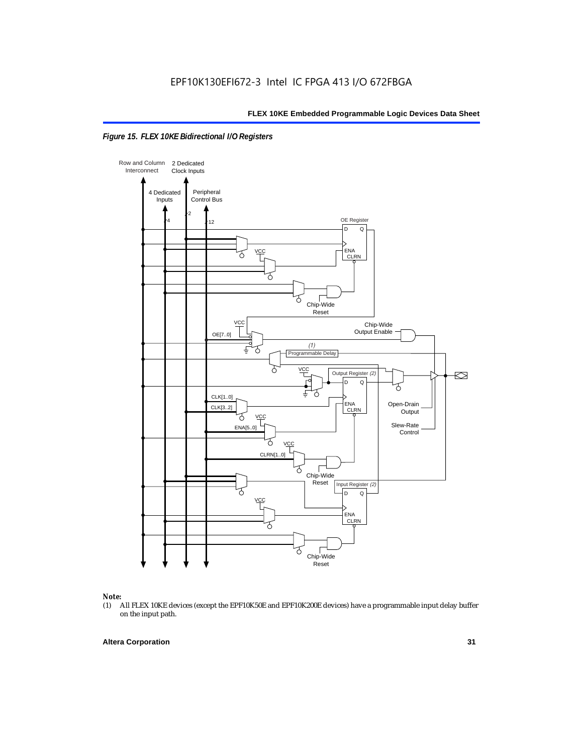



### *Note:*<br>(1) *A*

(1) All FLEX 10KE devices (except the EPF10K50E and EPF10K200E devices) have a programmable input delay buffer on the input path.

#### **Altera Corporation 31**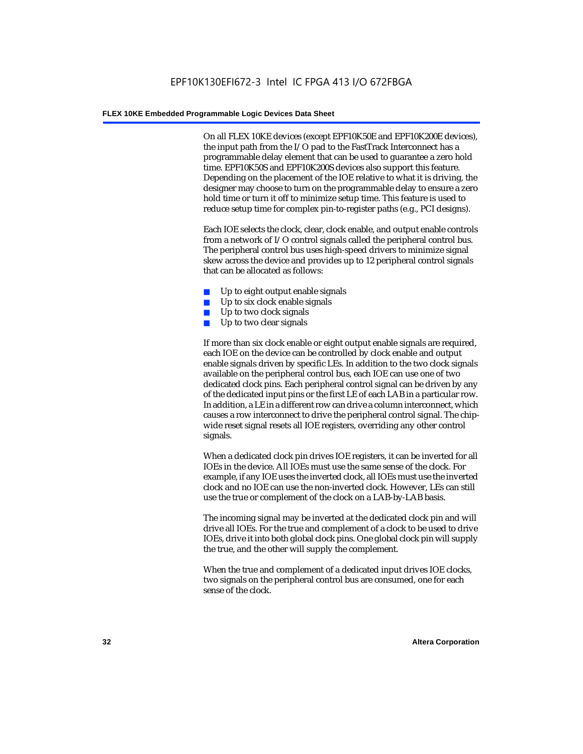On all FLEX 10KE devices (except EPF10K50E and EPF10K200E devices), the input path from the I/O pad to the FastTrack Interconnect has a programmable delay element that can be used to guarantee a zero hold time. EPF10K50S and EPF10K200S devices also support this feature. Depending on the placement of the IOE relative to what it is driving, the designer may choose to turn on the programmable delay to ensure a zero hold time or turn it off to minimize setup time. This feature is used to reduce setup time for complex pin-to-register paths (e.g., PCI designs).

Each IOE selects the clock, clear, clock enable, and output enable controls from a network of I/O control signals called the peripheral control bus. The peripheral control bus uses high-speed drivers to minimize signal skew across the device and provides up to 12 peripheral control signals that can be allocated as follows:

- Up to eight output enable signals
- Up to six clock enable signals
- Up to two clock signals
- Up to two clear signals

If more than six clock enable or eight output enable signals are required, each IOE on the device can be controlled by clock enable and output enable signals driven by specific LEs. In addition to the two clock signals available on the peripheral control bus, each IOE can use one of two dedicated clock pins. Each peripheral control signal can be driven by any of the dedicated input pins or the first LE of each LAB in a particular row. In addition, a LE in a different row can drive a column interconnect, which causes a row interconnect to drive the peripheral control signal. The chipwide reset signal resets all IOE registers, overriding any other control signals.

When a dedicated clock pin drives IOE registers, it can be inverted for all IOEs in the device. All IOEs must use the same sense of the clock. For example, if any IOE uses the inverted clock, all IOEs must use the inverted clock and no IOE can use the non-inverted clock. However, LEs can still use the true or complement of the clock on a LAB-by-LAB basis.

The incoming signal may be inverted at the dedicated clock pin and will drive all IOEs. For the true and complement of a clock to be used to drive IOEs, drive it into both global clock pins. One global clock pin will supply the true, and the other will supply the complement.

When the true and complement of a dedicated input drives IOE clocks, two signals on the peripheral control bus are consumed, one for each sense of the clock.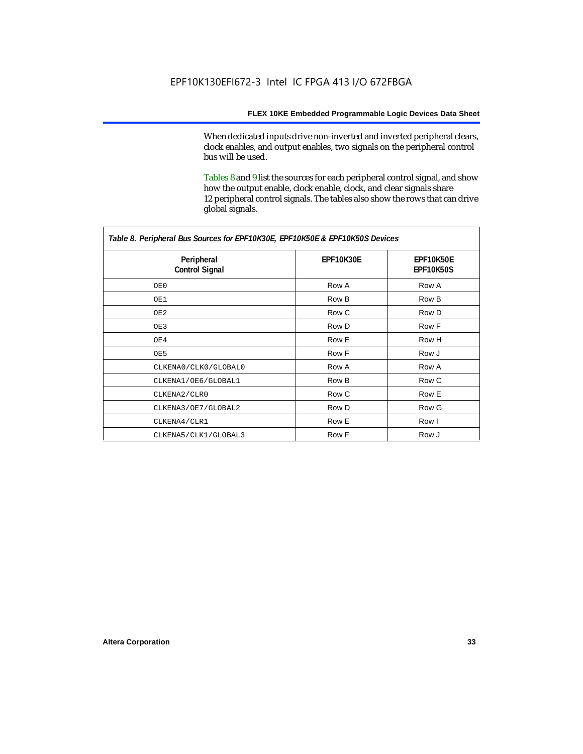When dedicated inputs drive non-inverted and inverted peripheral clears, clock enables, and output enables, two signals on the peripheral control bus will be used.

Tables 8 and 9 list the sources for each peripheral control signal, and show how the output enable, clock enable, clock, and clear signals share 12 peripheral control signals. The tables also show the rows that can drive global signals.

| Table 8. Peripheral Bus Sources for EPF10K30E, EPF10K50E & EPF10K50S Devices |                  |                               |  |  |
|------------------------------------------------------------------------------|------------------|-------------------------------|--|--|
| Peripheral<br><b>Control Signal</b>                                          | <b>EPF10K30E</b> | EPF10K50E<br><b>EPF10K50S</b> |  |  |
| OE0                                                                          | Row A            | Row A                         |  |  |
| OE1                                                                          | Row B            | Row B                         |  |  |
| OE2                                                                          | Row C            | Row D                         |  |  |
| OE3                                                                          | Row D            | Row F                         |  |  |
| OE4                                                                          | Row E            | Row H                         |  |  |
| OE5                                                                          | Row F            | Row J                         |  |  |
| CLKENA0/CLK0/GLOBAL0                                                         | Row A            | Row A                         |  |  |
| CLKENA1/OE6/GLOBAL1                                                          | Row B            | Row C                         |  |  |
| CLKENA2/CLR0                                                                 | Row C            | Row E                         |  |  |
| CLKENA3/OE7/GLOBAL2                                                          | Row D            | Row G                         |  |  |
| CLKENA4/CLR1                                                                 | Row E            | Row I                         |  |  |
| CLKENA5/CLK1/GLOBAL3                                                         | Row F            | Row J                         |  |  |

*Table 8. Peripheral Bus Sources for EPF10K30E, EPF10K50E & EPF10K50S Devices*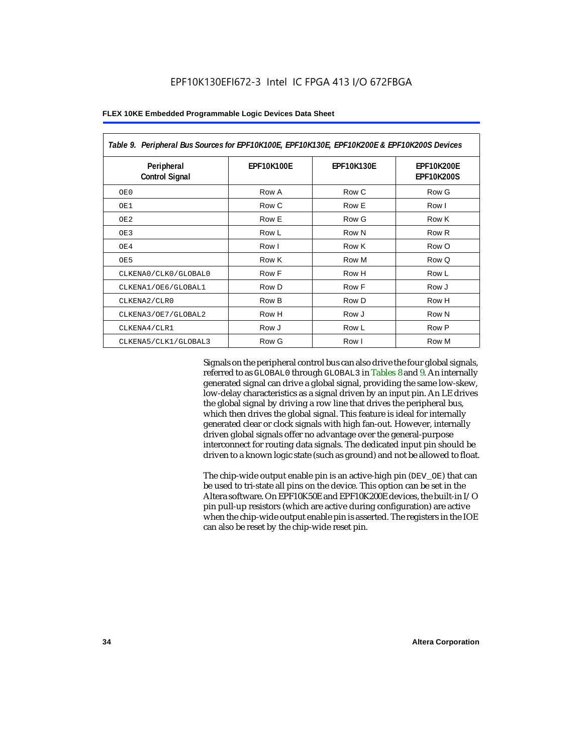| Table 9. Peripheral Bus Sources for EPF10K100E, EPF10K130E, EPF10K200E & EPF10K200S Devices |                   |                   |                                        |  |  |
|---------------------------------------------------------------------------------------------|-------------------|-------------------|----------------------------------------|--|--|
| Peripheral<br><b>Control Signal</b>                                                         | <b>EPF10K100E</b> | <b>EPF10K130E</b> | <b>EPF10K200E</b><br><b>EPF10K200S</b> |  |  |
| OE0                                                                                         | Row A             | Row C             | Row G                                  |  |  |
| OE1                                                                                         | Row C             | Row E             | Row I                                  |  |  |
| OE <sub>2</sub>                                                                             | Row E             | Row G             | Row K                                  |  |  |
| OE3                                                                                         | Row L             | Row N             | Row R                                  |  |  |
| OE4                                                                                         | Row I             | Row K             | Row O                                  |  |  |
| OE5                                                                                         | Row K             | Row M             | Row Q                                  |  |  |
| CLKENA0/CLK0/GLOBAL0                                                                        | Row F             | Row H             | Row L                                  |  |  |
| CLKENA1/OE6/GLOBAL1                                                                         | Row D             | Row F             | Row J                                  |  |  |
| CLKENA2/CLR0                                                                                | Row B             | Row D             | Row H                                  |  |  |
| CLKENA3/OE7/GLOBAL2                                                                         | Row H             | Row J             | Row N                                  |  |  |
| CLKENA4/CLR1                                                                                | Row J             | Row L             | Row P                                  |  |  |
| CLKENA5/CLK1/GLOBAL3                                                                        | Row G             | Row I             | Row M                                  |  |  |

Signals on the peripheral control bus can also drive the four global signals, referred to as GLOBAL0 through GLOBAL3 in Tables 8 and 9. An internally generated signal can drive a global signal, providing the same low-skew, low-delay characteristics as a signal driven by an input pin. An LE drives the global signal by driving a row line that drives the peripheral bus, which then drives the global signal. This feature is ideal for internally generated clear or clock signals with high fan-out. However, internally driven global signals offer no advantage over the general-purpose interconnect for routing data signals. The dedicated input pin should be driven to a known logic state (such as ground) and not be allowed to float.

The chip-wide output enable pin is an active-high pin (DEV\_OE) that can be used to tri-state all pins on the device. This option can be set in the Altera software. On EPF10K50E and EPF10K200E devices, the built-in I/O pin pull-up resistors (which are active during configuration) are active when the chip-wide output enable pin is asserted. The registers in the IOE can also be reset by the chip-wide reset pin.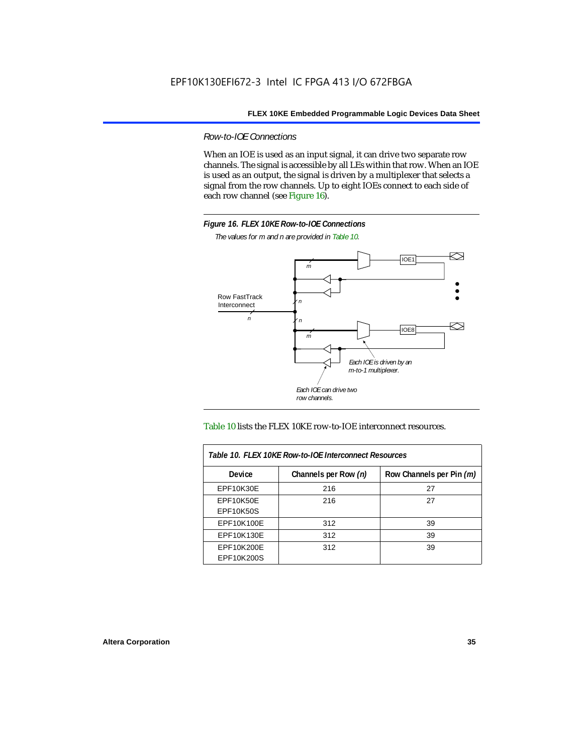*Row-to-IOE Connections*

When an IOE is used as an input signal, it can drive two separate row channels. The signal is accessible by all LEs within that row. When an IOE is used as an output, the signal is driven by a multiplexer that selects a signal from the row channels. Up to eight IOEs connect to each side of each row channel (see Figure 16).



*The values for m and n are provided in Table 10.*





| Table 10. FLEX 10KE Row-to-IOE Interconnect Resources |                      |                          |  |  |  |
|-------------------------------------------------------|----------------------|--------------------------|--|--|--|
| <b>Device</b>                                         | Channels per Row (n) | Row Channels per Pin (m) |  |  |  |
| EPF10K30E                                             | 216                  | 27                       |  |  |  |
| EPF10K50E<br><b>EPF10K50S</b>                         | 216                  | 27                       |  |  |  |
| EPF10K100E                                            | 312                  | 39                       |  |  |  |
| EPF10K130E                                            | 312                  | 39                       |  |  |  |
| EPF10K200E<br>EPF10K200S                              | 312                  | 39                       |  |  |  |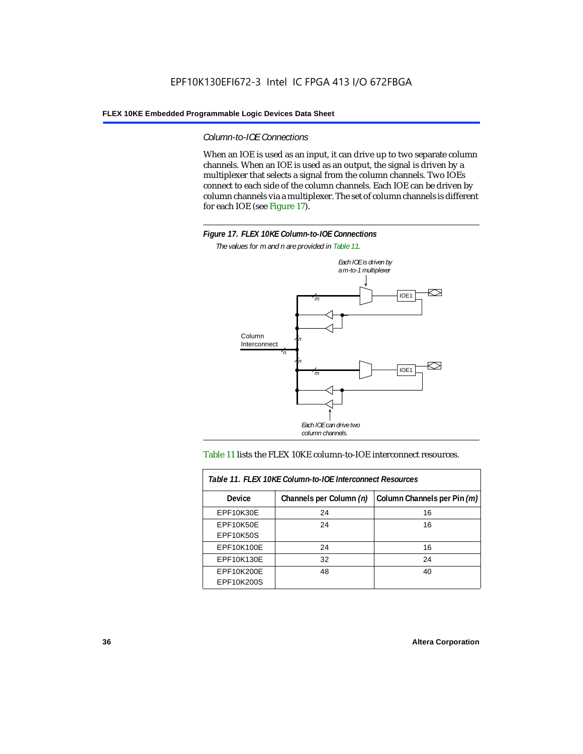#### *Column-to-IOE Connections*

When an IOE is used as an input, it can drive up to two separate column channels. When an IOE is used as an output, the signal is driven by a multiplexer that selects a signal from the column channels. Two IOEs connect to each side of the column channels. Each IOE can be driven by column channels via a multiplexer. The set of column channels is different for each IOE (see Figure 17).



*The values for m and n are provided in Table 11.*



#### Table 11 lists the FLEX 10KE column-to-IOE interconnect resources.

| Table 11. FLEX 10KE Column-to-IOE Interconnect Resources |                         |                             |  |  |  |  |
|----------------------------------------------------------|-------------------------|-----------------------------|--|--|--|--|
| <b>Device</b>                                            | Channels per Column (n) | Column Channels per Pin (m) |  |  |  |  |
| EPF10K30E                                                | 24                      | 16                          |  |  |  |  |
| EPF10K50E<br><b>EPF10K50S</b>                            | 24                      | 16                          |  |  |  |  |
| EPF10K100E                                               | 24                      | 16                          |  |  |  |  |
| EPF10K130E                                               | 32                      | 24                          |  |  |  |  |
| EPF10K200E<br>EPF10K200S                                 | 48                      | 40                          |  |  |  |  |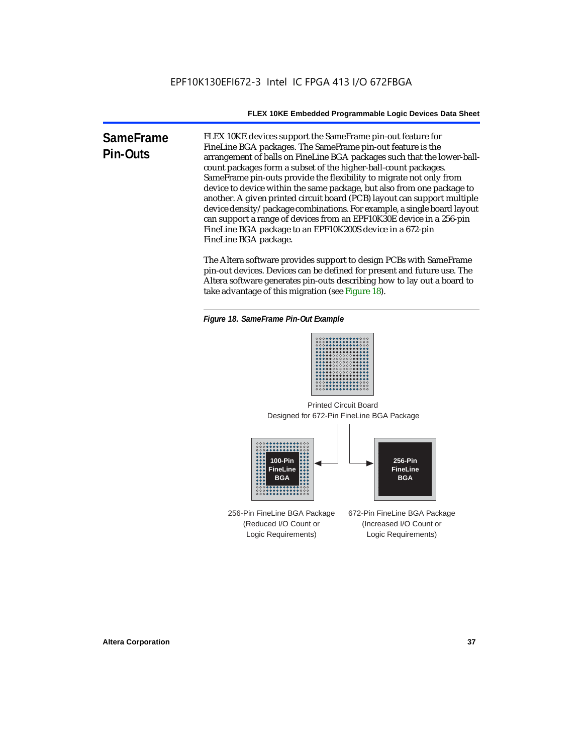**SameFrame Pin-Outs** FLEX 10KE devices support the SameFrame pin-out feature for FineLine BGA packages. The SameFrame pin-out feature is the arrangement of balls on FineLine BGA packages such that the lower-ballcount packages form a subset of the higher-ball-count packages. SameFrame pin-outs provide the flexibility to migrate not only from device to device within the same package, but also from one package to another. A given printed circuit board (PCB) layout can support multiple device density/package combinations. For example, a single board layout can support a range of devices from an EPF10K30E device in a 256-pin FineLine BGA package to an EPF10K200S device in a 672-pin FineLine BGA package.

> The Altera software provides support to design PCBs with SameFrame pin-out devices. Devices can be defined for present and future use. The Altera software generates pin-outs describing how to lay out a board to take advantage of this migration (see Figure 18).





Designed for 672-Pin FineLine BGA Package Printed Circuit Board



256-Pin FineLine BGA Package (Reduced I/O Count or Logic Requirements) 672-Pin FineLine BGA Package (Increased I/O Count or Logic Requirements)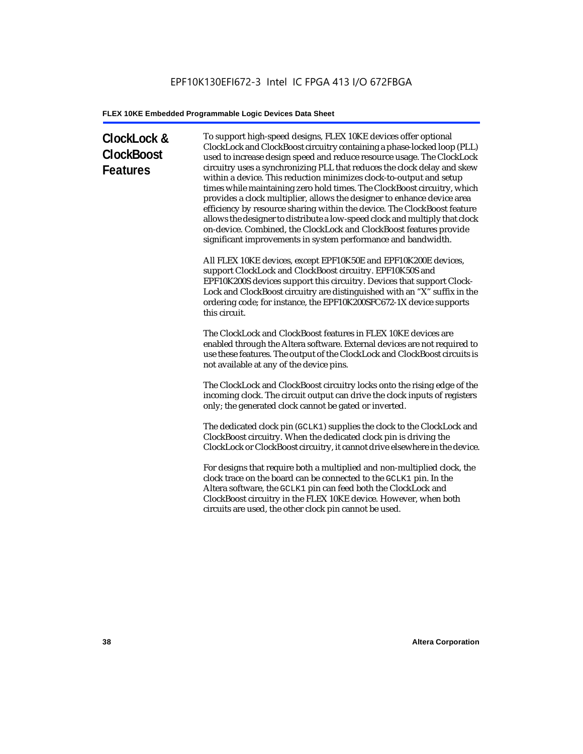# **ClockLock & ClockBoost Features**

To support high-speed designs, FLEX 10KE devices offer optional ClockLock and ClockBoost circuitry containing a phase-locked loop (PLL) used to increase design speed and reduce resource usage. The ClockLock circuitry uses a synchronizing PLL that reduces the clock delay and skew within a device. This reduction minimizes clock-to-output and setup times while maintaining zero hold times. The ClockBoost circuitry, which provides a clock multiplier, allows the designer to enhance device area efficiency by resource sharing within the device. The ClockBoost feature allows the designer to distribute a low-speed clock and multiply that clock on-device. Combined, the ClockLock and ClockBoost features provide significant improvements in system performance and bandwidth.

All FLEX 10KE devices, except EPF10K50E and EPF10K200E devices, support ClockLock and ClockBoost circuitry. EPF10K50S and EPF10K200S devices support this circuitry. Devices that support Clock-Lock and ClockBoost circuitry are distinguished with an "X" suffix in the ordering code; for instance, the EPF10K200SFC672-1X device supports this circuit.

The ClockLock and ClockBoost features in FLEX 10KE devices are enabled through the Altera software. External devices are not required to use these features. The output of the ClockLock and ClockBoost circuits is not available at any of the device pins.

The ClockLock and ClockBoost circuitry locks onto the rising edge of the incoming clock. The circuit output can drive the clock inputs of registers only; the generated clock cannot be gated or inverted.

The dedicated clock pin (GCLK1) supplies the clock to the ClockLock and ClockBoost circuitry. When the dedicated clock pin is driving the ClockLock or ClockBoost circuitry, it cannot drive elsewhere in the device.

For designs that require both a multiplied and non-multiplied clock, the clock trace on the board can be connected to the GCLK1 pin. In the Altera software, the GCLK1 pin can feed both the ClockLock and ClockBoost circuitry in the FLEX 10KE device. However, when both circuits are used, the other clock pin cannot be used.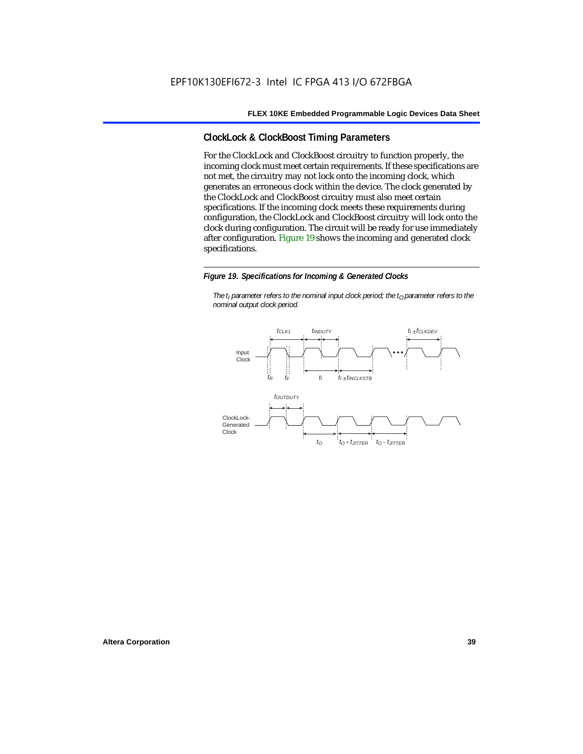# **ClockLock & ClockBoost Timing Parameters**

For the ClockLock and ClockBoost circuitry to function properly, the incoming clock must meet certain requirements. If these specifications are not met, the circuitry may not lock onto the incoming clock, which generates an erroneous clock within the device. The clock generated by the ClockLock and ClockBoost circuitry must also meet certain specifications. If the incoming clock meets these requirements during configuration, the ClockLock and ClockBoost circuitry will lock onto the clock during configuration. The circuit will be ready for use immediately after configuration. Figure 19 shows the incoming and generated clock specifications.

#### *Figure 19. Specifications for Incoming & Generated Clocks*

*The t<sub>I</sub> parameter refers to the nominal input clock period; the t<sub>0</sub> parameter refers to the nominal output clock period.*

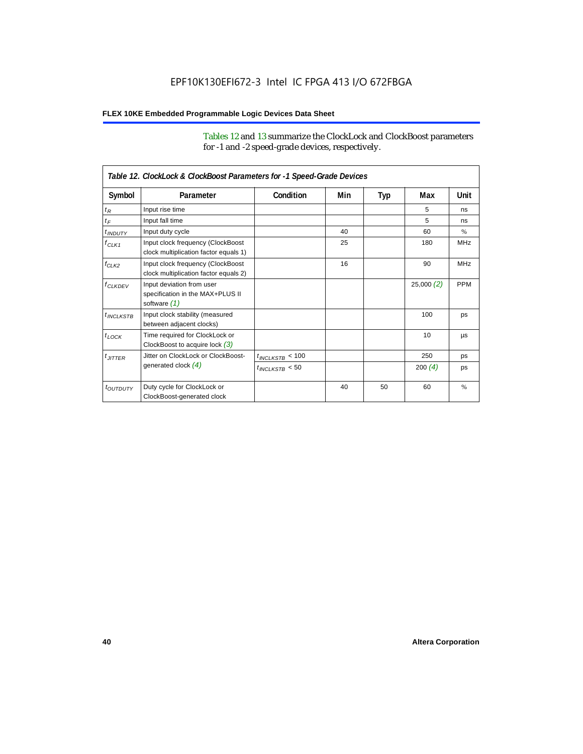Tables 12 and 13 summarize the ClockLock and ClockBoost parameters for -1 and -2 speed-grade devices, respectively.

| Table 12. ClockLock & ClockBoost Parameters for -1 Speed-Grade Devices |                                                                               |                      |     |     |           |               |  |
|------------------------------------------------------------------------|-------------------------------------------------------------------------------|----------------------|-----|-----|-----------|---------------|--|
| Symbol                                                                 | Parameter                                                                     | Condition            | Min | Typ | Max       | Unit          |  |
| $t_R$                                                                  | Input rise time                                                               |                      |     |     | 5         | ns            |  |
| $t_F$                                                                  | Input fall time                                                               |                      |     |     | 5         | ns            |  |
| $t$ <sub>INDUTY</sub>                                                  | Input duty cycle                                                              |                      | 40  |     | 60        | $\%$          |  |
| $f_{CLK1}$                                                             | Input clock frequency (ClockBoost<br>clock multiplication factor equals 1)    |                      | 25  |     | 180       | <b>MHz</b>    |  |
| $f_{CLK2}$                                                             | Input clock frequency (ClockBoost<br>clock multiplication factor equals 2)    |                      | 16  |     | 90        | <b>MHz</b>    |  |
| $f_{CLKDEV}$                                                           | Input deviation from user<br>specification in the MAX+PLUS II<br>software (1) |                      |     |     | 25,000(2) | <b>PPM</b>    |  |
| $t_{INCLKSTB}$                                                         | Input clock stability (measured<br>between adjacent clocks)                   |                      |     |     | 100       | ps            |  |
| $t_{\text{LOCK}}$                                                      | Time required for ClockLock or<br>ClockBoost to acquire lock $(3)$            |                      |     |     | 10        | μs            |  |
| $t_{JITTER}$                                                           | Jitter on ClockLock or ClockBoost-                                            | $t_{INCLKSTB} < 100$ |     |     | 250       | ps            |  |
|                                                                        | generated clock $(4)$                                                         | $t_{INCLKSTB}$ < 50  |     |     | 200 $(4)$ | ps            |  |
| <i>toutbuty</i>                                                        | Duty cycle for ClockLock or<br>ClockBoost-generated clock                     |                      | 40  | 50  | 60        | $\frac{9}{6}$ |  |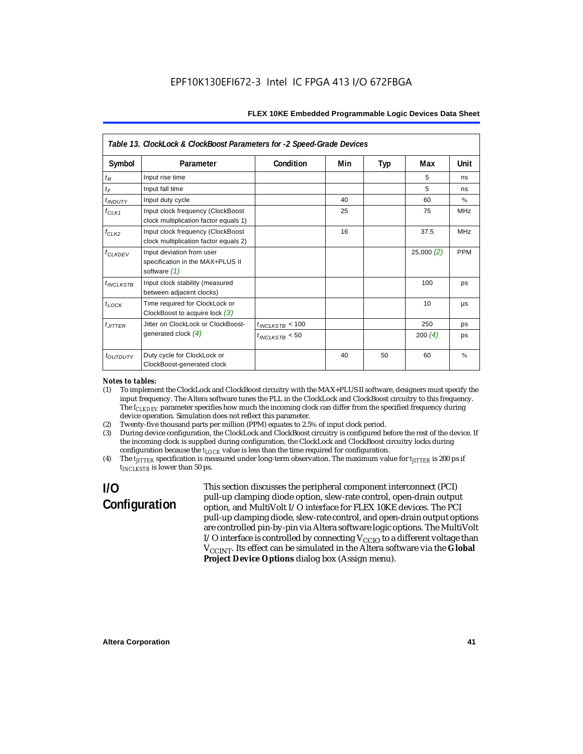| Table 13. ClockLock & ClockBoost Parameters for -2 Speed-Grade Devices |                                                                                 |                      |     |     |           |            |  |
|------------------------------------------------------------------------|---------------------------------------------------------------------------------|----------------------|-----|-----|-----------|------------|--|
| Symbol                                                                 | Parameter                                                                       | Condition            | Min | Typ | Max       | Unit       |  |
| $t_R$                                                                  | Input rise time                                                                 |                      |     |     | 5         | ns         |  |
| $t_F$                                                                  | Input fall time                                                                 |                      |     |     | 5         | ns         |  |
| <i>t</i> <sub>INDUTY</sub>                                             | Input duty cycle                                                                |                      | 40  |     | 60        | $\%$       |  |
| $f_{CLK1}$                                                             | Input clock frequency (ClockBoost<br>clock multiplication factor equals 1)      |                      | 25  |     | 75        | <b>MHz</b> |  |
| $f_{CLK2}$                                                             | Input clock frequency (ClockBoost<br>clock multiplication factor equals 2)      |                      | 16  |     | 37.5      | <b>MHz</b> |  |
| $f_{CLKDEV}$                                                           | Input deviation from user<br>specification in the MAX+PLUS II<br>software $(1)$ |                      |     |     | 25,000(2) | <b>PPM</b> |  |
| $t_{INCLKSTB}$                                                         | Input clock stability (measured<br>between adjacent clocks)                     |                      |     |     | 100       | ps         |  |
| $t_{LOCK}$                                                             | Time required for ClockLock or<br>ClockBoost to acquire lock $(3)$              |                      |     |     | 10        | μs         |  |
| $t_{JITTER}$                                                           | Jitter on ClockLock or ClockBoost-                                              | $t_{INCLKSTB}$ < 100 |     |     | 250       | ps         |  |
|                                                                        | generated clock $(4)$                                                           | $t_{INCLKSTB}$ < 50  |     |     | 200(4)    | ps         |  |
| <i>toutbuty</i>                                                        | Duty cycle for ClockLock or<br>ClockBoost-generated clock                       |                      | 40  | 50  | 60        | $\%$       |  |

#### *Notes to tables:*

- (1) To implement the ClockLock and ClockBoost circuitry with the MAX+PLUS II software, designers must specify the input frequency. The Altera software tunes the PLL in the ClockLock and ClockBoost circuitry to this frequency. The *f<sub>CLKDEV</sub>* parameter specifies how much the incoming clock can differ from the specified frequency during device operation. Simulation does not reflect this parameter.
- (2) Twenty-five thousand parts per million (PPM) equates to 2.5% of input clock period.<br>(3) During device configuration, the ClockLock and ClockBoost circuitry is configured b
- (3) During device configuration, the ClockLock and ClockBoost circuitry is configured before the rest of the device. If the incoming clock is supplied during configuration, the ClockLock and ClockBoost circuitry locks during configuration because the  $t_{LOCK}$  value is less than the time required for configuration.
- (4) The *tJITTER* specification is measured under long-term observation. The maximum value for *tJITTER* is 200 ps if  $t_{INCI KSTB}$  is lower than 50 ps.

# **I/O Configuration**

This section discusses the peripheral component interconnect (PCI) pull-up clamping diode option, slew-rate control, open-drain output option, and MultiVolt I/O interface for FLEX 10KE devices. The PCI pull-up clamping diode, slew-rate control, and open-drain output options are controlled pin-by-pin via Altera software logic options. The MultiVolt I/O interface is controlled by connecting  $V_{CCIO}$  to a different voltage than V<sub>CCINT</sub>. Its effect can be simulated in the Altera software via the Global **Project Device Options** dialog box (Assign menu).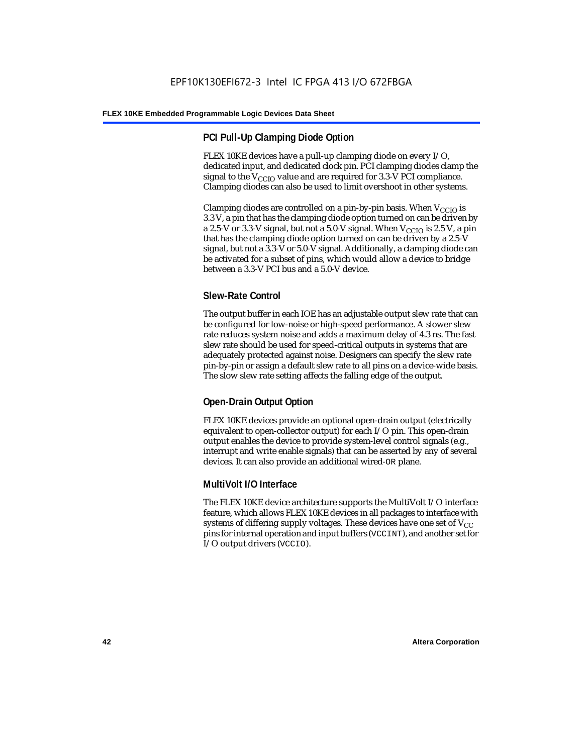# **PCI Pull-Up Clamping Diode Option**

FLEX 10KE devices have a pull-up clamping diode on every I/O, dedicated input, and dedicated clock pin. PCI clamping diodes clamp the signal to the  $V_{\text{CCIO}}$  value and are required for 3.3-V PCI compliance. Clamping diodes can also be used to limit overshoot in other systems.

Clamping diodes are controlled on a pin-by-pin basis. When  $V_{CCIO}$  is 3.3 V, a pin that has the clamping diode option turned on can be driven by a 2.5-V or 3.3-V signal, but not a 5.0-V signal. When  $V_{CCIO}$  is 2.5 V, a pin that has the clamping diode option turned on can be driven by a 2.5-V signal, but not a 3.3-V or 5.0-V signal. Additionally, a clamping diode can be activated for a subset of pins, which would allow a device to bridge between a 3.3-V PCI bus and a 5.0-V device.

# **Slew-Rate Control**

The output buffer in each IOE has an adjustable output slew rate that can be configured for low-noise or high-speed performance. A slower slew rate reduces system noise and adds a maximum delay of 4.3 ns. The fast slew rate should be used for speed-critical outputs in systems that are adequately protected against noise. Designers can specify the slew rate pin-by-pin or assign a default slew rate to all pins on a device-wide basis. The slow slew rate setting affects the falling edge of the output.

# **Open-Drain Output Option**

FLEX 10KE devices provide an optional open-drain output (electrically equivalent to open-collector output) for each I/O pin. This open-drain output enables the device to provide system-level control signals (e.g., interrupt and write enable signals) that can be asserted by any of several devices. It can also provide an additional wired-OR plane.

### **MultiVolt I/O Interface**

The FLEX 10KE device architecture supports the MultiVolt I/O interface feature, which allows FLEX 10KE devices in all packages to interface with systems of differing supply voltages. These devices have one set of  $V_{CC}$ pins for internal operation and input buffers (VCCINT), and another set for I/O output drivers (VCCIO).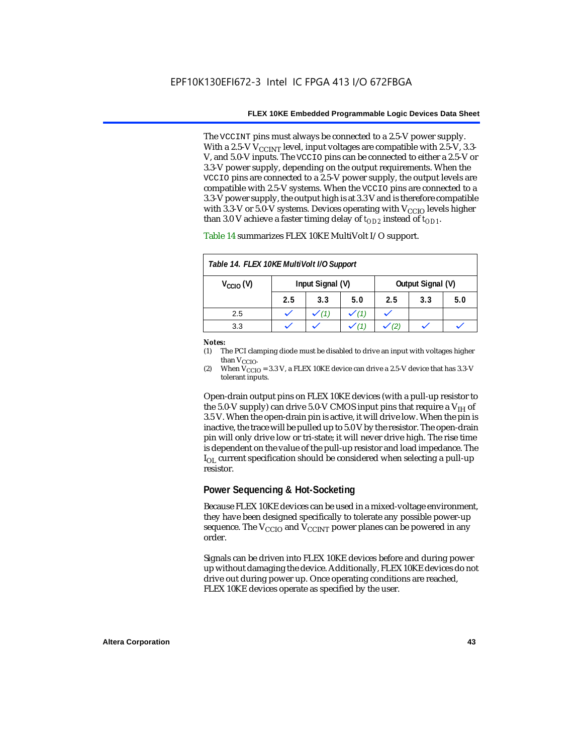The VCCINT pins must always be connected to a 2.5-V power supply. With a 2.5-V  $V_{CCMT}$  level, input voltages are compatible with 2.5-V, 3.3-V, and 5.0-V inputs. The VCCIO pins can be connected to either a 2.5-V or 3.3-V power supply, depending on the output requirements. When the VCCIO pins are connected to a 2.5-V power supply, the output levels are compatible with 2.5-V systems. When the VCCIO pins are connected to a 3.3-V power supply, the output high is at 3.3 V and is therefore compatible with 3.3-V or 5.0-V systems. Devices operating with  $V_{CCIO}$  levels higher than 3.0 V achieve a faster timing delay of  $t_{OD2}$  instead of  $t_{OD1}$ .

| Table 14. FLEX 10KE MultiVolt I/O Support |                                       |     |     |     |     |     |
|-------------------------------------------|---------------------------------------|-----|-----|-----|-----|-----|
| $V_{\text{CCIO}}(V)$                      | Output Signal (V)<br>Input Signal (V) |     |     |     |     |     |
|                                           | 2.5                                   | 3.3 | 5.0 | 2.5 | 3.3 | 5.0 |
| 2.5                                       |                                       |     |     |     |     |     |
| 3.3                                       |                                       |     |     |     |     |     |

Table 14 summarizes FLEX 10KE MultiVolt I/O support.

#### *Notes:*

(1) The PCI clamping diode must be disabled to drive an input with voltages higher than  $V_{CCIO}$ .

(2) When  $V_{\text{CCIO}} = 3.3$  V, a FLEX 10KE device can drive a 2.5-V device that has 3.3-V tolerant inputs.

Open-drain output pins on FLEX 10KE devices (with a pull-up resistor to the 5.0-V supply) can drive 5.0-V CMOS input pins that require a  $V_{\text{H}}$  of 3.5 V. When the open-drain pin is active, it will drive low. When the pin is inactive, the trace will be pulled up to 5.0 V by the resistor. The open-drain pin will only drive low or tri-state; it will never drive high. The rise time is dependent on the value of the pull-up resistor and load impedance. The  $I_{\text{OL}}$  current specification should be considered when selecting a pull-up resistor.

### **Power Sequencing & Hot-Socketing**

Because FLEX 10KE devices can be used in a mixed-voltage environment, they have been designed specifically to tolerate any possible power-up sequence. The  $V_{\text{CCIO}}$  and  $V_{\text{CCINT}}$  power planes can be powered in any order.

Signals can be driven into FLEX 10KE devices before and during power up without damaging the device. Additionally, FLEX 10KE devices do not drive out during power up. Once operating conditions are reached, FLEX 10KE devices operate as specified by the user.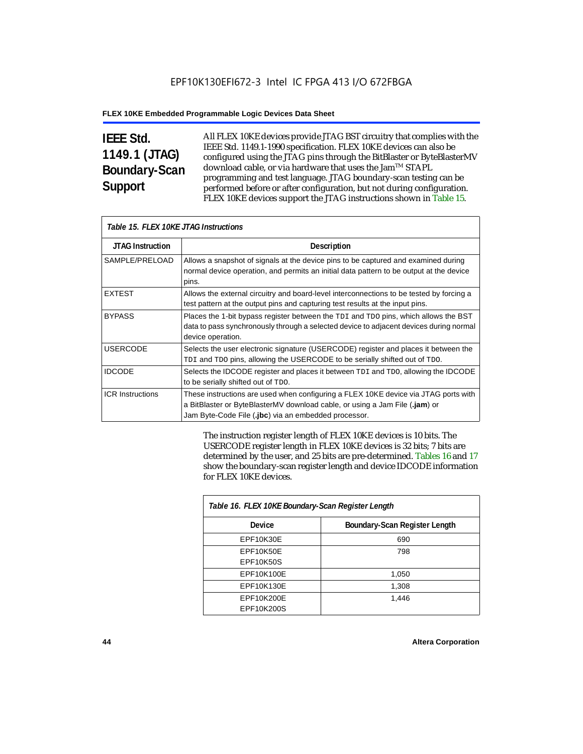# **IEEE Std. 1149.1 (JTAG) Boundary-Scan Support**

All FLEX 10KE devices provide JTAG BST circuitry that complies with the IEEE Std. 1149.1-1990 specification. FLEX 10KE devices can also be configured using the JTAG pins through the BitBlaster or ByteBlasterMV download cable, or via hardware that uses the Jam™ STAPL programming and test language. JTAG boundary-scan testing can be performed before or after configuration, but not during configuration. FLEX 10KE devices support the JTAG instructions shown in Table 15.

| Table 15. FLEX 10KE JTAG Instructions |                                                                                                                                                                                                                            |  |  |  |  |
|---------------------------------------|----------------------------------------------------------------------------------------------------------------------------------------------------------------------------------------------------------------------------|--|--|--|--|
| <b>JTAG Instruction</b>               | <b>Description</b>                                                                                                                                                                                                         |  |  |  |  |
| SAMPLE/PRELOAD                        | Allows a snapshot of signals at the device pins to be captured and examined during<br>normal device operation, and permits an initial data pattern to be output at the device<br>pins.                                     |  |  |  |  |
| <b>EXTEST</b>                         | Allows the external circuitry and board-level interconnections to be tested by forcing a<br>test pattern at the output pins and capturing test results at the input pins.                                                  |  |  |  |  |
| <b>BYPASS</b>                         | Places the 1-bit bypass register between the TDI and TDO pins, which allows the BST<br>data to pass synchronously through a selected device to adjacent devices during normal<br>device operation.                         |  |  |  |  |
| <b>USERCODE</b>                       | Selects the user electronic signature (USERCODE) register and places it between the<br>TDI and TDO pins, allowing the USERCODE to be serially shifted out of TDO.                                                          |  |  |  |  |
| <b>IDCODE</b>                         | Selects the IDCODE register and places it between TDI and TDO, allowing the IDCODE<br>to be serially shifted out of TDO.                                                                                                   |  |  |  |  |
| <b>ICR Instructions</b>               | These instructions are used when configuring a FLEX 10KE device via JTAG ports with<br>a BitBlaster or ByteBlasterMV download cable, or using a Jam File (.jam) or<br>Jam Byte-Code File (.jbc) via an embedded processor. |  |  |  |  |

The instruction register length of FLEX 10KE devices is 10 bits. The USERCODE register length in FLEX 10KE devices is 32 bits; 7 bits are determined by the user, and 25 bits are pre-determined. Tables 16 and 17 show the boundary-scan register length and device IDCODE information for FLEX 10KE devices.

| Table 16. FLEX 10KE Boundary-Scan Register Length |                               |  |  |  |
|---------------------------------------------------|-------------------------------|--|--|--|
| Device                                            | Boundary-Scan Register Length |  |  |  |
| EPF10K30E                                         | 690                           |  |  |  |
| EPF10K50E                                         | 798                           |  |  |  |
| <b>EPF10K50S</b>                                  |                               |  |  |  |
| EPF10K100E                                        | 1,050                         |  |  |  |
| EPF10K130E                                        | 1,308                         |  |  |  |
| EPF10K200E                                        | 1.446                         |  |  |  |
| EPF10K200S                                        |                               |  |  |  |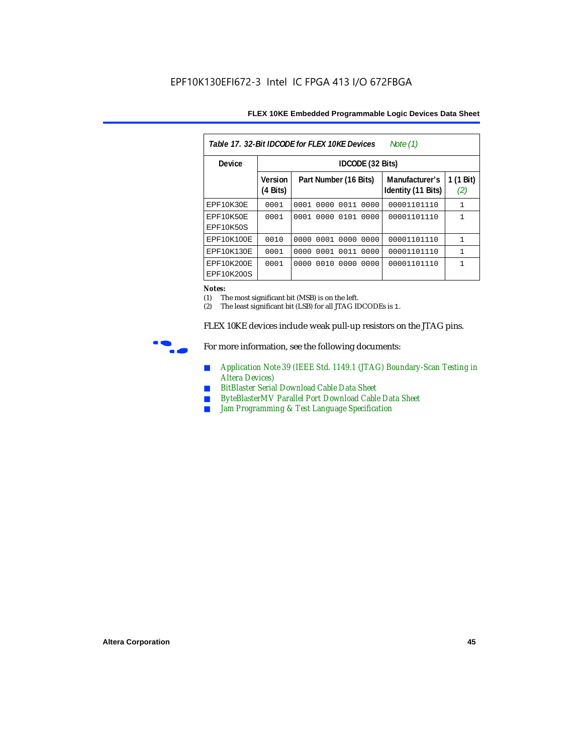| Table 17, 32-Bit IDCODE for FLEX 10KE Devices<br>Note (1) |                            |                       |           |      |                                      |                  |  |  |  |
|-----------------------------------------------------------|----------------------------|-----------------------|-----------|------|--------------------------------------|------------------|--|--|--|
| Device                                                    |                            | IDCODE (32 Bits)      |           |      |                                      |                  |  |  |  |
|                                                           | <b>Version</b><br>(4 Bits) | Part Number (16 Bits) |           |      | Manufacturer's<br>Identity (11 Bits) | 1 (1 Bit)<br>(2) |  |  |  |
| EPF10K30E                                                 | 0001                       | 0001 0000 0011 0000   |           |      | 00001101110                          | $\mathbf{1}$     |  |  |  |
| EPF10K50E<br>EPF10K50S                                    | 0001                       | 0001                  | 0000 0101 | 0000 | 00001101110                          | $\mathbf{1}$     |  |  |  |
| EPF10K100E                                                | 0010                       | 0000                  | 0001 0000 | 0000 | 00001101110                          | $\mathbf{1}$     |  |  |  |
| EPF10K130E                                                | 0001                       | 0001<br>0000          | 0011      | 0000 | 00001101110                          | $\mathbf{1}$     |  |  |  |
| EPF10K200E<br>EPF10K200S                                  | 0001                       | 0000                  | 0010 0000 | 0000 | 00001101110                          | 1                |  |  |  |

#### *Notes:*

(1) The most significant bit (MSB) is on the left.

(2) The least significant bit (LSB) for all JTAG IDCODEs is 1.

FLEX 10KE devices include weak pull-up resistors on the JTAG pins.



For more information, see the following documents:

- *Application Note 39 (IEEE Std. 1149.1 (JTAG) Boundary-Scan Testing in Altera Devices)*
- *BitBlaster Serial Download Cable Data Sheet*
- *ByteBlasterMV Parallel Port Download Cable Data Sheet*
- *Jam Programming & Test Language Specification*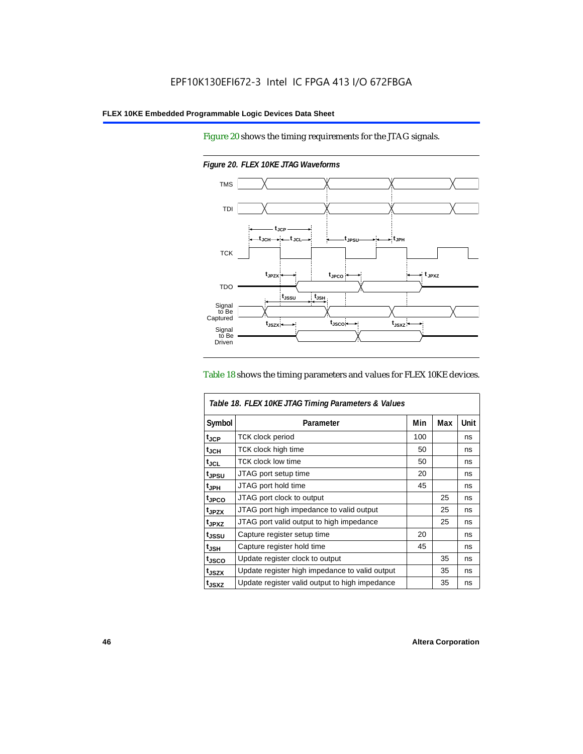Figure 20 shows the timing requirements for the JTAG signals.



*Figure 20. FLEX 10KE JTAG Waveforms*

#### Table 18 shows the timing parameters and values for FLEX 10KE devices.

| Table 18. FLEX 10KE JTAG Timing Parameters & Values |                                                |     |     |      |  |  |
|-----------------------------------------------------|------------------------------------------------|-----|-----|------|--|--|
| Symbol                                              | Parameter                                      | Min | Max | Unit |  |  |
| t <sub>JCP</sub>                                    | <b>TCK clock period</b>                        | 100 |     | ns   |  |  |
| $t_{JCH}$                                           | TCK clock high time                            | 50  |     | ns   |  |  |
| $t_{JCL}$                                           | TCK clock low time                             | 50  |     | ns   |  |  |
| tjpsu                                               | JTAG port setup time                           | 20  |     | ns   |  |  |
| t <sub>JPH</sub>                                    | JTAG port hold time                            | 45  |     | ns   |  |  |
| t <sub>JPCO</sub>                                   | JTAG port clock to output                      |     | 25  | ns   |  |  |
| t <sub>.IPZX</sub>                                  | JTAG port high impedance to valid output       |     | 25  | ns   |  |  |
| t <sub>JPXZ</sub>                                   | JTAG port valid output to high impedance       |     | 25  | ns   |  |  |
| tjssu                                               | Capture register setup time                    | 20  |     | ns   |  |  |
| $t_{JSH}$                                           | Capture register hold time                     | 45  |     | ns   |  |  |
| tjsco                                               | Update register clock to output                |     | 35  | ns   |  |  |
| t <sub>JSZX</sub>                                   | Update register high impedance to valid output |     | 35  | ns   |  |  |
| t <sub>JSXZ</sub>                                   | Update register valid output to high impedance |     | 35  | ns   |  |  |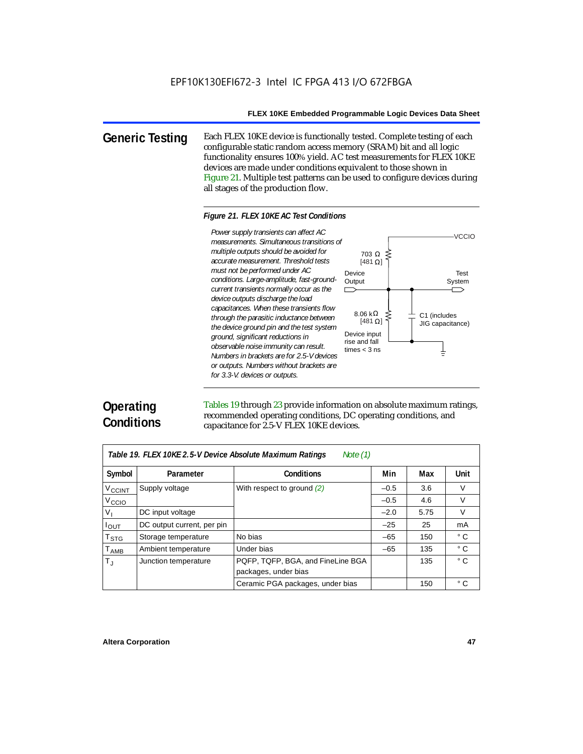**Generic Testing** Each FLEX 10KE device is functionally tested. Complete testing of each configurable static random access memory (SRAM) bit and all logic functionality ensures 100% yield. AC test measurements for FLEX 10KE devices are made under conditions equivalent to those shown in Figure 21. Multiple test patterns can be used to configure devices during all stages of the production flow.

#### *Figure 21. FLEX 10KE AC Test Conditions*

*measurements. Simultaneous transitions of multiple outputs should be avoided for accurate measurement. Threshold tests must not be performed under AC conditions. Large-amplitude, fast-groundcurrent transients normally occur as the device outputs discharge the load capacitances. When these transients flow through the parasitic inductance between the device ground pin and the test system ground, significant reductions in observable noise immunity can result. Numbers in brackets are for 2.5-V devices or outputs. Numbers without brackets are for 3.3-V. devices or outputs.*



# **Operating Conditions**

Tables 19 through 23 provide information on absolute maximum ratings, recommended operating conditions, DC operating conditions, and capacitance for 2.5-V FLEX 10KE devices.

| Note $(1)$<br>Table 19. FLEX 10KE 2.5-V Device Absolute Maximum Ratings |                            |                                   |        |      |              |  |  |  |
|-------------------------------------------------------------------------|----------------------------|-----------------------------------|--------|------|--------------|--|--|--|
| Symbol                                                                  | Parameter                  | <b>Conditions</b>                 | Min    | Max  | <b>Unit</b>  |  |  |  |
| V <sub>CCINT</sub>                                                      | Supply voltage             | With respect to ground $(2)$      | $-0.5$ | 3.6  | V            |  |  |  |
| V <sub>CCIO</sub>                                                       |                            |                                   | $-0.5$ | 4.6  | $\vee$       |  |  |  |
| V <sub>1</sub>                                                          | DC input voltage           |                                   | $-2.0$ | 5.75 | $\vee$       |  |  |  |
| $I_{OUT}$                                                               | DC output current, per pin |                                   | $-25$  | 25   | mA           |  |  |  |
| <b>T</b> <sub>STG</sub>                                                 | Storage temperature        | No bias                           | $-65$  | 150  | $^{\circ}$ C |  |  |  |
| $T_{AMB}$                                                               | Ambient temperature        | Under bias                        | $-65$  | 135  | $^{\circ}$ C |  |  |  |
| $T_{\rm J}$                                                             | Junction temperature       | PQFP, TQFP, BGA, and FineLine BGA |        | 135  | $^{\circ}$ C |  |  |  |
|                                                                         |                            | packages, under bias              |        |      |              |  |  |  |
|                                                                         |                            | Ceramic PGA packages, under bias  |        | 150  | $^{\circ}$ C |  |  |  |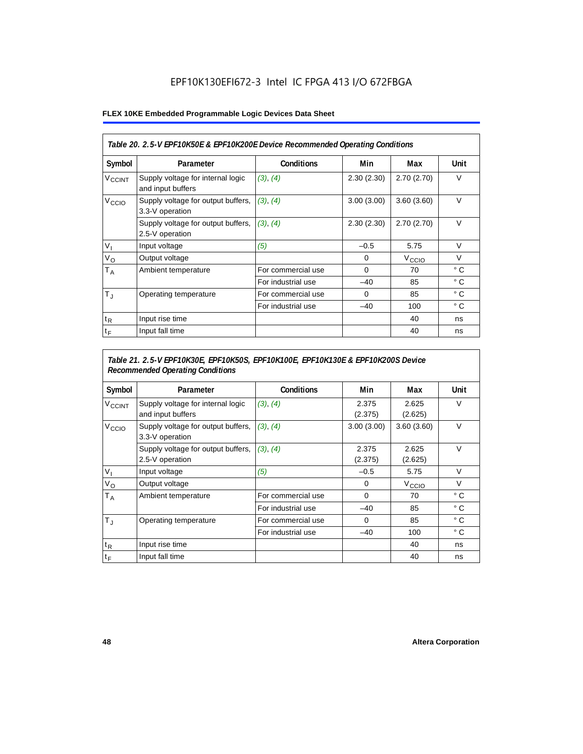# EPF10K130EFI672-3 Intel IC FPGA 413 I/O 672FBGA

#### **FLEX 10KE Embedded Programmable Logic Devices Data Sheet**

| Table 20. 2.5-V EPF10K50E & EPF10K200E Device Recommended Operating Conditions |                                                        |                    |            |                   |              |  |  |
|--------------------------------------------------------------------------------|--------------------------------------------------------|--------------------|------------|-------------------|--------------|--|--|
| Symbol                                                                         | Parameter                                              | <b>Conditions</b>  | Min        | Max               | Unit         |  |  |
| <b>V<sub>CCINT</sub></b>                                                       | Supply voltage for internal logic<br>and input buffers | (3), (4)           | 2.30(2.30) | 2.70(2.70)        | $\vee$       |  |  |
| V <sub>CCIO</sub>                                                              | Supply voltage for output buffers,<br>3.3-V operation  | (3), (4)           | 3.00(3.00) | 3.60(3.60)        | $\vee$       |  |  |
|                                                                                | Supply voltage for output buffers,<br>2.5-V operation  | (3), (4)           | 2.30(2.30) | 2.70(2.70)        | $\vee$       |  |  |
| $V_{1}$                                                                        | Input voltage                                          | (5)                | $-0.5$     | 5.75              | $\vee$       |  |  |
| $V_{\rm O}$                                                                    | Output voltage                                         |                    | 0          | V <sub>CCIO</sub> | $\vee$       |  |  |
| Т <sub>А</sub>                                                                 | Ambient temperature                                    | For commercial use | $\Omega$   | 70                | $^{\circ}$ C |  |  |
|                                                                                |                                                        | For industrial use | $-40$      | 85                | $^{\circ}$ C |  |  |
| $T_{\rm J}$                                                                    | Operating temperature                                  | For commercial use | $\Omega$   | 85                | $^{\circ}$ C |  |  |
|                                                                                |                                                        | For industrial use | $-40$      | 100               | $^{\circ}$ C |  |  |
| $t_{R}$                                                                        | Input rise time                                        |                    |            | 40                | ns           |  |  |
| $t_F$                                                                          | Input fall time                                        |                    |            | 40                | ns           |  |  |

## *Table 21. 2.5-V EPF10K30E, EPF10K50S, EPF10K100E, EPF10K130E & EPF10K200S Device Recommended Operating Conditions*

| Symbol                   | Parameter                                              | <b>Conditions</b>  | Min              | Max               | Unit         |
|--------------------------|--------------------------------------------------------|--------------------|------------------|-------------------|--------------|
| <b>V<sub>CCINT</sub></b> | Supply voltage for internal logic<br>and input buffers | (3), (4)           | 2.375<br>(2.375) | 2.625<br>(2.625)  | $\vee$       |
| V <sub>CCIO</sub>        | Supply voltage for output buffers,<br>3.3-V operation  | (3), (4)           | 3.00(3.00)       | 3.60(3.60)        | $\vee$       |
|                          | Supply voltage for output buffers,<br>2.5-V operation  | (3), (4)           | 2.375<br>(2.375) | 2.625<br>(2.625)  | $\vee$       |
| $V_{1}$                  | Input voltage                                          | (5)                | $-0.5$           | 5.75              | $\vee$       |
| $V_{\rm O}$              | Output voltage                                         |                    | 0                | V <sub>CCIO</sub> | $\vee$       |
| $T_A$                    | Ambient temperature                                    | For commercial use | 0                | 70                | ° C          |
|                          |                                                        | For industrial use | $-40$            | 85                | $^{\circ}$ C |
| $T_{\rm J}$              | Operating temperature                                  | For commercial use | 0                | 85                | °C           |
|                          |                                                        | For industrial use | $-40$            | 100               | $^{\circ}$ C |
| $t_{R}$                  | Input rise time                                        |                    |                  | 40                | ns           |
| $t_F$                    | Input fall time                                        |                    |                  | 40                | ns           |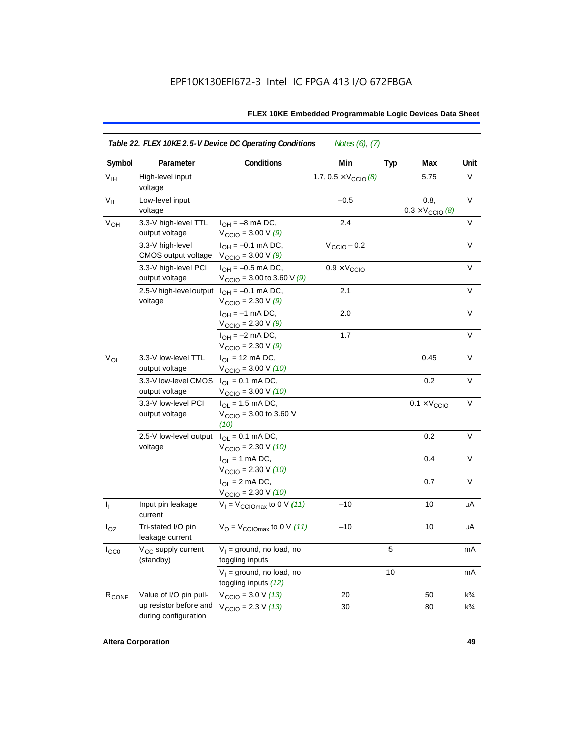| Symbol            | Parameter                                      | Conditions                                                              | Min                                   | <b>Typ</b> | Max                                      | Unit           |
|-------------------|------------------------------------------------|-------------------------------------------------------------------------|---------------------------------------|------------|------------------------------------------|----------------|
| V <sub>IH</sub>   | High-level input<br>voltage                    |                                                                         | 1.7, $0.5 \times V_{\text{CCIO}}$ (8) |            | 5.75                                     | V              |
| $V_{IL}$          | Low-level input<br>voltage                     |                                                                         | $-0.5$                                |            | 0.8,<br>$0.3 \times V_{\text{CCIO}}$ (8) | $\vee$         |
| V <sub>OH</sub>   | 3.3-V high-level TTL<br>output voltage         | $I_{OH} = -8$ mA DC,<br>$V_{\text{CCIO}} = 3.00 \text{ V} (9)$          | 2.4                                   |            |                                          | V              |
|                   | 3.3-V high-level<br>CMOS output voltage        | $I_{OH} = -0.1$ mA DC,<br>$V_{\text{CCIO}} = 3.00 V (9)$                | $V_{\text{CCIO}} - 0.2$               |            |                                          | V              |
|                   | 3.3-V high-level PCI<br>output voltage         | $I_{OH} = -0.5$ mA DC,<br>$V_{\text{CCIO}} = 3.00$ to 3.60 V (9)        | $0.9 \times V_{\text{CCIO}}$          |            |                                          | $\vee$         |
|                   | 2.5-V high-level output<br>voltage             | $I_{OH} = -0.1$ mA DC,<br>$V_{\text{CCIO}} = 2.30 \text{ V} (9)$        | 2.1                                   |            |                                          | V              |
|                   |                                                | $I_{OH} = -1$ mA DC,<br>$V_{\text{CCIO}} = 2.30 \text{ V} (9)$          | 2.0                                   |            |                                          | V              |
|                   |                                                | $I_{OH} = -2$ mA DC,<br>$V_{\text{CCIO}} = 2.30 \text{ V} (9)$          | 1.7                                   |            |                                          | V              |
| $V_{OL}$          | 3.3-V low-level TTL<br>output voltage          | $I_{\text{OI}} = 12 \text{ mA DC}$ ,<br>$V_{\text{CCIO}} = 3.00 V (10)$ |                                       |            | 0.45                                     | $\vee$         |
|                   | 3.3-V low-level CMOS<br>output voltage         | $I_{OL} = 0.1$ mA DC,<br>$V_{\text{CCIO}} = 3.00 V (10)$                |                                       |            | 0.2                                      | V              |
|                   | 3.3-V low-level PCI<br>output voltage          | $I_{OL}$ = 1.5 mA DC,<br>$V_{\text{CCIO}} = 3.00$ to 3.60 V<br>(10)     |                                       |            | $0.1 \times V_{\text{CCIO}}$             | V              |
|                   | 2.5-V low-level output<br>voltage              | $I_{\Omega} = 0.1$ mA DC,<br>$V_{\text{CCIO}} = 2.30 \text{ V} (10)$    |                                       |            | 0.2                                      | $\vee$         |
|                   |                                                | $I_{OL}$ = 1 mA DC,<br>$V_{\text{CCIO}} = 2.30 V (10)$                  |                                       |            | 0.4                                      | V              |
|                   |                                                | $I_{OL} = 2$ mA DC,<br>$V_{\text{CCIO}} = 2.30 V (10)$                  |                                       |            | 0.7                                      | $\vee$         |
| $I_1$             | Input pin leakage<br>current                   | $V_1 = V_{\text{CCIOMax}}$ to 0 V (11)                                  | $-10$                                 |            | 10                                       | μA             |
| $I_{OZ}$          | Tri-stated I/O pin<br>leakage current          | $V_{\rm O}$ = $V_{\rm CClOmax}$ to 0 V (11)                             | $-10$                                 |            | 10                                       | μA             |
| $I_{CC0}$         | V <sub>CC</sub> supply current<br>(standby)    | $V_1$ = ground, no load, no<br>toggling inputs                          |                                       | 5          |                                          | mA             |
|                   |                                                | $V_1$ = ground, no load, no<br>toggling inputs (12)                     |                                       | 10         |                                          | mA             |
| R <sub>CONF</sub> | Value of I/O pin pull-                         | $V_{\text{CCIO}} = 3.0 V (13)$                                          | 20                                    |            | 50                                       | $k\frac{3}{4}$ |
|                   | up resistor before and<br>during configuration | $V_{\text{CCIO}} = 2.3 V (13)$                                          | 30                                    |            | 80                                       | $k\frac{3}{4}$ |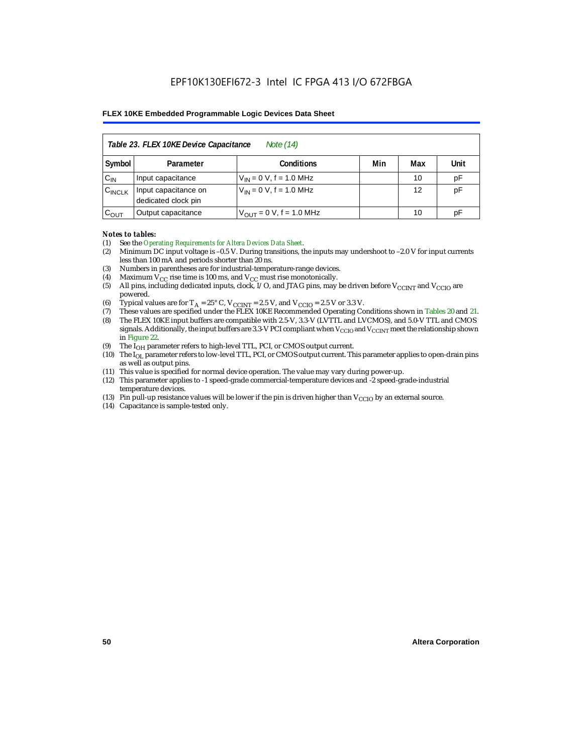| Table 23. FLEX 10KE Device Capacitance<br>Note (14) |                                                      |                               |  |    |    |  |  |  |
|-----------------------------------------------------|------------------------------------------------------|-------------------------------|--|----|----|--|--|--|
| Symbol                                              | Min<br>Unit<br><b>Conditions</b><br>Max<br>Parameter |                               |  |    |    |  |  |  |
| $C_{IN}$                                            | Input capacitance                                    | $V_{IN} = 0 V$ , f = 1.0 MHz  |  | 10 | pF |  |  |  |
| $C_{\text{INCLK}}$                                  | Input capacitance on<br>dedicated clock pin          | $V_{IN} = 0 V$ , f = 1.0 MHz  |  | 12 | pF |  |  |  |
| $C_{OUT}$                                           | Output capacitance                                   | $V_{OUT} = 0 V$ , f = 1.0 MHz |  | 10 | рF |  |  |  |

#### *Notes to tables:*

- (1) See the *Operating Requirements for Altera Devices Data Sheet*.
- (2) Minimum DC input voltage is –0.5 V. During transitions, the inputs may undershoot to –2.0 V for input currents less than 100 mA and periods shorter than 20 ns.
- (3) Numbers in parentheses are for industrial-temperature-range devices.
- (4) Maximum  $V_{CC}$  rise time is 100 ms, and  $V_{CC}$  must rise monotonically.<br>(5) All pins, including dedicated inputs, clock, I/O, and JTAG pins, may
- All pins, including dedicated inputs, clock, I/O, and JTAG pins, may be driven before  $V_{CCTNT}$  and  $V_{CCTO}$  are powered.
- (6) Typical values are for  $T_A = 25^\circ$  C,  $V_{CClNT} = 2.5$  V, and  $V_{CClO} = 2.5$  V or 3.3 V.<br>(7) These values are specified under the FLEX 10KE Recommended Operating Co
- (7) These values are specified under the FLEX 10KE Recommended Operating Conditions shown in Tables 20 and 21.<br>(8) The FLEX 10KE input buffers are compatible with 2.5-V. 3.3-V (LVTTL and LVCMOS), and 5.0-V TTL and CMOS (8) The FLEX 10KE input buffers are compatible with 2.5-V, 3.3-V (LVTTL and LVCMOS), and 5.0-V TTL and CMOS
- signals. Additionally, the input buffers are 3.3-V PCI compliant when  $V_{CCIO}$  and  $V_{CCIVT}$  meet the relationship shown in Figure 22.
- (9) The  $I<sub>OH</sub>$  parameter refers to high-level TTL, PCI, or CMOS output current.
- (10) The IOL parameter refers to low-level TTL, PCI, or CMOS output current. This parameter applies to open-drain pins as well as output pins.
- (11) This value is specified for normal device operation. The value may vary during power-up.
- (12) This parameter applies to -1 speed-grade commercial-temperature devices and -2 speed-grade-industrial temperature devices.
- (13) Pin pull-up resistance values will be lower if the pin is driven higher than  $V_{CCIO}$  by an external source.
- (14) Capacitance is sample-tested only.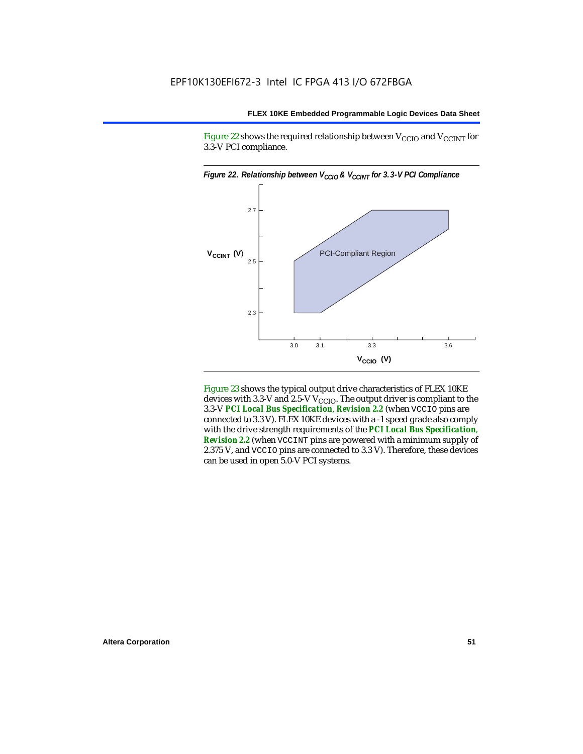Figure 22 shows the required relationship between  $V_{\text{CCIO}}$  and  $V_{\text{CCINT}}$  for 3.3-V PCI compliance.



Figure 23 shows the typical output drive characteristics of FLEX 10KE devices with 3.3-V and 2.5-V  $V_{\text{CCIO}}$ . The output driver is compliant to the 3.3-V *PCI Local Bus Specification*, *Revision 2.2* (when VCCIO pins are connected to 3.3 V). FLEX 10KE devices with a -1 speed grade also comply with the drive strength requirements of the *PCI Local Bus Specification*, *Revision 2.2* (when VCCINT pins are powered with a minimum supply of 2.375 V, and VCCIO pins are connected to 3.3 V). Therefore, these devices can be used in open 5.0-V PCI systems.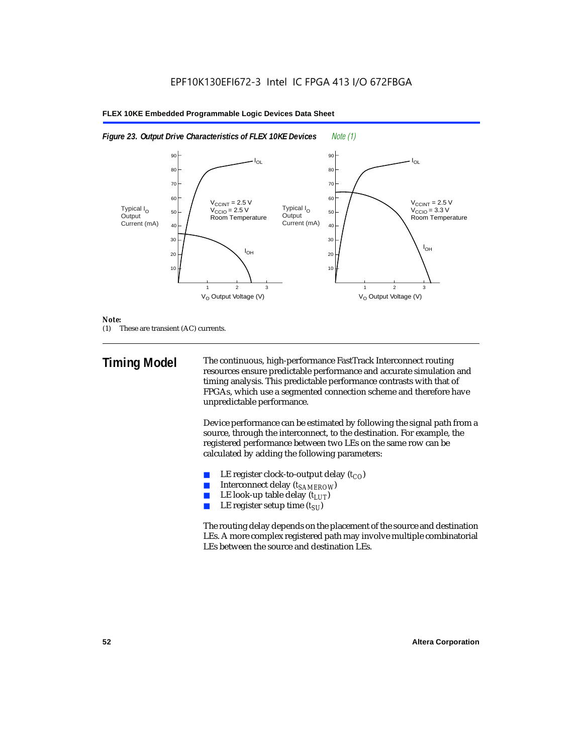

#### *Note:*

(1) These are transient (AC) currents.

**Timing Model** The continuous, high-performance FastTrack Interconnect routing resources ensure predictable performance and accurate simulation and timing analysis. This predictable performance contrasts with that of FPGAs, which use a segmented connection scheme and therefore have unpredictable performance.

> Device performance can be estimated by following the signal path from a source, through the interconnect, to the destination. For example, the registered performance between two LEs on the same row can be calculated by adding the following parameters:

- LE register clock-to-output delay  $(t_{CO})$
- **■** Interconnect delay  $(t_{SAMEROW})$ <br> **■** I.E look-up table delay  $(t_{LUT})$
- LE look-up table delay  $(t_{LUT})$
- LE register setup time  $(t_{SI})$

The routing delay depends on the placement of the source and destination LEs. A more complex registered path may involve multiple combinatorial LEs between the source and destination LEs.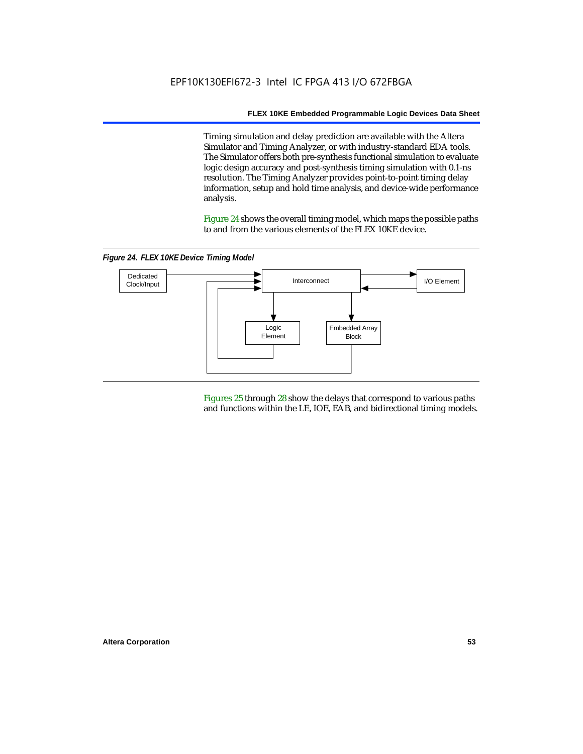Timing simulation and delay prediction are available with the Altera Simulator and Timing Analyzer, or with industry-standard EDA tools. The Simulator offers both pre-synthesis functional simulation to evaluate logic design accuracy and post-synthesis timing simulation with 0.1-ns resolution. The Timing Analyzer provides point-to-point timing delay information, setup and hold time analysis, and device-wide performance analysis.

Figure 24 shows the overall timing model, which maps the possible paths to and from the various elements of the FLEX 10KE device.

*Figure 24. FLEX 10KE Device Timing Model*



Figures 25 through 28 show the delays that correspond to various paths and functions within the LE, IOE, EAB, and bidirectional timing models.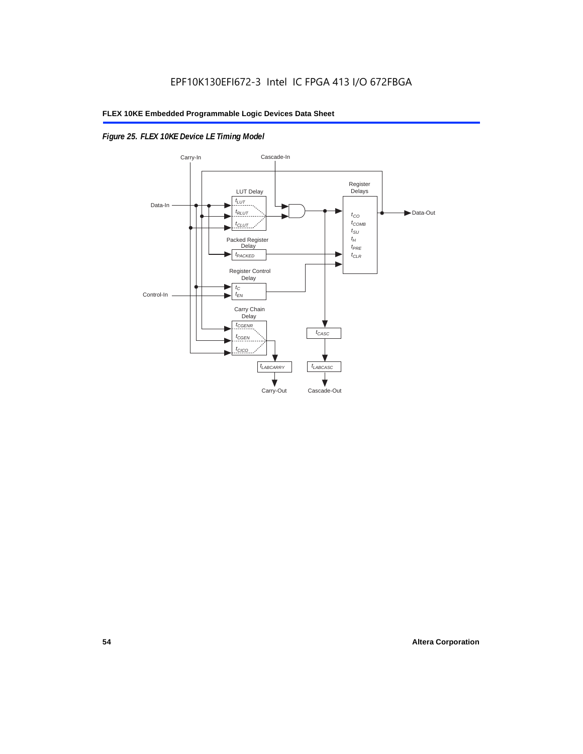# *Figure 25. FLEX 10KE Device LE Timing Model*

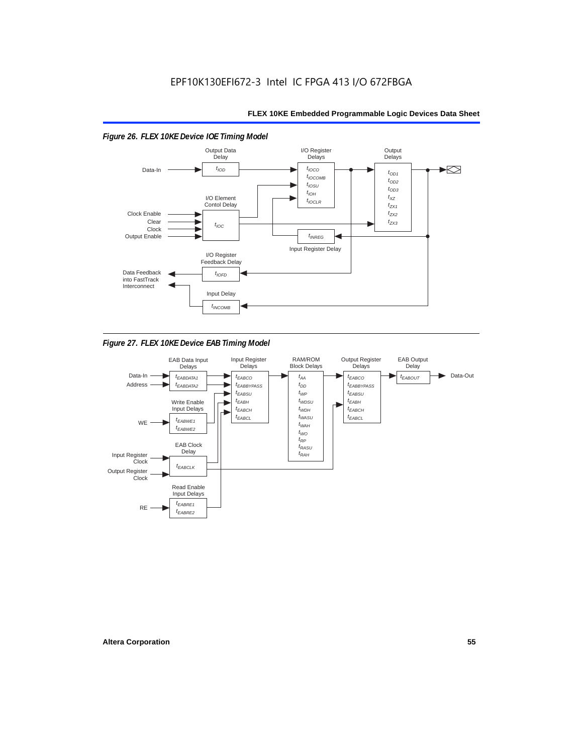

*Figure 27. FLEX 10KE Device EAB Timing Model*

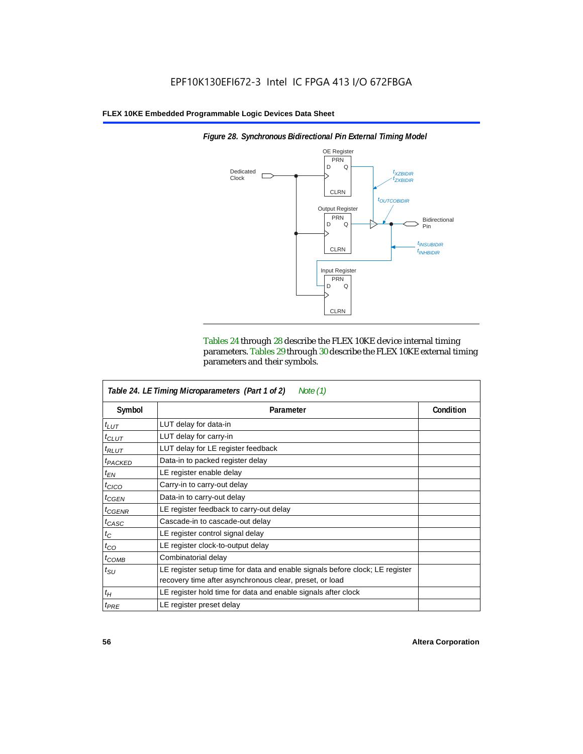

*Figure 28. Synchronous Bidirectional Pin External Timing Model*

Tables 24 through 28 describe the FLEX 10KE device internal timing parameters. Tables 29 through 30 describe the FLEX 10KE external timing parameters and their symbols.

| Table 24. LE Timing Microparameters (Part 1 of 2)<br>Note $(1)$ |                                                                                                                                         |           |  |  |
|-----------------------------------------------------------------|-----------------------------------------------------------------------------------------------------------------------------------------|-----------|--|--|
| Symbol                                                          | Parameter                                                                                                                               | Condition |  |  |
| $t_{LUT}$                                                       | LUT delay for data-in                                                                                                                   |           |  |  |
| $t_{CLUT}$                                                      | LUT delay for carry-in                                                                                                                  |           |  |  |
| $t_{RLUT}$                                                      | LUT delay for LE register feedback                                                                                                      |           |  |  |
| <sup>t</sup> PACKED                                             | Data-in to packed register delay                                                                                                        |           |  |  |
| $t_{EN}$                                                        | LE register enable delay                                                                                                                |           |  |  |
| $t_{CICO}$                                                      | Carry-in to carry-out delay                                                                                                             |           |  |  |
| $t_{GEN}$                                                       | Data-in to carry-out delay                                                                                                              |           |  |  |
| ${}^t$ CGENR                                                    | LE register feedback to carry-out delay                                                                                                 |           |  |  |
| $t_{CASC}$                                                      | Cascade-in to cascade-out delay                                                                                                         |           |  |  |
| $t_C$                                                           | LE register control signal delay                                                                                                        |           |  |  |
| $t_{CO}$                                                        | LE register clock-to-output delay                                                                                                       |           |  |  |
| $t_{COMB}$                                                      | Combinatorial delay                                                                                                                     |           |  |  |
| $t_{\rm SU}$                                                    | LE register setup time for data and enable signals before clock; LE register<br>recovery time after asynchronous clear, preset, or load |           |  |  |
| $t_H$                                                           | LE register hold time for data and enable signals after clock                                                                           |           |  |  |
| $t_{PRE}$                                                       | LE register preset delay                                                                                                                |           |  |  |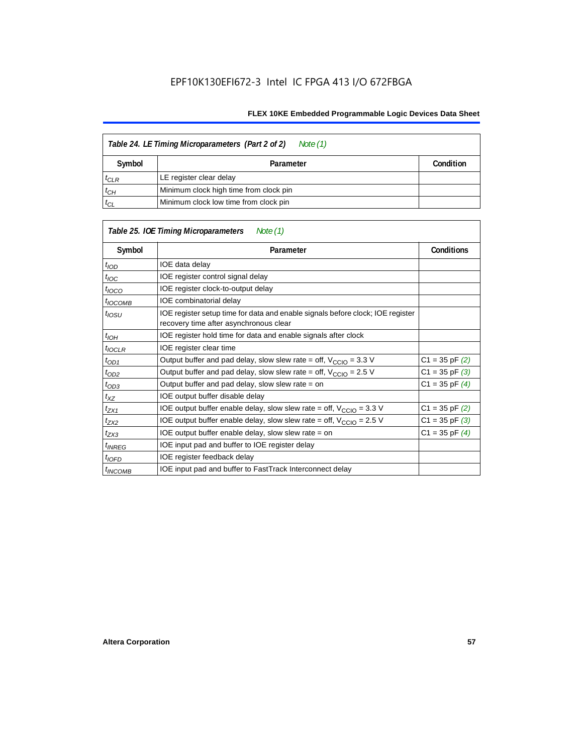| Table 24. LE Timing Microparameters (Part 2 of 2)<br>Note (1) |                                        |  |  |  |  |
|---------------------------------------------------------------|----------------------------------------|--|--|--|--|
| Symbol                                                        | Condition<br>Parameter                 |  |  |  |  |
| $t_{CLR}$                                                     | LE register clear delay                |  |  |  |  |
| $t_{CH}$                                                      | Minimum clock high time from clock pin |  |  |  |  |
| $t_{CL}$                                                      | Minimum clock low time from clock pin  |  |  |  |  |

| Table 25. IOE Timing Microparameters<br>Note (1) |                                                                                                                          |                    |  |  |  |
|--------------------------------------------------|--------------------------------------------------------------------------------------------------------------------------|--------------------|--|--|--|
| Symbol                                           | Parameter                                                                                                                | <b>Conditions</b>  |  |  |  |
| $t$ <sub>IOD</sub>                               | IOE data delay                                                                                                           |                    |  |  |  |
| $t_{\text{IOC}}$                                 | IOE register control signal delay                                                                                        |                    |  |  |  |
| $t_{\text{IOCO}}$                                | IOE register clock-to-output delay                                                                                       |                    |  |  |  |
| <sup>t</sup> IOCOMB                              | IOE combinatorial delay                                                                                                  |                    |  |  |  |
| t <sub>iosu</sub>                                | IOE register setup time for data and enable signals before clock; IOE register<br>recovery time after asynchronous clear |                    |  |  |  |
| t <sub>IOH</sub>                                 | IOE register hold time for data and enable signals after clock                                                           |                    |  |  |  |
| $t_{IOCLR}$                                      | IOE register clear time                                                                                                  |                    |  |  |  |
| $t_{OD1}$                                        | Output buffer and pad delay, slow slew rate = off, $V_{CClO}$ = 3.3 V                                                    | $C1 = 35$ pF $(2)$ |  |  |  |
| $t_{OD2}$                                        | Output buffer and pad delay, slow slew rate = off, $V_{\text{CCIO}} = 2.5$ V                                             | $C1 = 35$ pF $(3)$ |  |  |  |
| $t_{OD3}$                                        | Output buffer and pad delay, slow slew rate $=$ on                                                                       | $C1 = 35$ pF $(4)$ |  |  |  |
| $t_{XZ}$                                         | IOE output buffer disable delay                                                                                          |                    |  |  |  |
| $t_{ZX1}$                                        | IOE output buffer enable delay, slow slew rate = off, $V_{\text{CCIO}} = 3.3 \text{ V}$                                  | $C1 = 35$ pF $(2)$ |  |  |  |
| t <sub>ZX2</sub>                                 | IOE output buffer enable delay, slow slew rate = off, $V_{\text{CCIO}} = 2.5 V$                                          | $C1 = 35$ pF $(3)$ |  |  |  |
| $t_{ZX3}$                                        | IOE output buffer enable delay, slow slew rate $=$ on                                                                    | $C1 = 35$ pF $(4)$ |  |  |  |
| <i>t<sub>INREG</sub></i>                         | IOE input pad and buffer to IOE register delay                                                                           |                    |  |  |  |
| $t_{IOFD}$                                       | IOE register feedback delay                                                                                              |                    |  |  |  |
| $t_{INCOMB}$                                     | IOE input pad and buffer to FastTrack Interconnect delay                                                                 |                    |  |  |  |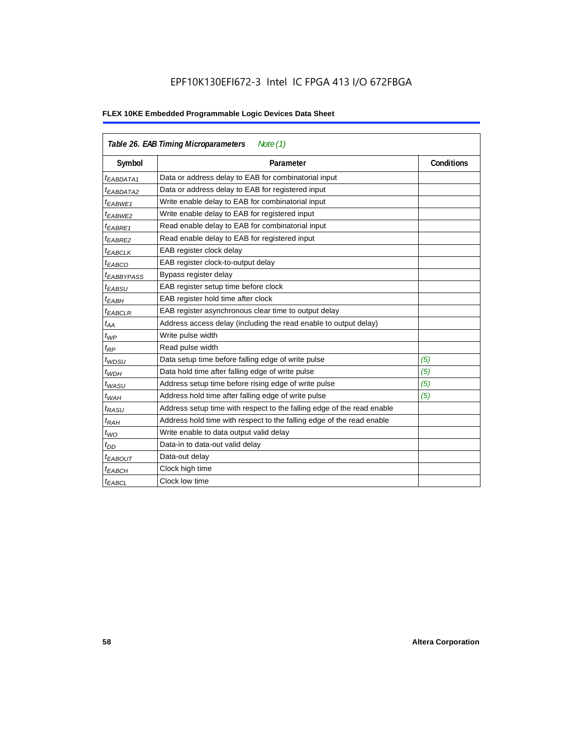# EPF10K130EFI672-3 Intel IC FPGA 413 I/O 672FBGA

| Table 26. EAB Timing Microparameters<br>Note $(1)$ |                                                                        |                   |  |  |
|----------------------------------------------------|------------------------------------------------------------------------|-------------------|--|--|
| Symbol                                             | Parameter                                                              | <b>Conditions</b> |  |  |
| <sup>t</sup> EABDATA1                              | Data or address delay to EAB for combinatorial input                   |                   |  |  |
| <sup>t</sup> EABDATA2                              | Data or address delay to EAB for registered input                      |                   |  |  |
| <sup>t</sup> EABWE1                                | Write enable delay to EAB for combinatorial input                      |                   |  |  |
| <sup>t</sup> EABWE2                                | Write enable delay to EAB for registered input                         |                   |  |  |
| <sup>t</sup> EABRE1                                | Read enable delay to EAB for combinatorial input                       |                   |  |  |
| <sup>t</sup> EABRE2                                | Read enable delay to EAB for registered input                          |                   |  |  |
| <sup>t</sup> EABCLK                                | EAB register clock delay                                               |                   |  |  |
| <sup>t</sup> ЕАВСО                                 | EAB register clock-to-output delay                                     |                   |  |  |
| <sup>t</sup> EABBYPASS                             | Bypass register delay                                                  |                   |  |  |
| <sup>t</sup> EABSU                                 | EAB register setup time before clock                                   |                   |  |  |
| <sup>t</sup> EABH                                  | EAB register hold time after clock                                     |                   |  |  |
| <sup>t</sup> EABCLR                                | EAB register asynchronous clear time to output delay                   |                   |  |  |
| $t_{AA}$                                           | Address access delay (including the read enable to output delay)       |                   |  |  |
| $t_{WP}$                                           | Write pulse width                                                      |                   |  |  |
| $t_{RP}$                                           | Read pulse width                                                       |                   |  |  |
| $t_{WDSU}$                                         | Data setup time before falling edge of write pulse                     | (5)               |  |  |
| $t_{WDH}$                                          | Data hold time after falling edge of write pulse                       | (5)               |  |  |
| $t_{WASU}$                                         | Address setup time before rising edge of write pulse                   | (5)               |  |  |
| $t_{WAH}$                                          | Address hold time after falling edge of write pulse                    | (5)               |  |  |
| t <sub>RASU</sub>                                  | Address setup time with respect to the falling edge of the read enable |                   |  |  |
| $t_{RAH}$                                          | Address hold time with respect to the falling edge of the read enable  |                   |  |  |
| $t_{WO}$                                           | Write enable to data output valid delay                                |                   |  |  |
| $t_{DD}$                                           | Data-in to data-out valid delay                                        |                   |  |  |
| $t_{EABOUT}$                                       | Data-out delay                                                         |                   |  |  |
| <sup>t</sup> ЕАВСН                                 | Clock high time                                                        |                   |  |  |
| $t_{EABCL}$                                        | Clock low time                                                         |                   |  |  |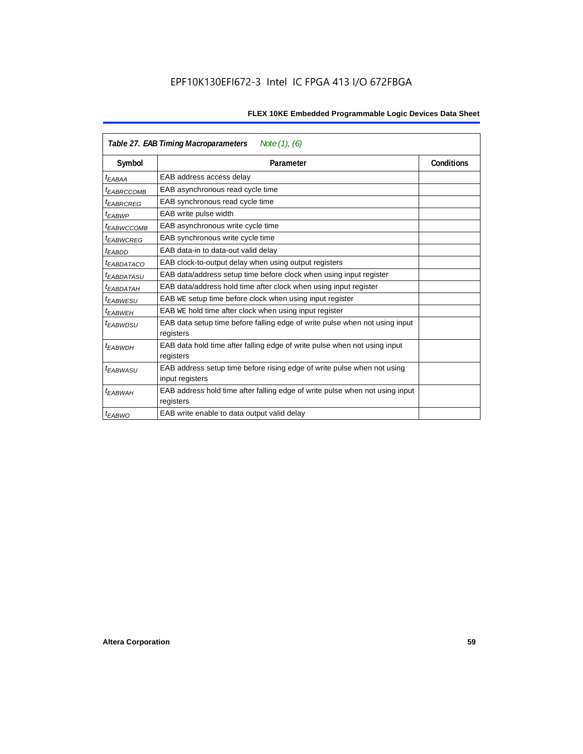| Table 27. EAB Timing Macroparameters<br>Note $(1)$ , $(6)$ |                                                                              |                   |  |  |  |
|------------------------------------------------------------|------------------------------------------------------------------------------|-------------------|--|--|--|
| Symbol                                                     | Parameter                                                                    | <b>Conditions</b> |  |  |  |
| <sup>t</sup> EABAA                                         | EAB address access delay                                                     |                   |  |  |  |
| <sup>t</sup> EABRCCOMB                                     | EAB asynchronous read cycle time                                             |                   |  |  |  |
| <sup>t</sup> EABRCREG                                      | EAB synchronous read cycle time                                              |                   |  |  |  |
| <sup>t</sup> EABWP                                         | EAB write pulse width                                                        |                   |  |  |  |
| <sup>t</sup> ЕАВWССОМВ                                     | EAB asynchronous write cycle time                                            |                   |  |  |  |
| <sup>t</sup> EABWCREG                                      | EAB synchronous write cycle time                                             |                   |  |  |  |
| <sup>t</sup> EABDD                                         | EAB data-in to data-out valid delay                                          |                   |  |  |  |
| <sup>t</sup> EABDATACO                                     | EAB clock-to-output delay when using output registers                        |                   |  |  |  |
| <sup>t</sup> EABDATASU                                     | EAB data/address setup time before clock when using input register           |                   |  |  |  |
| <sup>t</sup> EABDATAH                                      | EAB data/address hold time after clock when using input register             |                   |  |  |  |
| <sup>t</sup> EABWESU                                       | EAB WE setup time before clock when using input register                     |                   |  |  |  |
| <sup>t</sup> EABWEH                                        | EAB WE hold time after clock when using input register                       |                   |  |  |  |
| t <sub>EABWDSU</sub>                                       | EAB data setup time before falling edge of write pulse when not using input  |                   |  |  |  |
|                                                            | registers                                                                    |                   |  |  |  |
| t <sub>EABWDH</sub>                                        | EAB data hold time after falling edge of write pulse when not using input    |                   |  |  |  |
|                                                            | registers                                                                    |                   |  |  |  |
| t <sub>EABWASU</sub>                                       | EAB address setup time before rising edge of write pulse when not using      |                   |  |  |  |
|                                                            | input registers                                                              |                   |  |  |  |
| t <sub>EABWAH</sub>                                        | EAB address hold time after falling edge of write pulse when not using input |                   |  |  |  |
|                                                            | registers                                                                    |                   |  |  |  |
| t <sub>EABWO</sub>                                         | EAB write enable to data output valid delay                                  |                   |  |  |  |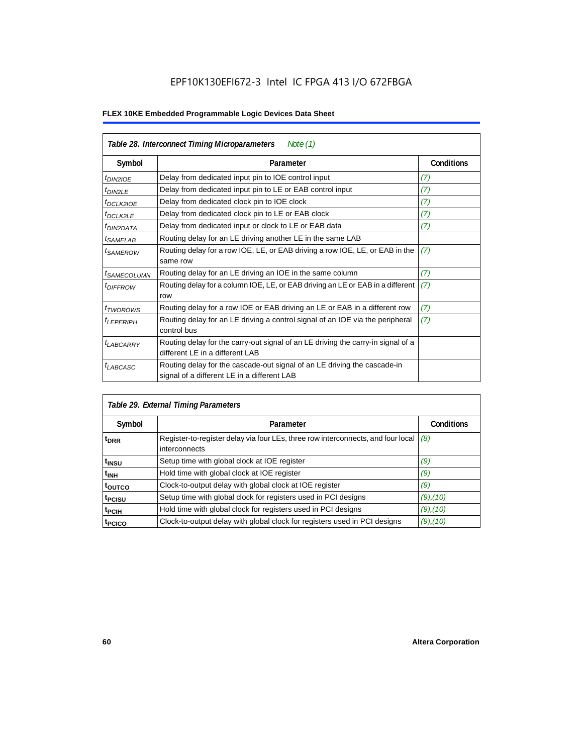| Table 28. Interconnect Timing Microparameters<br>Note $(1)$ |                                                                                                                         |                   |  |  |
|-------------------------------------------------------------|-------------------------------------------------------------------------------------------------------------------------|-------------------|--|--|
| Symbol                                                      | Parameter                                                                                                               | <b>Conditions</b> |  |  |
| <sup>t</sup> DIN2IOE                                        | Delay from dedicated input pin to IOE control input                                                                     | (7)               |  |  |
| $t_{DIN2LE}$                                                | Delay from dedicated input pin to LE or EAB control input                                                               | (7)               |  |  |
| <sup>t</sup> DCLK2IOE                                       | Delay from dedicated clock pin to IOE clock                                                                             | (7)               |  |  |
| <sup>t</sup> DCLK2LE                                        | Delay from dedicated clock pin to LE or EAB clock                                                                       | (7)               |  |  |
| <sup>I</sup> DIN2DATA                                       | Delay from dedicated input or clock to LE or EAB data                                                                   | (7)               |  |  |
| <sup>t</sup> SAMELAB                                        | Routing delay for an LE driving another LE in the same LAB                                                              |                   |  |  |
| <sup>t</sup> SAMEROW                                        | Routing delay for a row IOE, LE, or EAB driving a row IOE, LE, or EAB in the<br>same row                                | (7)               |  |  |
| <sup>I</sup> SAMECOLUMN                                     | Routing delay for an LE driving an IOE in the same column                                                               | (7)               |  |  |
| <i><b>IDIFFROW</b></i>                                      | Routing delay for a column IOE, LE, or EAB driving an LE or EAB in a different<br>row                                   | (7)               |  |  |
| t <sub>TWOROWS</sub>                                        | Routing delay for a row IOE or EAB driving an LE or EAB in a different row                                              | (7)               |  |  |
| <sup>I</sup> LEPERIPH                                       | Routing delay for an LE driving a control signal of an IOE via the peripheral<br>control bus                            | (7)               |  |  |
| <b>LABCARRY</b>                                             | Routing delay for the carry-out signal of an LE driving the carry-in signal of a<br>different LE in a different LAB     |                   |  |  |
| t <sub>LABCASC</sub>                                        | Routing delay for the cascade-out signal of an LE driving the cascade-in<br>signal of a different LE in a different LAB |                   |  |  |

| Table 29. External Timing Parameters |                                                                                                   |                   |  |  |  |
|--------------------------------------|---------------------------------------------------------------------------------------------------|-------------------|--|--|--|
| Symbol                               | Parameter                                                                                         | <b>Conditions</b> |  |  |  |
| <sup>t</sup> DRR                     | Register-to-register delay via four LEs, three row interconnects, and four local<br>interconnects | (8)               |  |  |  |
| t <sub>insu</sub>                    | Setup time with global clock at IOE register                                                      | (9)               |  |  |  |
| $t_{\rm INH}$                        | Hold time with global clock at IOE register                                                       | (9)               |  |  |  |
| toutco                               | Clock-to-output delay with global clock at IOE register                                           | (9)               |  |  |  |
| t <sub>PCISU</sub>                   | Setup time with global clock for registers used in PCI designs                                    | $(9)$ , $(10)$    |  |  |  |
| <sup>t</sup> PCIH                    | Hold time with global clock for registers used in PCI designs                                     | $(9)$ , $(10)$    |  |  |  |
| <sup>t</sup> PCICO                   | Clock-to-output delay with global clock for registers used in PCI designs                         | $(9)$ , $(10)$    |  |  |  |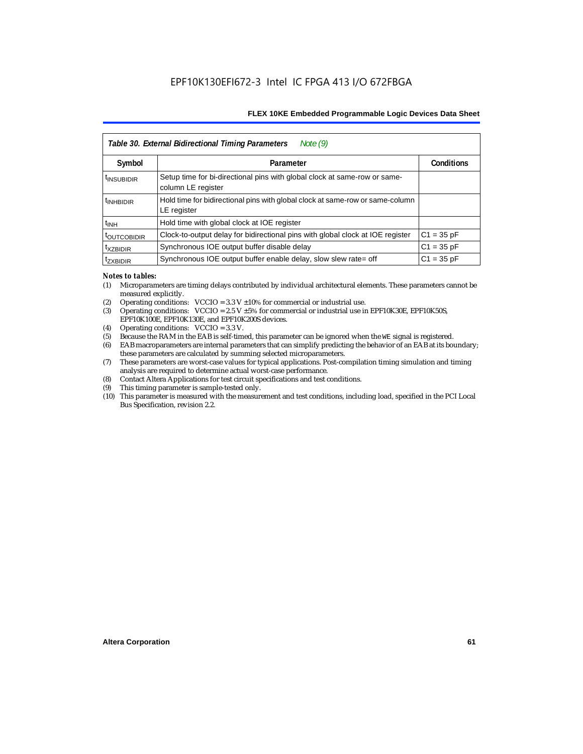| Table 30. External Bidirectional Timing Parameters<br>Note $(9)$ |                                                                                                 |                   |  |  |  |  |
|------------------------------------------------------------------|-------------------------------------------------------------------------------------------------|-------------------|--|--|--|--|
| Symbol                                                           | Parameter                                                                                       | <b>Conditions</b> |  |  |  |  |
| <sup>t</sup> INSUBIDIR                                           | Setup time for bi-directional pins with global clock at same-row or same-<br>column LE register |                   |  |  |  |  |
| <sup>t</sup> INHBIDIR                                            | Hold time for bidirectional pins with global clock at same-row or same-column<br>LE register    |                   |  |  |  |  |
| $t_{\text{INH}}$                                                 | Hold time with global clock at IOE register                                                     |                   |  |  |  |  |
| <b><i>LOUTCOBIDIR</i></b>                                        | Clock-to-output delay for bidirectional pins with global clock at IOE register                  | $C1 = 35 pF$      |  |  |  |  |
| <sup>t</sup> XZBIDIR                                             | Synchronous IOE output buffer disable delay                                                     | $C1 = 35 pF$      |  |  |  |  |
| <sup>I</sup> ZXBIDIR                                             | Synchronous IOE output buffer enable delay, slow slew rate= off                                 | $C1 = 35 pF$      |  |  |  |  |

#### *Notes to tables:*

- (1) Microparameters are timing delays contributed by individual architectural elements. These parameters cannot be measured explicitly.
- (2) Operating conditions:  $VCCIO = 3.3 V ±10%$  for commercial or industrial use.<br>(3) Operating conditions:  $VCCIO = 2.5 V ±5%$  for commercial or industrial use in
- Operating conditions: VCCIO =  $2.5$  V  $\pm 5$ % for commercial or industrial use in EPF10K30E, EPF10K50S, EPF10K100E, EPF10K130E, and EPF10K200S devices.
- (4) Operating conditions: VCCIO = 3.3 V.
- (5) Because the RAM in the EAB is self-timed, this parameter can be ignored when the WE signal is registered.<br>(6) EAB macroparameters are internal parameters that can simplify predicting the behavior of an EAB at its bor
- EAB macroparameters are internal parameters that can simplify predicting the behavior of an EAB at its boundary; these parameters are calculated by summing selected microparameters.
- (7) These parameters are worst-case values for typical applications. Post-compilation timing simulation and timing analysis are required to determine actual worst-case performance.
- (8) Contact Altera Applications for test circuit specifications and test conditions.
- (9) This timing parameter is sample-tested only.
- (10) This parameter is measured with the measurement and test conditions, including load, specified in the PCI Local Bus Specification, revision 2.2.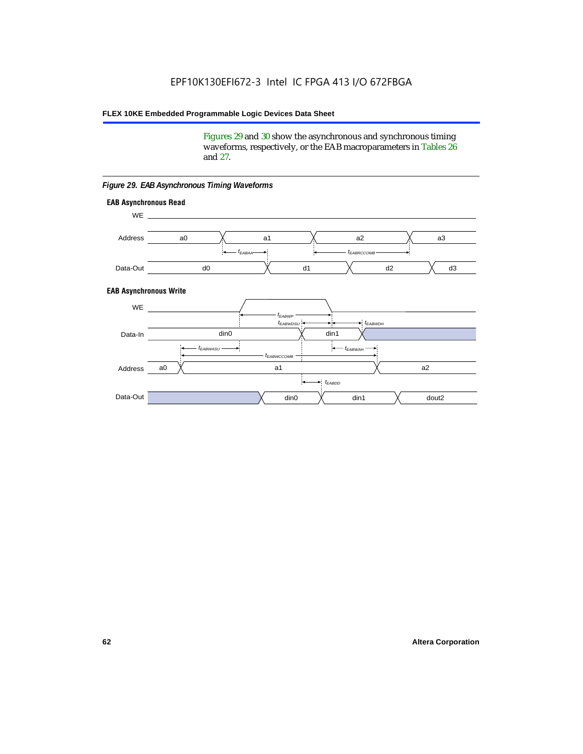Figures 29 and 30 show the asynchronous and synchronous timing waveforms, respectively, or the EAB macroparameters in Tables 26 and 27.

**EAB Asynchronous Write EAB Asynchronous Read** WE. a0 d0 d3  $t_{EABRCCOMB}$ a1 *《*、 a2 *《*、 a3 d2  $t_{FABA}$ d1 Address Data-Out WE a0 din1  $\chi$  dout2  $t_{EABDD}$ a1 a2 din1 din0  $t_{EABWCCOMB}$  $t_{EABWASU}$   $\longrightarrow$  $t_{EABWDSU}$  +  $\longrightarrow$   $t_{EABWDH}$  $t_{EABWP}$ Data-In din0 Address Data-Out

#### *Figure 29. EAB Asynchronous Timing Waveforms*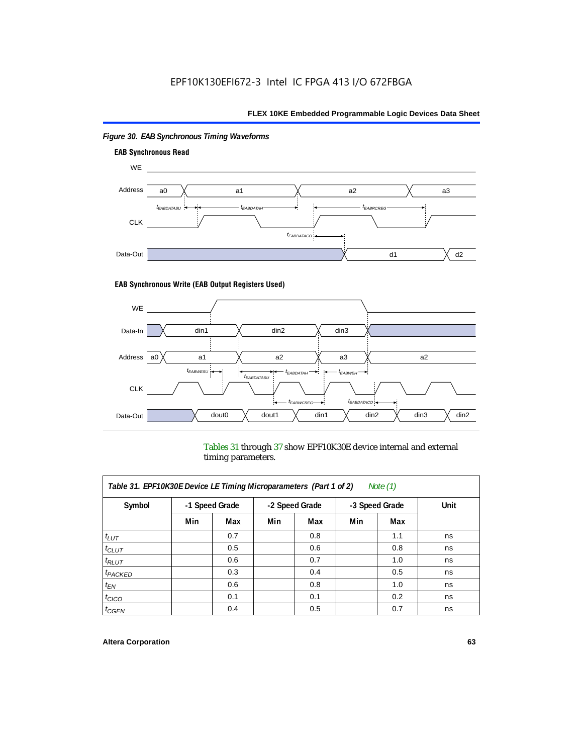

# *Figure 30. EAB Synchronous Timing Waveforms*

#### **EAB Synchronous Write (EAB Output Registers Used)**



Tables 31 through 37 show EPF10K30E device internal and external timing parameters.

| Table 31. EPF10K30E Device LE Timing Microparameters (Part 1 of 2)<br>Note $(1)$ |     |                |     |                |     |                |      |
|----------------------------------------------------------------------------------|-----|----------------|-----|----------------|-----|----------------|------|
| Symbol                                                                           |     | -1 Speed Grade |     | -2 Speed Grade |     | -3 Speed Grade | Unit |
|                                                                                  | Min | Max            | Min | Max            | Min | Max            |      |
| $t_{LUT}$                                                                        |     | 0.7            |     | 0.8            |     | 1.1            | ns   |
| $t_{CLUT}$                                                                       |     | 0.5            |     | 0.6            |     | 0.8            | ns   |
| $t_{RLUT}$                                                                       |     | 0.6            |     | 0.7            |     | 1.0            | ns   |
| $t_{PACKED}$                                                                     |     | 0.3            |     | 0.4            |     | 0.5            | ns   |
| $t_{EN}$                                                                         |     | 0.6            |     | 0.8            |     | 1.0            | ns   |
| $t_{CICO}$                                                                       |     | 0.1            |     | 0.1            |     | 0.2            | ns   |
| $t_{GEN}$                                                                        |     | 0.4            |     | 0.5            |     | 0.7            | ns   |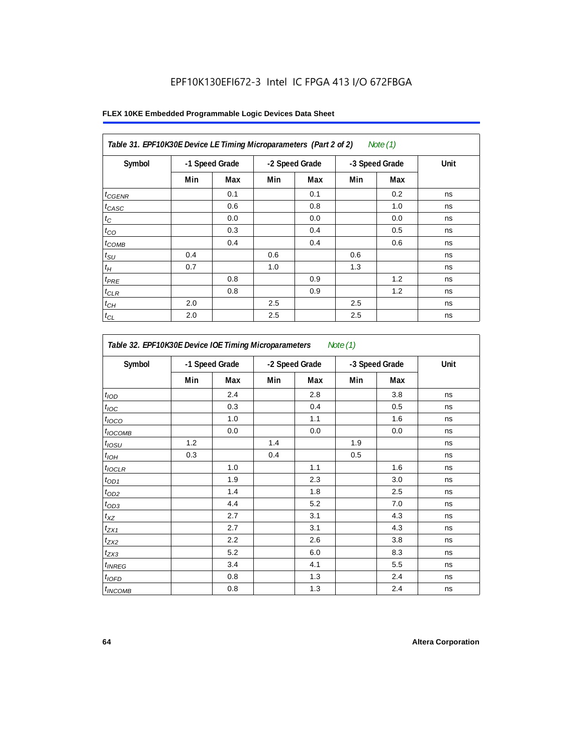# EPF10K130EFI672-3 Intel IC FPGA 413 I/O 672FBGA

|  |  |  | FLEX 10KE Embedded Programmable Logic Devices Data Sheet |  |  |  |  |
|--|--|--|----------------------------------------------------------|--|--|--|--|
|--|--|--|----------------------------------------------------------|--|--|--|--|

| Table 31. EPF10K30E Device LE Timing Microparameters (Part 2 of 2)<br>Note $(1)$ |     |                |     |                |     |                |      |
|----------------------------------------------------------------------------------|-----|----------------|-----|----------------|-----|----------------|------|
| Symbol                                                                           |     | -1 Speed Grade |     | -2 Speed Grade |     | -3 Speed Grade | Unit |
|                                                                                  | Min | Max            | Min | Max            | Min | Max            |      |
| $t_{GENR}$                                                                       |     | 0.1            |     | 0.1            |     | 0.2            | ns   |
| $t_{CASC}$                                                                       |     | 0.6            |     | 0.8            |     | 1.0            | ns   |
| $t_C$                                                                            |     | 0.0            |     | 0.0            |     | 0.0            | ns   |
| $t_{CO}$                                                                         |     | 0.3            |     | 0.4            |     | 0.5            | ns   |
| $t_{\text{COMB}}$                                                                |     | 0.4            |     | 0.4            |     | 0.6            | ns   |
| $t_{\rm SU}$                                                                     | 0.4 |                | 0.6 |                | 0.6 |                | ns   |
| $t_H$                                                                            | 0.7 |                | 1.0 |                | 1.3 |                | ns   |
| $t_{PRE}$                                                                        |     | 0.8            |     | 0.9            |     | 1.2            | ns   |
| $t_{CLR}$                                                                        |     | 0.8            |     | 0.9            |     | 1.2            | ns   |
| $t_{CH}$                                                                         | 2.0 |                | 2.5 |                | 2.5 |                | ns   |
| $t_{CL}$                                                                         | 2.0 |                | 2.5 |                | 2.5 |                | ns   |

| Symbol                     | -1 Speed Grade |     | -2 Speed Grade |     | -3 Speed Grade |            | Unit |
|----------------------------|----------------|-----|----------------|-----|----------------|------------|------|
|                            | Min            | Max | Min            | Max | Min            | <b>Max</b> |      |
| t <sub>IOD</sub>           |                | 2.4 |                | 2.8 |                | 3.8        | ns   |
| $t_{\text{IOC}}$           |                | 0.3 |                | 0.4 |                | 0.5        | ns   |
| $t_{IOCO}$                 |                | 1.0 |                | 1.1 |                | 1.6        | ns   |
| $t_{IOCOMB}$               |                | 0.0 |                | 0.0 |                | 0.0        | ns   |
| $t_{IOSU}$                 | 1.2            |     | 1.4            |     | 1.9            |            | ns   |
| $t_{IOH}$                  | 0.3            |     | 0.4            |     | 0.5            |            | ns   |
| $t_{IOCLR}$                |                | 1.0 |                | 1.1 |                | 1.6        | ns   |
| $t_{OD1}$                  |                | 1.9 |                | 2.3 |                | 3.0        | ns   |
| $t_{OD2}$                  |                | 1.4 |                | 1.8 |                | 2.5        | ns   |
| $t_{OD3}$                  |                | 4.4 |                | 5.2 |                | 7.0        | ns   |
| $t_{XZ}$                   |                | 2.7 |                | 3.1 |                | 4.3        | ns   |
| $t_{ZX1}$                  |                | 2.7 |                | 3.1 |                | 4.3        | ns   |
| $t_{ZX2}$                  |                | 2.2 |                | 2.6 |                | 3.8        | ns   |
| $t_{ZX3}$                  |                | 5.2 |                | 6.0 |                | 8.3        | ns   |
| $t_{INREG}$                |                | 3.4 |                | 4.1 |                | 5.5        | ns   |
| $t_{IOFD}$                 |                | 0.8 |                | 1.3 |                | 2.4        | ns   |
| <i>t</i> <sub>INCOMB</sub> |                | 0.8 |                | 1.3 |                | 2.4        | ns   |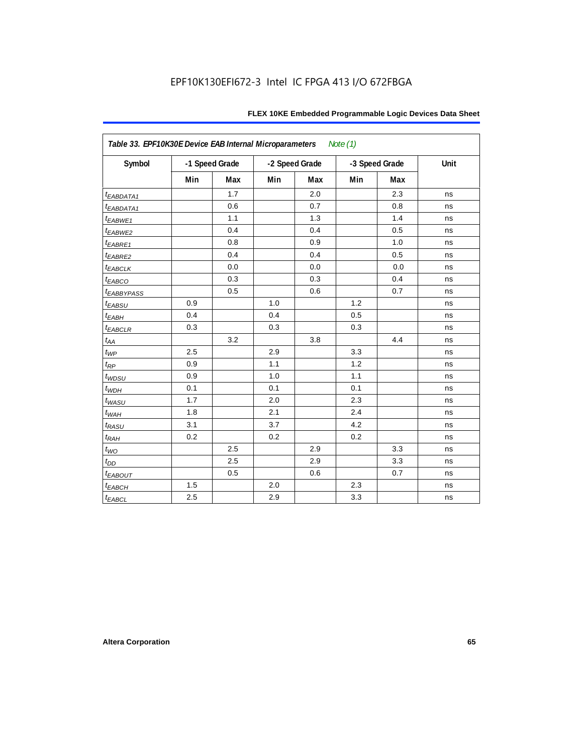| FLEX 10KE Embedded Programmable Logic Devices Data Sheet |  |
|----------------------------------------------------------|--|
|----------------------------------------------------------|--|

| Table 33. EPF10K30E Device EAB Internal Microparameters<br>Note $(1)$ |     |                |     |                |     |                |      |  |  |  |
|-----------------------------------------------------------------------|-----|----------------|-----|----------------|-----|----------------|------|--|--|--|
| Symbol                                                                |     | -1 Speed Grade |     | -2 Speed Grade |     | -3 Speed Grade | Unit |  |  |  |
|                                                                       | Min | Max            | Min | Max            | Min | Max            |      |  |  |  |
| <i>EABDATA1</i>                                                       |     | 1.7            |     | 2.0            |     | 2.3            | ns   |  |  |  |
| $t_{EABDATA1}$                                                        |     | 0.6            |     | 0.7            |     | 0.8            | ns   |  |  |  |
| t <sub>EABWE1</sub>                                                   |     | 1.1            |     | 1.3            |     | 1.4            | ns   |  |  |  |
| t <sub>EABWE2</sub>                                                   |     | 0.4            |     | 0.4            |     | 0.5            | ns   |  |  |  |
| t <sub>EABRE1</sub>                                                   |     | 0.8            |     | 0.9            |     | 1.0            | ns   |  |  |  |
| $t_{EABRE2}$                                                          |     | 0.4            |     | 0.4            |     | 0.5            | ns   |  |  |  |
| <b><i>EABCLK</i></b>                                                  |     | 0.0            |     | 0.0            |     | 0.0            | ns   |  |  |  |
| t <sub>EABCO</sub>                                                    |     | 0.3            |     | 0.3            |     | 0.4            | ns   |  |  |  |
| <i><b>LEABBYPASS</b></i>                                              |     | 0.5            |     | 0.6            |     | 0.7            | ns   |  |  |  |
| t <sub>EABSU</sub>                                                    | 0.9 |                | 1.0 |                | 1.2 |                | ns   |  |  |  |
| $t_{EABH}$                                                            | 0.4 |                | 0.4 |                | 0.5 |                | ns   |  |  |  |
| $t_{EABCLR}$                                                          | 0.3 |                | 0.3 |                | 0.3 |                | ns   |  |  |  |
| $t_{AA}$                                                              |     | 3.2            |     | 3.8            |     | 4.4            | ns   |  |  |  |
| $t_{WP}$                                                              | 2.5 |                | 2.9 |                | 3.3 |                | ns   |  |  |  |
| $t_{RP}$                                                              | 0.9 |                | 1.1 |                | 1.2 |                | ns   |  |  |  |
| $t_{WDSU}$                                                            | 0.9 |                | 1.0 |                | 1.1 |                | ns   |  |  |  |
| $t_{WDH}$                                                             | 0.1 |                | 0.1 |                | 0.1 |                | ns   |  |  |  |
| $t_{WASU}$                                                            | 1.7 |                | 2.0 |                | 2.3 |                | ns   |  |  |  |
| $t_{WAH}$                                                             | 1.8 |                | 2.1 |                | 2.4 |                | ns   |  |  |  |
| $t_{RASU}$                                                            | 3.1 |                | 3.7 |                | 4.2 |                | ns   |  |  |  |
| $t_{RAH}$                                                             | 0.2 |                | 0.2 |                | 0.2 |                | ns   |  |  |  |
| $t_{WO}$                                                              |     | 2.5            |     | 2.9            |     | 3.3            | ns   |  |  |  |
| $t_{DD}$                                                              |     | 2.5            |     | 2.9            |     | 3.3            | ns   |  |  |  |
| $t_{EABOUT}$                                                          |     | 0.5            |     | 0.6            |     | 0.7            | ns   |  |  |  |
| $t_{EABCH}$                                                           | 1.5 |                | 2.0 |                | 2.3 |                | ns   |  |  |  |
| $t_{EABCL}$                                                           | 2.5 |                | 2.9 |                | 3.3 |                | ns   |  |  |  |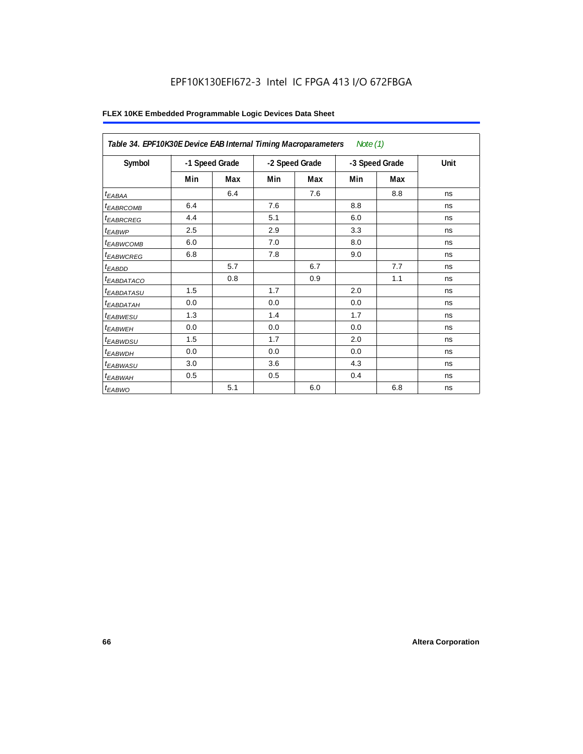# EPF10K130EFI672-3 Intel IC FPGA 413 I/O 672FBGA

|                        | Table 34. EPF10K30E Device EAB Internal Timing Macroparameters<br>Note $(1)$ |     |                |     |                |     |      |  |  |  |  |
|------------------------|------------------------------------------------------------------------------|-----|----------------|-----|----------------|-----|------|--|--|--|--|
| Symbol                 | -1 Speed Grade                                                               |     | -2 Speed Grade |     | -3 Speed Grade |     | Unit |  |  |  |  |
|                        | Min                                                                          | Max | Min            | Max | Min            | Max |      |  |  |  |  |
| $t_{EABA}$             |                                                                              | 6.4 |                | 7.6 |                | 8.8 | ns   |  |  |  |  |
| <sup>t</sup> EABRCOMB  | 6.4                                                                          |     | 7.6            |     | 8.8            |     | ns   |  |  |  |  |
| <sup>t</sup> EABRCREG  | 4.4                                                                          |     | 5.1            |     | 6.0            |     | ns   |  |  |  |  |
| t <sub>EABWP</sub>     | 2.5                                                                          |     | 2.9            |     | 3.3            |     | ns   |  |  |  |  |
| <sup>t</sup> EABWCOMB  | 6.0                                                                          |     | 7.0            |     | 8.0            |     | ns   |  |  |  |  |
| <sup>t</sup> EABWCREG  | 6.8                                                                          |     | 7.8            |     | 9.0            |     | ns   |  |  |  |  |
| $t_{EABDD}$            |                                                                              | 5.7 |                | 6.7 |                | 7.7 | ns   |  |  |  |  |
| <sup>t</sup> EABDATACO |                                                                              | 0.8 |                | 0.9 |                | 1.1 | ns   |  |  |  |  |
| <sup>t</sup> EABDATASU | 1.5                                                                          |     | 1.7            |     | 2.0            |     | ns   |  |  |  |  |
| <sup>t</sup> EABDATAH  | 0.0                                                                          |     | 0.0            |     | 0.0            |     | ns   |  |  |  |  |
| t <sub>EABWESU</sub>   | 1.3                                                                          |     | 1.4            |     | 1.7            |     | ns   |  |  |  |  |
| <sup>t</sup> EABWEH    | 0.0                                                                          |     | 0.0            |     | 0.0            |     | ns   |  |  |  |  |
| <sup>t</sup> EABWDSU   | 1.5                                                                          |     | 1.7            |     | 2.0            |     | ns   |  |  |  |  |
| t <sub>EABWDH</sub>    | 0.0                                                                          |     | 0.0            |     | 0.0            |     | ns   |  |  |  |  |
| t <sub>EABWASU</sub>   | 3.0                                                                          |     | 3.6            |     | 4.3            |     | ns   |  |  |  |  |
| <sup>t</sup> EABWAH    | 0.5                                                                          |     | 0.5            |     | 0.4            |     | ns   |  |  |  |  |
| $t_{EABWO}$            |                                                                              | 5.1 |                | 6.0 |                | 6.8 | ns   |  |  |  |  |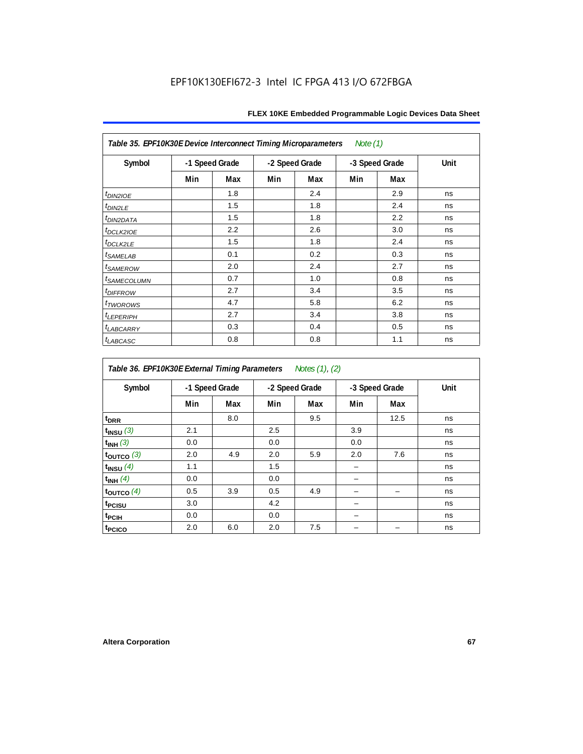| Table 35. EPF10K30E Device Interconnect Timing Microparameters<br>Note $(1)$ |                |     |                |     |                |     |      |  |  |  |
|------------------------------------------------------------------------------|----------------|-----|----------------|-----|----------------|-----|------|--|--|--|
| Symbol                                                                       | -1 Speed Grade |     | -2 Speed Grade |     | -3 Speed Grade |     | Unit |  |  |  |
|                                                                              | Min            | Max | Min            | Max | Min            | Max |      |  |  |  |
| $tD$ IN2IOE                                                                  |                | 1.8 |                | 2.4 |                | 2.9 | ns   |  |  |  |
| t <sub>DIN2LE</sub>                                                          |                | 1.5 |                | 1.8 |                | 2.4 | ns   |  |  |  |
| <sup>t</sup> DIN2DATA                                                        |                | 1.5 |                | 1.8 |                | 2.2 | ns   |  |  |  |
| t <sub>DCLK2IOE</sub>                                                        |                | 2.2 |                | 2.6 |                | 3.0 | ns   |  |  |  |
| $t_{DCLK2LE}$                                                                |                | 1.5 |                | 1.8 |                | 2.4 | ns   |  |  |  |
| <sup>t</sup> SAMELAB                                                         |                | 0.1 |                | 0.2 |                | 0.3 | ns   |  |  |  |
| <i>t<sub>SAMEROW</sub></i>                                                   |                | 2.0 |                | 2.4 |                | 2.7 | ns   |  |  |  |
| <i>t<sub>SAMECOLUMN</sub></i>                                                |                | 0.7 |                | 1.0 |                | 0.8 | ns   |  |  |  |
| t <sub>DIFFROW</sub>                                                         |                | 2.7 |                | 3.4 |                | 3.5 | ns   |  |  |  |
| <i>t</i> <sub>TWOROWS</sub>                                                  |                | 4.7 |                | 5.8 |                | 6.2 | ns   |  |  |  |
| <b><i>LEPERIPH</i></b>                                                       |                | 2.7 |                | 3.4 |                | 3.8 | ns   |  |  |  |
| t <sub>LABCARRY</sub>                                                        |                | 0.3 |                | 0.4 |                | 0.5 | ns   |  |  |  |
| t <sub>LABCASC</sub>                                                         |                | 0.8 |                | 0.8 |                | 1.1 | ns   |  |  |  |

| Table 36. EPF10K30E External Timing Parameters<br>Notes (1), (2) |     |                |     |                |     |                |      |  |  |  |  |
|------------------------------------------------------------------|-----|----------------|-----|----------------|-----|----------------|------|--|--|--|--|
| Symbol                                                           |     | -1 Speed Grade |     | -2 Speed Grade |     | -3 Speed Grade | Unit |  |  |  |  |
|                                                                  | Min | Max            | Min | Max            | Min | Max            |      |  |  |  |  |
| $t_{DRR}$                                                        |     | 8.0            |     | 9.5            |     | 12.5           | ns   |  |  |  |  |
| $t_{INSU}$ (3)                                                   | 2.1 |                | 2.5 |                | 3.9 |                | ns   |  |  |  |  |
| $t_{INH}$ (3)                                                    | 0.0 |                | 0.0 |                | 0.0 |                | ns   |  |  |  |  |
| $t_{\text{OUTCO}}$ (3)                                           | 2.0 | 4.9            | 2.0 | 5.9            | 2.0 | 7.6            | ns   |  |  |  |  |
| $t_{INSU}$ (4)                                                   | 1.1 |                | 1.5 |                |     |                | ns   |  |  |  |  |
| $t_{INH}$ (4)                                                    | 0.0 |                | 0.0 |                |     |                | ns   |  |  |  |  |
| $t_{\text{OUTCO}}$ (4)                                           | 0.5 | 3.9            | 0.5 | 4.9            |     |                | ns   |  |  |  |  |
| <sup>t</sup> PCISU                                               | 3.0 |                | 4.2 |                |     |                | ns   |  |  |  |  |
| t <sub>PCIH</sub>                                                | 0.0 |                | 0.0 |                |     |                | ns   |  |  |  |  |
| t <sub>PCICO</sub>                                               | 2.0 | 6.0            | 2.0 | 7.5            |     |                | ns   |  |  |  |  |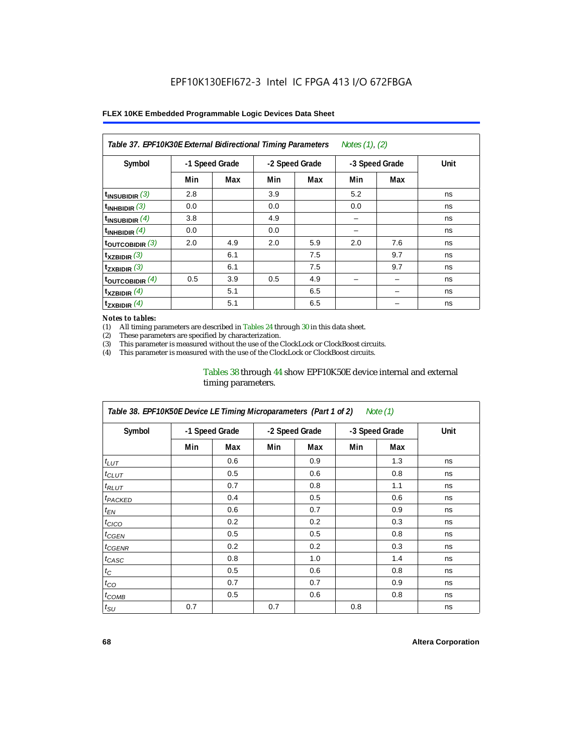| Notes (1), (2)<br>Table 37. EPF10K30E External Bidirectional Timing Parameters |                |     |     |                |     |                |      |  |  |  |  |
|--------------------------------------------------------------------------------|----------------|-----|-----|----------------|-----|----------------|------|--|--|--|--|
| Symbol                                                                         | -1 Speed Grade |     |     | -2 Speed Grade |     | -3 Speed Grade | Unit |  |  |  |  |
|                                                                                | Min            | Max | Min | Max            | Min | Max            |      |  |  |  |  |
| $t_{INSUBIDIR}$ (3)                                                            | 2.8            |     | 3.9 |                | 5.2 |                | ns   |  |  |  |  |
| $t_{INHBIDIR}$ (3)                                                             | 0.0            |     | 0.0 |                | 0.0 |                | ns   |  |  |  |  |
| $t_{INSUBIDIR}(4)$                                                             | 3.8            |     | 4.9 |                |     |                | ns   |  |  |  |  |
| $t_{INHBIDIR}$ (4)                                                             | 0.0            |     | 0.0 |                |     |                | ns   |  |  |  |  |
| toutcobidir $(3)$                                                              | 2.0            | 4.9 | 2.0 | 5.9            | 2.0 | 7.6            | ns   |  |  |  |  |
| $t_{XZBIDIR}$ (3)                                                              |                | 6.1 |     | 7.5            |     | 9.7            | ns   |  |  |  |  |
| $t_{ZXBIDIR}$ (3)                                                              |                | 6.1 |     | 7.5            |     | 9.7            | ns   |  |  |  |  |
| $t_{\text{OUTCOBIDIR}}$ (4)                                                    | 0.5            | 3.9 | 0.5 | 4.9            |     |                | ns   |  |  |  |  |
| $t_{XZBIDIR}$ (4)                                                              |                | 5.1 |     | 6.5            |     |                | ns   |  |  |  |  |
| $t_{ZXBIDIR}$ (4)                                                              |                | 5.1 |     | 6.5            |     |                | ns   |  |  |  |  |

#### *Notes to tables:*

(1) All timing parameters are described in Tables 24 through 30 in this data sheet.<br>(2) These parameters are specified by characterization.

(2) These parameters are specified by characterization.<br>(3) This parameter is measured without the use of the C

This parameter is measured without the use of the ClockLock or ClockBoost circuits.

(4) This parameter is measured with the use of the ClockLock or ClockBoost circuits.

#### Tables 38 through 44 show EPF10K50E device internal and external timing parameters.

| Table 38. EPF10K50E Device LE Timing Microparameters (Part 1 of 2)<br>Note (1) |     |                |     |                |     |                |      |  |  |  |
|--------------------------------------------------------------------------------|-----|----------------|-----|----------------|-----|----------------|------|--|--|--|
| Symbol                                                                         |     | -1 Speed Grade |     | -2 Speed Grade |     | -3 Speed Grade | Unit |  |  |  |
|                                                                                | Min | Max            | Min | Max            | Min | Max            |      |  |  |  |
| $t_{LUT}$                                                                      |     | 0.6            |     | 0.9            |     | 1.3            | ns   |  |  |  |
| $t_{CLUT}$                                                                     |     | 0.5            |     | 0.6            |     | 0.8            | ns   |  |  |  |
| $t_{RLUT}$                                                                     |     | 0.7            |     | 0.8            |     | 1.1            | ns   |  |  |  |
| <b><i>t<sub>PACKED</sub></i></b>                                               |     | 0.4            |     | 0.5            |     | 0.6            | ns   |  |  |  |
| $t_{EN}$                                                                       |     | 0.6            |     | 0.7            |     | 0.9            | ns   |  |  |  |
| $t_{CICO}$                                                                     |     | 0.2            |     | 0.2            |     | 0.3            | ns   |  |  |  |
| $t_{GEN}$                                                                      |     | 0.5            |     | 0.5            |     | 0.8            | ns   |  |  |  |
| ${}^{t}$ CGENR                                                                 |     | 0.2            |     | 0.2            |     | 0.3            | ns   |  |  |  |
| t <sub>CASC</sub>                                                              |     | 0.8            |     | 1.0            |     | 1.4            | ns   |  |  |  |
| $t_C$                                                                          |     | 0.5            |     | 0.6            |     | 0.8            | ns   |  |  |  |
| $t_{CO}$                                                                       |     | 0.7            |     | 0.7            |     | 0.9            | ns   |  |  |  |
| $t_{\text{COMB}}$                                                              |     | 0.5            |     | 0.6            |     | 0.8            | ns   |  |  |  |
| $t_{\text{SU}}$                                                                | 0.7 |                | 0.7 |                | 0.8 |                | ns   |  |  |  |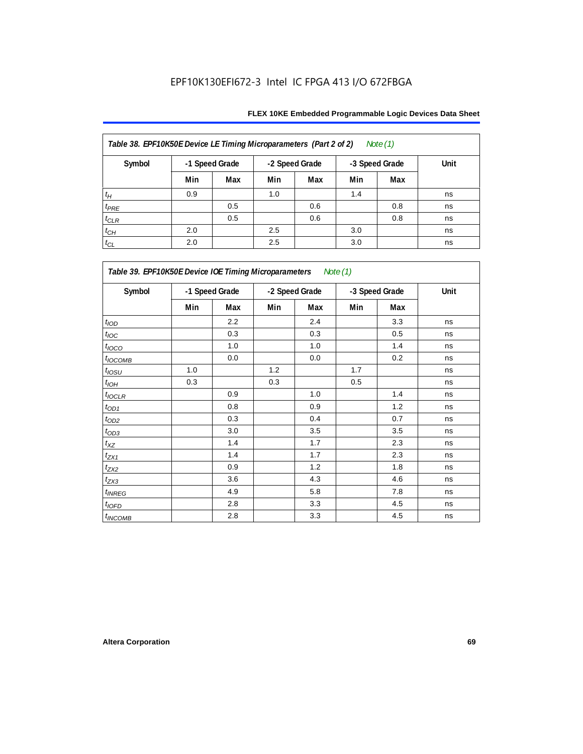| Table 38. EPF10K50E Device LE Timing Microparameters (Part 2 of 2)<br>Note $(1)$ |                |     |     |                |     |                |      |  |  |  |  |
|----------------------------------------------------------------------------------|----------------|-----|-----|----------------|-----|----------------|------|--|--|--|--|
| Symbol                                                                           | -1 Speed Grade |     |     | -2 Speed Grade |     | -3 Speed Grade | Unit |  |  |  |  |
|                                                                                  | Min            | Max | Min | Max            | Min | Max            |      |  |  |  |  |
| $t_H$                                                                            | 0.9            |     | 1.0 |                | 1.4 |                | ns   |  |  |  |  |
| $t_{PRE}$                                                                        |                | 0.5 |     | 0.6            |     | 0.8            | ns   |  |  |  |  |
| $t_{CLR}$                                                                        |                | 0.5 |     | 0.6            |     | 0.8            | ns   |  |  |  |  |
| $t_{CH}$                                                                         | 2.0            |     | 2.5 |                | 3.0 |                | ns   |  |  |  |  |
| $t_{CL}$                                                                         | 2.0            |     | 2.5 |                | 3.0 |                | ns   |  |  |  |  |

| Table 39. EPF10K50E Device IOE Timing Microparameters Note (1) |                |     |                |     |                |     |      |  |  |  |
|----------------------------------------------------------------|----------------|-----|----------------|-----|----------------|-----|------|--|--|--|
| Symbol                                                         | -1 Speed Grade |     | -2 Speed Grade |     | -3 Speed Grade |     | Unit |  |  |  |
|                                                                | Min            | Max | Min            | Max | Min            | Max |      |  |  |  |
| t <sub>IOD</sub>                                               |                | 2.2 |                | 2.4 |                | 3.3 | ns   |  |  |  |
| $t_{\text{IOC}}$                                               |                | 0.3 |                | 0.3 |                | 0.5 | ns   |  |  |  |
| $t_{IOCO}$                                                     |                | 1.0 |                | 1.0 |                | 1.4 | ns   |  |  |  |
| $t_{IOCOMB}$                                                   |                | 0.0 |                | 0.0 |                | 0.2 | ns   |  |  |  |
| $t_{IOSU}$                                                     | 1.0            |     | 1.2            |     | 1.7            |     | ns   |  |  |  |
| $t_{IOH}$                                                      | 0.3            |     | 0.3            |     | 0.5            |     | ns   |  |  |  |
| $t_{IOCLR}$                                                    |                | 0.9 |                | 1.0 |                | 1.4 | ns   |  |  |  |
| $t_{OD1}$                                                      |                | 0.8 |                | 0.9 |                | 1.2 | ns   |  |  |  |
| $t_{OD2}$                                                      |                | 0.3 |                | 0.4 |                | 0.7 | ns   |  |  |  |
| $t_{OD3}$                                                      |                | 3.0 |                | 3.5 |                | 3.5 | ns   |  |  |  |
| $t_{\mathsf{XZ}}$                                              |                | 1.4 |                | 1.7 |                | 2.3 | ns   |  |  |  |
| $t_{ZX1}$                                                      |                | 1.4 |                | 1.7 |                | 2.3 | ns   |  |  |  |
| $t_{ZX2}$                                                      |                | 0.9 |                | 1.2 |                | 1.8 | ns   |  |  |  |
| $t_{ZX3}$                                                      |                | 3.6 |                | 4.3 |                | 4.6 | ns   |  |  |  |
| $t_{INREG}$                                                    |                | 4.9 |                | 5.8 |                | 7.8 | ns   |  |  |  |
| $t_{IOFD}$                                                     |                | 2.8 |                | 3.3 |                | 4.5 | ns   |  |  |  |
| $t_{INCOMB}$                                                   |                | 2.8 |                | 3.3 |                | 4.5 | ns   |  |  |  |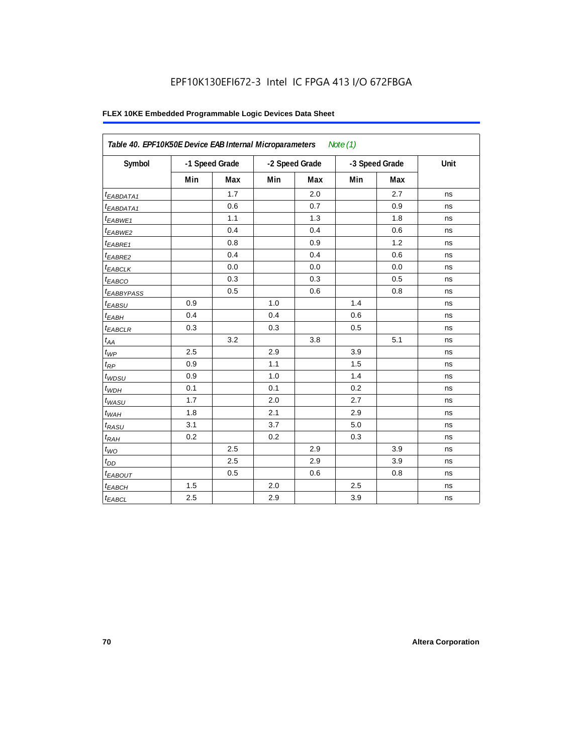# EPF10K130EFI672-3 Intel IC FPGA 413 I/O 672FBGA

| Table 40. EPF10K50E Device EAB Internal Microparameters<br>Note $(1)$ |     |                |     |                |     |                |      |  |  |  |
|-----------------------------------------------------------------------|-----|----------------|-----|----------------|-----|----------------|------|--|--|--|
| Symbol                                                                |     | -1 Speed Grade |     | -2 Speed Grade |     | -3 Speed Grade | Unit |  |  |  |
|                                                                       | Min | Max            | Min | Max            | Min | Max            |      |  |  |  |
| t <sub>EABDATA1</sub>                                                 |     | 1.7            |     | 2.0            |     | 2.7            | ns   |  |  |  |
| $t_{EABDATA1}$                                                        |     | 0.6            |     | 0.7            |     | 0.9            | ns   |  |  |  |
| $t_{EABWE1}$                                                          |     | 1.1            |     | 1.3            |     | 1.8            | ns   |  |  |  |
| <sup>t</sup> EABWE2                                                   |     | 0.4            |     | 0.4            |     | 0.6            | ns   |  |  |  |
| t <sub>EABRE1</sub>                                                   |     | 0.8            |     | 0.9            |     | 1.2            | ns   |  |  |  |
| $t_{EABRE2}$                                                          |     | 0.4            |     | 0.4            |     | 0.6            | ns   |  |  |  |
| $t_{EABCLK}$                                                          |     | 0.0            |     | 0.0            |     | 0.0            | ns   |  |  |  |
| $t_{EABCO}$                                                           |     | 0.3            |     | 0.3            |     | 0.5            | ns   |  |  |  |
| <i><b>EABBYPASS</b></i>                                               |     | 0.5            |     | 0.6            |     | 0.8            | ns   |  |  |  |
| $t_{EABSU}$                                                           | 0.9 |                | 1.0 |                | 1.4 |                | ns   |  |  |  |
| $t_{EABH}$                                                            | 0.4 |                | 0.4 |                | 0.6 |                | ns   |  |  |  |
| $t_{EABCLR}$                                                          | 0.3 |                | 0.3 |                | 0.5 |                | ns   |  |  |  |
| $t_{AA}$                                                              |     | 3.2            |     | 3.8            |     | 5.1            | ns   |  |  |  |
| $t_{\mathit{WP}}$                                                     | 2.5 |                | 2.9 |                | 3.9 |                | ns   |  |  |  |
| $t_{RP}$                                                              | 0.9 |                | 1.1 |                | 1.5 |                | ns   |  |  |  |
| $t_{WDSU}$                                                            | 0.9 |                | 1.0 |                | 1.4 |                | ns   |  |  |  |
| $t_{WDH}$                                                             | 0.1 |                | 0.1 |                | 0.2 |                | ns   |  |  |  |
| $t_{WASU}$                                                            | 1.7 |                | 2.0 |                | 2.7 |                | ns   |  |  |  |
| $t_{WAH}$                                                             | 1.8 |                | 2.1 |                | 2.9 |                | ns   |  |  |  |
| $t_{RASU}$                                                            | 3.1 |                | 3.7 |                | 5.0 |                | ns   |  |  |  |
| $t_{RAH}$                                                             | 0.2 |                | 0.2 |                | 0.3 |                | ns   |  |  |  |
| $t_{WO}$                                                              |     | 2.5            |     | 2.9            |     | 3.9            | ns   |  |  |  |
| $t_{DD}$                                                              |     | 2.5            |     | 2.9            |     | 3.9            | ns   |  |  |  |
| t <sub>EABOUT</sub>                                                   |     | 0.5            |     | 0.6            |     | 0.8            | ns   |  |  |  |
| t <sub>EABCH</sub>                                                    | 1.5 |                | 2.0 |                | 2.5 |                | ns   |  |  |  |
| $t_{EABCL}$                                                           | 2.5 |                | 2.9 |                | 3.9 |                | ns   |  |  |  |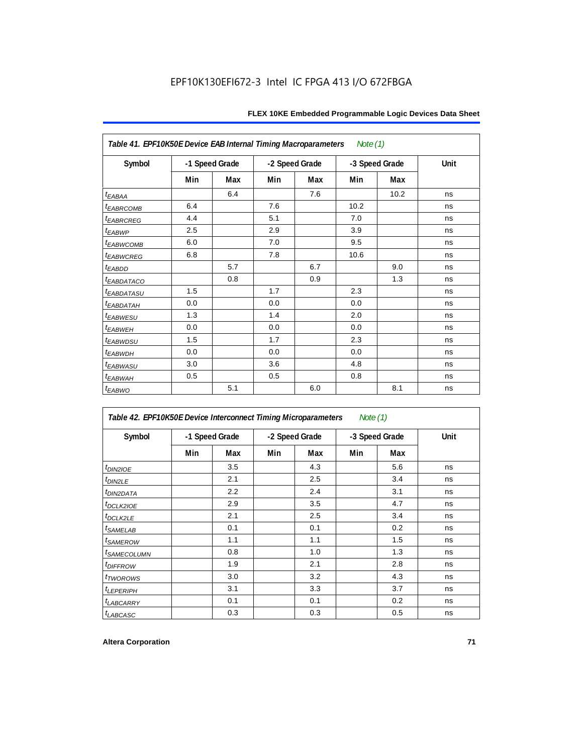| Table 41. EPF10K50E Device EAB Internal Timing Macroparameters |                |     |                |     | Note $(1)$     |      |      |
|----------------------------------------------------------------|----------------|-----|----------------|-----|----------------|------|------|
| Symbol                                                         | -1 Speed Grade |     | -2 Speed Grade |     | -3 Speed Grade |      | Unit |
|                                                                | Min            | Max | Min            | Max | Min            | Max  |      |
| $t_{EABA}$                                                     |                | 6.4 |                | 7.6 |                | 10.2 | ns   |
| <b><i>EABRCOMB</i></b>                                         | 6.4            |     | 7.6            |     | 10.2           |      | ns   |
| t <sub>EABRCREG</sub>                                          | 4.4            |     | 5.1            |     | 7.0            |      | ns   |
| t <sub>EABWP</sub>                                             | 2.5            |     | 2.9            |     | 3.9            |      | ns   |
| <sup>t</sup> EABWCOMB                                          | 6.0            |     | 7.0            |     | 9.5            |      | ns   |
| <b><i>EABWCREG</i></b>                                         | 6.8            |     | 7.8            |     | 10.6           |      | ns   |
| $t_{EABDD}$                                                    |                | 5.7 |                | 6.7 |                | 9.0  | ns   |
| <sup>t</sup> EABDATACO                                         |                | 0.8 |                | 0.9 |                | 1.3  | ns   |
| <sup>t</sup> EABDATASU                                         | 1.5            |     | 1.7            |     | 2.3            |      | ns   |
| <sup>t</sup> EABDATAH                                          | 0.0            |     | 0.0            |     | 0.0            |      | ns   |
| t <sub>EABWESU</sub>                                           | 1.3            |     | 1.4            |     | 2.0            |      | ns   |
| t <sub>EABWEH</sub>                                            | 0.0            |     | 0.0            |     | 0.0            |      | ns   |
| t <sub>EABWDSU</sub>                                           | 1.5            |     | 1.7            |     | 2.3            |      | ns   |
| <sup>t</sup> EABWDH                                            | 0.0            |     | 0.0            |     | 0.0            |      | ns   |
| <sup>t</sup> EABWASU                                           | 3.0            |     | 3.6            |     | 4.8            |      | ns   |
| t <sub>EABWAH</sub>                                            | 0.5            |     | 0.5            |     | 0.8            |      | ns   |
| $t_{EABWO}$                                                    |                | 5.1 |                | 6.0 |                | 8.1  | ns   |

| Table 42. EPF10K50E Device Interconnect Timing Microparameters<br>Note $(1)$ |                |     |                |     |                |     |      |
|------------------------------------------------------------------------------|----------------|-----|----------------|-----|----------------|-----|------|
| Symbol                                                                       | -1 Speed Grade |     | -2 Speed Grade |     | -3 Speed Grade |     | Unit |
|                                                                              | Min            | Max | Min            | Max | Min            | Max |      |
| $tD$ IN2IOE                                                                  |                | 3.5 |                | 4.3 |                | 5.6 | ns   |
| t <sub>DIN2LE</sub>                                                          |                | 2.1 |                | 2.5 |                | 3.4 | ns   |
| <sup>t</sup> DIN2DATA                                                        |                | 2.2 |                | 2.4 |                | 3.1 | ns   |
| $t$ DCLK2IOE                                                                 |                | 2.9 |                | 3.5 |                | 4.7 | ns   |
| $t$ DCLK2LE                                                                  |                | 2.1 |                | 2.5 |                | 3.4 | ns   |
| <sup>t</sup> SAMELAB                                                         |                | 0.1 |                | 0.1 |                | 0.2 | ns   |
| <i>t</i> SAMEROW                                                             |                | 1.1 |                | 1.1 |                | 1.5 | ns   |
| <i>t<sub>SAMECOLUMN</sub></i>                                                |                | 0.8 |                | 1.0 |                | 1.3 | ns   |
| <i>t<sub>DIFFROW</sub></i>                                                   |                | 1.9 |                | 2.1 |                | 2.8 | ns   |
| <i>t</i> TWOROWS                                                             |                | 3.0 |                | 3.2 |                | 4.3 | ns   |
| <b><i>LEPERIPH</i></b>                                                       |                | 3.1 |                | 3.3 |                | 3.7 | ns   |
| <b><i>LABCARRY</i></b>                                                       |                | 0.1 |                | 0.1 |                | 0.2 | ns   |
| t <sub>LABCASC</sub>                                                         |                | 0.3 |                | 0.3 |                | 0.5 | ns   |

 $\mathsf{r}$ 

٦Ì,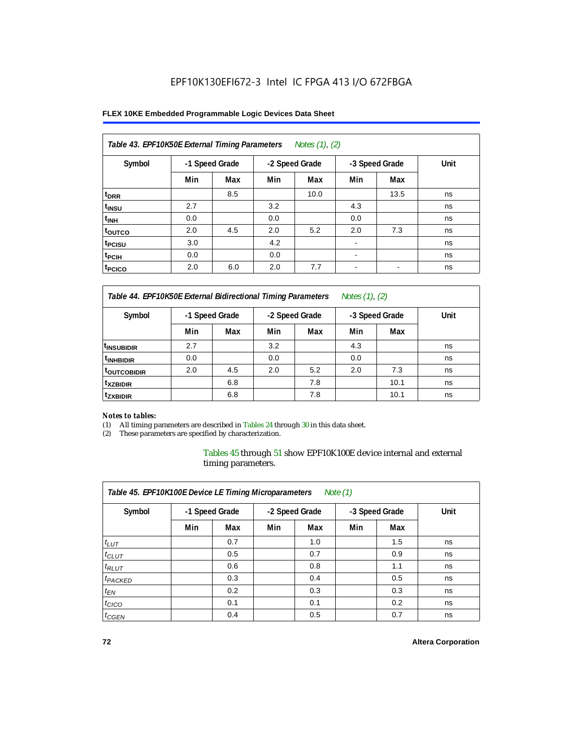## **FLEX 10KE Embedded Programmable Logic Devices Data Sheet**

| Table 43. EPF10K50E External Timing Parameters<br>Notes (1), (2) |                |     |     |                |                          |                |      |  |  |  |
|------------------------------------------------------------------|----------------|-----|-----|----------------|--------------------------|----------------|------|--|--|--|
| Symbol                                                           | -1 Speed Grade |     |     | -2 Speed Grade |                          | -3 Speed Grade | Unit |  |  |  |
|                                                                  | Min            | Max | Min | Max            | Min                      | Max            |      |  |  |  |
| t <sub>DRR</sub>                                                 |                | 8.5 |     | 10.0           |                          | 13.5           | ns   |  |  |  |
| t <sub>insu</sub>                                                | 2.7            |     | 3.2 |                | 4.3                      |                | ns   |  |  |  |
| $t_{\text{INH}}$                                                 | 0.0            |     | 0.0 |                | 0.0                      |                | ns   |  |  |  |
| toutco                                                           | 2.0            | 4.5 | 2.0 | 5.2            | 2.0                      | 7.3            | ns   |  |  |  |
| t <sub>PCISU</sub>                                               | 3.0            |     | 4.2 |                |                          |                | ns   |  |  |  |
| <sup>t</sup> PCIH                                                | 0.0            |     | 0.0 |                | $\overline{\phantom{a}}$ |                | ns   |  |  |  |
| <sup>t</sup> PCICO                                               | 2.0            | 6.0 | 2.0 | 7.7            | $\blacksquare$           |                | ns   |  |  |  |

*Table 44. EPF10K50E External Bidirectional Timing Parameters Notes (1), (2)*

| Symbol                   | -1 Speed Grade |     | -2 Speed Grade |     | -3 Speed Grade |      | Unit |
|--------------------------|----------------|-----|----------------|-----|----------------|------|------|
|                          | Min            | Max | Min            | Max | Min            | Max  |      |
| I <sup>t</sup> insubidir | 2.7            |     | 3.2            |     | 4.3            |      | ns   |
| <sup>t</sup> INHBIDIR    | 0.0            |     | 0.0            |     | 0.0            |      | ns   |
| <b>LOUTCOBIDIR</b>       | 2.0            | 4.5 | 2.0            | 5.2 | 2.0            | 7.3  | ns   |
| <sup>t</sup> xzbidir     |                | 6.8 |                | 7.8 |                | 10.1 | ns   |
| <sup>t</sup> zxbidir     |                | 6.8 |                | 7.8 |                | 10.1 | ns   |

#### *Notes to tables:*

(1) All timing parameters are described in Tables 24 through 30 in this data sheet.

(2) These parameters are specified by characterization.

Tables 45 through 51 show EPF10K100E device internal and external timing parameters.

| Table 45. EPF10K100E Device LE Timing Microparameters<br>Note $(1)$ |                |     |     |                |     |                |      |  |  |  |  |
|---------------------------------------------------------------------|----------------|-----|-----|----------------|-----|----------------|------|--|--|--|--|
| Symbol                                                              | -1 Speed Grade |     |     | -2 Speed Grade |     | -3 Speed Grade | Unit |  |  |  |  |
|                                                                     | Min            | Max | Min | Max            | Min | Max            |      |  |  |  |  |
| $t_{LUT}$                                                           |                | 0.7 |     | 1.0            |     | 1.5            | ns   |  |  |  |  |
| $t_{CLUT}$                                                          |                | 0.5 |     | 0.7            |     | 0.9            | ns   |  |  |  |  |
| $t_{RLUT}$                                                          |                | 0.6 |     | 0.8            |     | 1.1            | ns   |  |  |  |  |
| <sup>t</sup> PACKED                                                 |                | 0.3 |     | 0.4            |     | 0.5            | ns   |  |  |  |  |
| $t_{EN}$                                                            |                | 0.2 |     | 0.3            |     | 0.3            | ns   |  |  |  |  |
| $t_{CICO}$                                                          |                | 0.1 |     | 0.1            |     | 0.2            | ns   |  |  |  |  |
| $t_{\text{GEN}}$                                                    |                | 0.4 |     | 0.5            |     | 0.7            | ns   |  |  |  |  |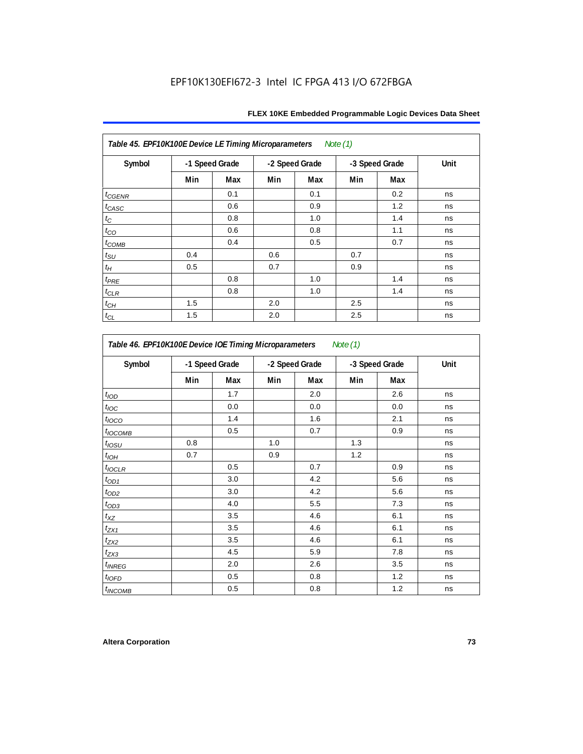| Table 45. EPF10K100E Device LE Timing Microparameters<br>Note (1) |                |     |     |                |     |                |      |  |  |
|-------------------------------------------------------------------|----------------|-----|-----|----------------|-----|----------------|------|--|--|
| Symbol                                                            | -1 Speed Grade |     |     | -2 Speed Grade |     | -3 Speed Grade | Unit |  |  |
|                                                                   | Min            | Max | Min | Max            | Min | Max            |      |  |  |
| $t_{\text{CGENR}}$                                                |                | 0.1 |     | 0.1            |     | 0.2            | ns   |  |  |
| $t_{CASC}$                                                        |                | 0.6 |     | 0.9            |     | 1.2            | ns   |  |  |
| $t_{\rm C}$                                                       |                | 0.8 |     | 1.0            |     | 1.4            | ns   |  |  |
| $t_{CO}$                                                          |                | 0.6 |     | 0.8            |     | 1.1            | ns   |  |  |
| $t_{COMB}$                                                        |                | 0.4 |     | 0.5            |     | 0.7            | ns   |  |  |
| $t_{\rm SU}$                                                      | 0.4            |     | 0.6 |                | 0.7 |                | ns   |  |  |
| $t_H$                                                             | 0.5            |     | 0.7 |                | 0.9 |                | ns   |  |  |
| $t_{PRE}$                                                         |                | 0.8 |     | 1.0            |     | 1.4            | ns   |  |  |
| $t_{\mathrm{CLR}}$                                                |                | 0.8 |     | 1.0            |     | 1.4            | ns   |  |  |
| $t_{CH}$                                                          | 1.5            |     | 2.0 |                | 2.5 |                | ns   |  |  |
| $t_{CL}$                                                          | 1.5            |     | 2.0 |                | 2.5 |                | ns   |  |  |

| Symbol                   | -1 Speed Grade |     | -2 Speed Grade |     |     | -3 Speed Grade | Unit |
|--------------------------|----------------|-----|----------------|-----|-----|----------------|------|
|                          | Min            | Max | Min            | Max | Min | Max            |      |
| t <sub>IOD</sub>         |                | 1.7 |                | 2.0 |     | 2.6            | ns   |
| $t_{\text{loc}}$         |                | 0.0 |                | 0.0 |     | 0.0            | ns   |
| $t_{\text{IOCO}}$        |                | 1.4 |                | 1.6 |     | 2.1            | ns   |
| t <sub>IOCOMB</sub>      |                | 0.5 |                | 0.7 |     | 0.9            | ns   |
| $t_{IOSU}$               | 0.8            |     | 1.0            |     | 1.3 |                | ns   |
| $t_{IOH}$                | 0.7            |     | 0.9            |     | 1.2 |                | ns   |
| $t_{IOCLR}$              |                | 0.5 |                | 0.7 |     | 0.9            | ns   |
| $t_{OD1}$                |                | 3.0 |                | 4.2 |     | 5.6            | ns   |
| $t_{OD2}$                |                | 3.0 |                | 4.2 |     | 5.6            | ns   |
| $t_{OD3}$                |                | 4.0 |                | 5.5 |     | 7.3            | ns   |
| $t_{XZ}$                 |                | 3.5 |                | 4.6 |     | 6.1            | ns   |
| $t_{ZX1}$                |                | 3.5 |                | 4.6 |     | 6.1            | ns   |
| $t_{ZX2}$                |                | 3.5 |                | 4.6 |     | 6.1            | ns   |
| $t_{ZX3}$                |                | 4.5 |                | 5.9 |     | 7.8            | ns   |
| <i>t<sub>INREG</sub></i> |                | 2.0 |                | 2.6 |     | 3.5            | ns   |
| $t_{IOED}$               |                | 0.5 |                | 0.8 |     | 1.2            | ns   |
| <sup>t</sup> INCOMB      |                | 0.5 |                | 0.8 |     | 1.2            | ns   |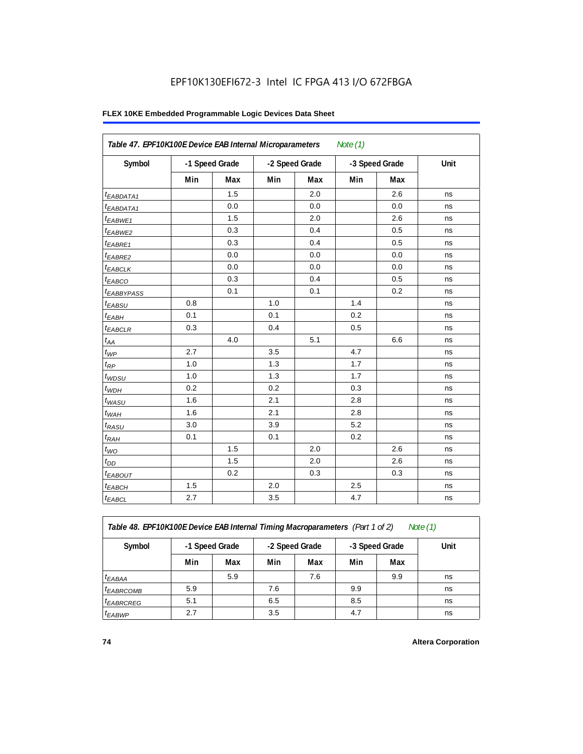## **FLEX 10KE Embedded Programmable Logic Devices Data Sheet**

|                        | Table 47. EPF10K100E Device EAB Internal Microparameters<br>Note $(1)$ |     |                |     |                |     |      |  |  |  |
|------------------------|------------------------------------------------------------------------|-----|----------------|-----|----------------|-----|------|--|--|--|
| Symbol                 | -1 Speed Grade                                                         |     | -2 Speed Grade |     | -3 Speed Grade |     | Unit |  |  |  |
|                        | Min                                                                    | Max | Min            | Max | Min            | Max |      |  |  |  |
| <sup>t</sup> EABDATA1  |                                                                        | 1.5 |                | 2.0 |                | 2.6 | ns   |  |  |  |
| $t_{EABDATA1}$         |                                                                        | 0.0 |                | 0.0 |                | 0.0 | ns   |  |  |  |
| $t_{EABWE1}$           |                                                                        | 1.5 |                | 2.0 |                | 2.6 | ns   |  |  |  |
| t <sub>EABWE2</sub>    |                                                                        | 0.3 |                | 0.4 |                | 0.5 | ns   |  |  |  |
| t <sub>EABRE1</sub>    |                                                                        | 0.3 |                | 0.4 |                | 0.5 | ns   |  |  |  |
| $t_{EABRE2}$           |                                                                        | 0.0 |                | 0.0 |                | 0.0 | ns   |  |  |  |
| $t_{EABCLK}$           |                                                                        | 0.0 |                | 0.0 |                | 0.0 | ns   |  |  |  |
| $t_{EABCO}$            |                                                                        | 0.3 |                | 0.4 |                | 0.5 | ns   |  |  |  |
| t <sub>EABBYPASS</sub> |                                                                        | 0.1 |                | 0.1 |                | 0.2 | ns   |  |  |  |
| $t_{EABSU}$            | 0.8                                                                    |     | 1.0            |     | 1.4            |     | ns   |  |  |  |
| $t_{EABH}$             | 0.1                                                                    |     | 0.1            |     | 0.2            |     | ns   |  |  |  |
| $t_{EABCLR}$           | 0.3                                                                    |     | 0.4            |     | 0.5            |     | ns   |  |  |  |
| $t_{AA}$               |                                                                        | 4.0 |                | 5.1 |                | 6.6 | ns   |  |  |  |
| $t_{WP}$               | 2.7                                                                    |     | 3.5            |     | 4.7            |     | ns   |  |  |  |
| $t_{RP}$               | 1.0                                                                    |     | 1.3            |     | 1.7            |     | ns   |  |  |  |
| $t_{WDSU}$             | 1.0                                                                    |     | 1.3            |     | 1.7            |     | ns   |  |  |  |
| $t_{WDH}$              | 0.2                                                                    |     | 0.2            |     | 0.3            |     | ns   |  |  |  |
| $t_{WASU}$             | 1.6                                                                    |     | 2.1            |     | 2.8            |     | ns   |  |  |  |
| $t_{WAH}$              | 1.6                                                                    |     | 2.1            |     | 2.8            |     | ns   |  |  |  |
| $t_{RASU}$             | 3.0                                                                    |     | 3.9            |     | 5.2            |     | ns   |  |  |  |
| $t_{RAH}$              | 0.1                                                                    |     | 0.1            |     | 0.2            |     | ns   |  |  |  |
| $t_{WO}$               |                                                                        | 1.5 |                | 2.0 |                | 2.6 | ns   |  |  |  |
| $t_{DD}$               |                                                                        | 1.5 |                | 2.0 |                | 2.6 | ns   |  |  |  |
| $t_{EABOUT}$           |                                                                        | 0.2 |                | 0.3 |                | 0.3 | ns   |  |  |  |
| <sup>t</sup> EABCH     | 1.5                                                                    |     | 2.0            |     | 2.5            |     | ns   |  |  |  |
| $t_{EABCL}$            | 2.7                                                                    |     | 3.5            |     | 4.7            |     | ns   |  |  |  |

*Table 48. EPF10K100E Device EAB Internal Timing Macroparameters (Part 1 of 2) Note (1)*

| Symbol                | -1 Speed Grade |     | -2 Speed Grade |     | -3 Speed Grade |     | Unit |
|-----------------------|----------------|-----|----------------|-----|----------------|-----|------|
|                       | Min            | Max | Min            | Max | Min            | Max |      |
| $t_{EABA}$            |                | 5.9 |                | 7.6 |                | 9.9 | ns   |
| <sup>t</sup> EABRCOMB | 5.9            |     | 7.6            |     | 9.9            |     | ns   |
| <sup>t</sup> EABRCREG | 5.1            |     | 6.5            |     | 8.5            |     | ns   |
| <sup>t</sup> EABWP    | 2.7            |     | 3.5            |     | 4.7            |     | ns   |

**74 Altera Corporation**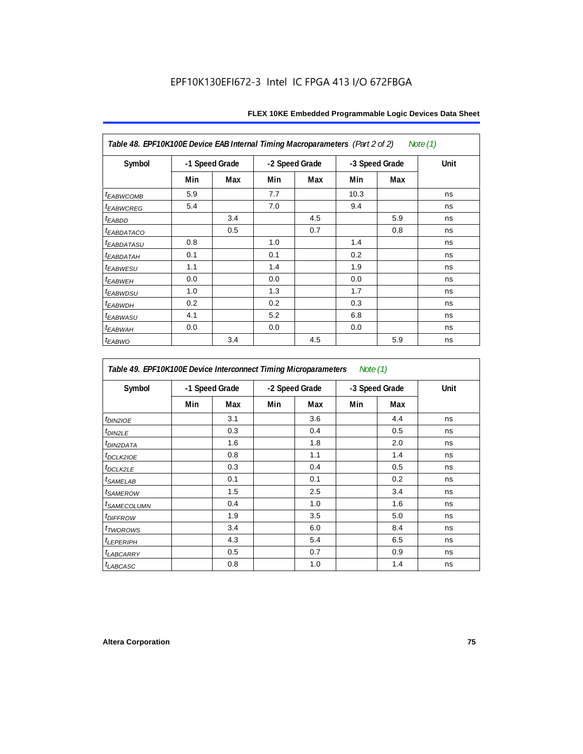| Table 48. EPF10K100E Device EAB Internal Timing Macroparameters (Part 2 of 2)<br>Note (1) |                |     |     |                |      |                |             |  |  |  |
|-------------------------------------------------------------------------------------------|----------------|-----|-----|----------------|------|----------------|-------------|--|--|--|
| Symbol                                                                                    | -1 Speed Grade |     |     | -2 Speed Grade |      | -3 Speed Grade | <b>Unit</b> |  |  |  |
|                                                                                           | Min            | Max | Min | Max            | Min  | Max            |             |  |  |  |
| <b>t</b> EABWCOMB                                                                         | 5.9            |     | 7.7 |                | 10.3 |                | ns          |  |  |  |
| <sup>t</sup> EABWCREG                                                                     | 5.4            |     | 7.0 |                | 9.4  |                | ns          |  |  |  |
| t <sub>EABDD</sub>                                                                        |                | 3.4 |     | 4.5            |      | 5.9            | ns          |  |  |  |
| <i>EABDATACO</i>                                                                          |                | 0.5 |     | 0.7            |      | 0.8            | ns          |  |  |  |
| <sup>t</sup> EABDATASU                                                                    | 0.8            |     | 1.0 |                | 1.4  |                | ns          |  |  |  |
| <sup>t</sup> EABDATAH                                                                     | 0.1            |     | 0.1 |                | 0.2  |                | ns          |  |  |  |
| <sup>t</sup> EABWESU                                                                      | 1.1            |     | 1.4 |                | 1.9  |                | ns          |  |  |  |
| <sup>t</sup> EABWEH                                                                       | 0.0            |     | 0.0 |                | 0.0  |                | ns          |  |  |  |
| <sup>t</sup> EABWDSU                                                                      | 1.0            |     | 1.3 |                | 1.7  |                | ns          |  |  |  |
| t <sub>EABWDH</sub>                                                                       | 0.2            |     | 0.2 |                | 0.3  |                | ns          |  |  |  |
| <sup>t</sup> EABWASU                                                                      | 4.1            |     | 5.2 |                | 6.8  |                | ns          |  |  |  |
| <sup>t</sup> ЕАВWАН                                                                       | 0.0            |     | 0.0 |                | 0.0  |                | ns          |  |  |  |
| t <sub>EABWO</sub>                                                                        |                | 3.4 |     | 4.5            |      | 5.9            | ns          |  |  |  |

*Table 49. EPF10K100E Device Interconnect Timing Microparameters Note (1)*

| Symbol                     |     | -1 Speed Grade |     | -2 Speed Grade |     | -3 Speed Grade | Unit |
|----------------------------|-----|----------------|-----|----------------|-----|----------------|------|
|                            | Min | Max            | Min | Max            | Min | Max            |      |
| $tD$ IN2IOE                |     | 3.1            |     | 3.6            |     | 4.4            | ns   |
| t <sub>DIN2LE</sub>        |     | 0.3            |     | 0.4            |     | 0.5            | ns   |
| <sup>t</sup> DIN2DATA      |     | 1.6            |     | 1.8            |     | 2.0            | ns   |
| $t_{DCLK2IOE}$             |     | 0.8            |     | 1.1            |     | 1.4            | ns   |
| $t$ <sub>DCLK2LE</sub>     |     | 0.3            |     | 0.4            |     | 0.5            | ns   |
| <sup>t</sup> SAMELAB       |     | 0.1            |     | 0.1            |     | 0.2            | ns   |
| <i>t</i> SAMEROW           |     | 1.5            |     | 2.5            |     | 3.4            | ns   |
| <sup>t</sup> SAMECOLUMN    |     | 0.4            |     | 1.0            |     | 1.6            | ns   |
| <i>t<sub>DIFFROW</sub></i> |     | 1.9            |     | 3.5            |     | 5.0            | ns   |
| <i>t</i> TWOROWS           |     | 3.4            |     | 6.0            |     | 8.4            | ns   |
| <sup>t</sup> LEPERIPH      |     | 4.3            |     | 5.4            |     | 6.5            | ns   |
| t <sub>LABCARRY</sub>      |     | 0.5            |     | 0.7            |     | 0.9            | ns   |
| t <sub>LABCASC</sub>       |     | 0.8            |     | 1.0            |     | 1.4            | ns   |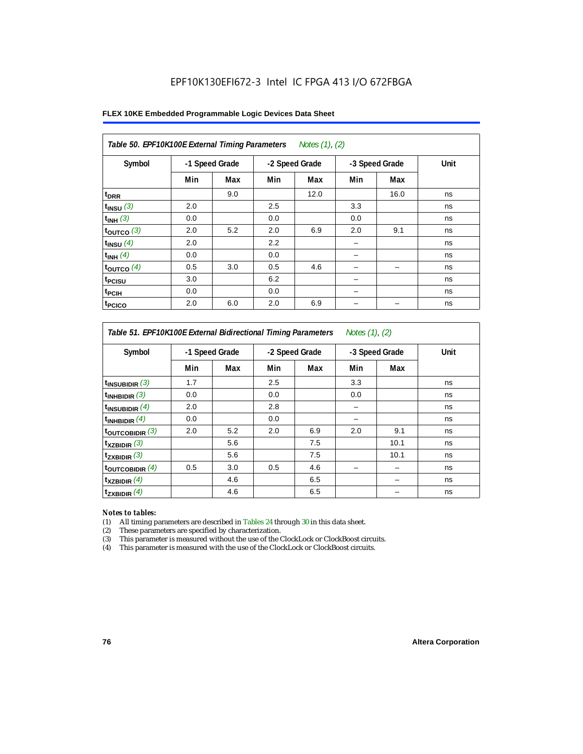| Table 50. EPF10K100E External Timing Parameters Notes (1), (2) |                |     |     |                |                |      |      |  |  |  |
|----------------------------------------------------------------|----------------|-----|-----|----------------|----------------|------|------|--|--|--|
| Symbol                                                         | -1 Speed Grade |     |     | -2 Speed Grade | -3 Speed Grade |      | Unit |  |  |  |
|                                                                | Min            | Max | Min | Max            | Min            | Max  |      |  |  |  |
| t <sub>DRR</sub>                                               |                | 9.0 |     | 12.0           |                | 16.0 | ns   |  |  |  |
| $t_{INSU}$ (3)                                                 | 2.0            |     | 2.5 |                | 3.3            |      | ns   |  |  |  |
| $t_{INH}$ (3)                                                  | 0.0            |     | 0.0 |                | 0.0            |      | ns   |  |  |  |
| $t_{OUTCO}$ (3)                                                | 2.0            | 5.2 | 2.0 | 6.9            | 2.0            | 9.1  | ns   |  |  |  |
| $t_{INSU}$ (4)                                                 | 2.0            |     | 2.2 |                |                |      | ns   |  |  |  |
| $t_{INH}$ (4)                                                  | 0.0            |     | 0.0 |                |                |      | ns   |  |  |  |
| $t_{OUTCO}$ (4)                                                | 0.5            | 3.0 | 0.5 | 4.6            |                | -    | ns   |  |  |  |
| <sup>t</sup> PCISU                                             | 3.0            |     | 6.2 |                |                |      | ns   |  |  |  |
| <sup>t</sup> PCIH                                              | 0.0            |     | 0.0 |                |                |      | ns   |  |  |  |
| <sup>t</sup> PCICO                                             | 2.0            | 6.0 | 2.0 | 6.9            |                |      | ns   |  |  |  |

*Table 51. EPF10K100E External Bidirectional Timing Parameters Notes (1), (2)*

| Symbol                      |     | -1 Speed Grade |     | -2 Speed Grade |     | -3 Speed Grade | Unit |
|-----------------------------|-----|----------------|-----|----------------|-----|----------------|------|
|                             | Min | Max            | Min | Max            | Min | Max            |      |
| $t_{INSUBIDIR}$ (3)         | 1.7 |                | 2.5 |                | 3.3 |                | ns   |
| $t_{INHBIDIR}$ (3)          | 0.0 |                | 0.0 |                | 0.0 |                | ns   |
| $t_{INSUBIDIR}(4)$          | 2.0 |                | 2.8 |                |     |                | ns   |
| $t_{INHBIDIR}$ $(4)$        | 0.0 |                | 0.0 |                |     |                | ns   |
| $t_{\text{OUTCOBIDIR}}$ (3) | 2.0 | 5.2            | 2.0 | 6.9            | 2.0 | 9.1            | ns   |
| $t_{XZBIDIR}$ (3)           |     | 5.6            |     | 7.5            |     | 10.1           | ns   |
| $t_{ZXBIDIR}$ (3)           |     | 5.6            |     | 7.5            |     | 10.1           | ns   |
| $t_{\text{OUTCOBIDIR}}$ (4) | 0.5 | 3.0            | 0.5 | 4.6            |     |                | ns   |
| $t_{XZBIDIR}$ (4)           |     | 4.6            |     | 6.5            |     |                | ns   |
| $t_{ZXBIDIR}$ (4)           |     | 4.6            |     | 6.5            |     |                | ns   |

#### *Notes to tables:*

(1) All timing parameters are described in Tables 24 through 30 in this data sheet.

(2) These parameters are specified by characterization.

(3) This parameter is measured without the use of the ClockLock or ClockBoost circuits.

(4) This parameter is measured with the use of the ClockLock or ClockBoost circuits.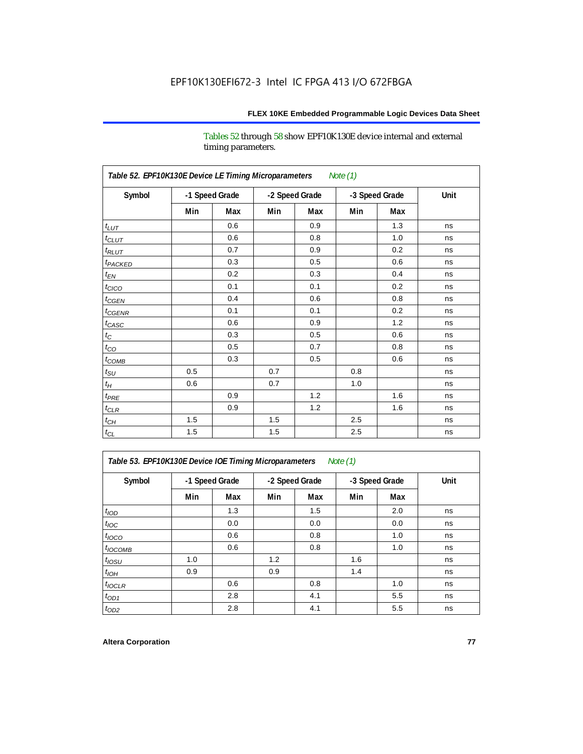Tables 52 through 58 show EPF10K130E device internal and external timing parameters.

| Table 52. EPF10K130E Device LE Timing Microparameters<br><b>Note (1)</b> |     |                |     |                |     |                |      |  |  |
|--------------------------------------------------------------------------|-----|----------------|-----|----------------|-----|----------------|------|--|--|
| Symbol                                                                   |     | -1 Speed Grade |     | -2 Speed Grade |     | -3 Speed Grade | Unit |  |  |
|                                                                          | Min | Max            | Min | Max            | Min | Max            |      |  |  |
| $t_{LUT}$                                                                |     | 0.6            |     | 0.9            |     | 1.3            | ns   |  |  |
| $t_{CLUT}$                                                               |     | 0.6            |     | 0.8            |     | 1.0            | ns   |  |  |
| $t_{RLUT}$                                                               |     | 0.7            |     | 0.9            |     | 0.2            | ns   |  |  |
| t <sub>PACKED</sub>                                                      |     | 0.3            |     | 0.5            |     | 0.6            | ns   |  |  |
| $t_{EN}$                                                                 |     | 0.2            |     | 0.3            |     | 0.4            | ns   |  |  |
| $t_{CICO}$                                                               |     | 0.1            |     | 0.1            |     | 0.2            | ns   |  |  |
| $t_{CGEN}$                                                               |     | 0.4            |     | 0.6            |     | 0.8            | ns   |  |  |
| $t_{\text{CGENR}}$                                                       |     | 0.1            |     | 0.1            |     | 0.2            | ns   |  |  |
| $t_{CASC}$                                                               |     | 0.6            |     | 0.9            |     | 1.2            | ns   |  |  |
| $t_{\rm C}$                                                              |     | 0.3            |     | 0.5            |     | 0.6            | ns   |  |  |
| $t_{CO}$                                                                 |     | 0.5            |     | 0.7            |     | 0.8            | ns   |  |  |
| $t_{\text{COMB}}$                                                        |     | 0.3            |     | 0.5            |     | 0.6            | ns   |  |  |
| $t_{\rm SU}$                                                             | 0.5 |                | 0.7 |                | 0.8 |                | ns   |  |  |
| $t_H$                                                                    | 0.6 |                | 0.7 |                | 1.0 |                | ns   |  |  |
| $t_{PRE}$                                                                |     | 0.9            |     | 1.2            |     | 1.6            | ns   |  |  |
| $t_{CLR}$                                                                |     | 0.9            |     | 1.2            |     | 1.6            | ns   |  |  |
| $t_{CH}$                                                                 | 1.5 |                | 1.5 |                | 2.5 |                | ns   |  |  |
| $t_{\rm CL}$                                                             | 1.5 |                | 1.5 |                | 2.5 |                | ns   |  |  |

*Table 53. EPF10K130E Device IOE Timing Microparameters Note (1)*

| Symbol           |     | -1 Speed Grade |     | -2 Speed Grade |     | -3 Speed Grade | Unit |
|------------------|-----|----------------|-----|----------------|-----|----------------|------|
|                  | Min | Max            | Min | Max            | Min | Max            |      |
| t <sub>IOD</sub> |     | 1.3            |     | 1.5            |     | 2.0            | ns   |
| $t_{\text{IOC}}$ |     | 0.0            |     | 0.0            |     | 0.0            | ns   |
| $t_{IOCO}$       |     | 0.6            |     | 0.8            |     | 1.0            | ns   |
| $t_{IOCOMB}$     |     | 0.6            |     | 0.8            |     | 1.0            | ns   |
| $t_{IOSU}$       | 1.0 |                | 1.2 |                | 1.6 |                | ns   |
| $t_{IOH}$        | 0.9 |                | 0.9 |                | 1.4 |                | ns   |
| $t_{IOCLR}$      |     | 0.6            |     | 0.8            |     | 1.0            | ns   |
| $t_{OD1}$        |     | 2.8            |     | 4.1            |     | 5.5            | ns   |
| $t_{OD2}$        |     | 2.8            |     | 4.1            |     | 5.5            | ns   |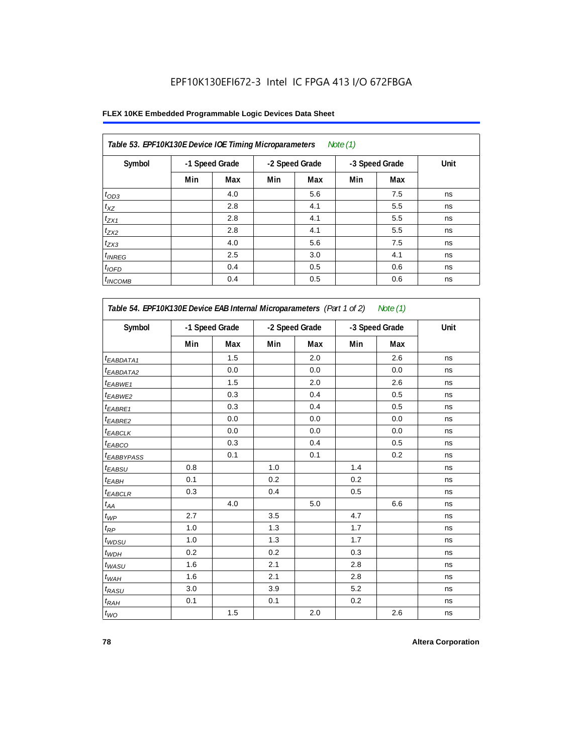| Table 53. EPF10K130E Device IOE Timing Microparameters<br>Note $(1)$ |                |     |     |                |     |                |      |  |  |  |  |
|----------------------------------------------------------------------|----------------|-----|-----|----------------|-----|----------------|------|--|--|--|--|
| Symbol                                                               | -1 Speed Grade |     |     | -2 Speed Grade |     | -3 Speed Grade | Unit |  |  |  |  |
|                                                                      | Min            | Max | Min | Max            | Min | Max            |      |  |  |  |  |
| $t_{OD3}$                                                            |                | 4.0 |     | 5.6            |     | 7.5            | ns   |  |  |  |  |
| $t_{XZ}$                                                             |                | 2.8 |     | 4.1            |     | 5.5            | ns   |  |  |  |  |
| $t_{ZX1}$                                                            |                | 2.8 |     | 4.1            |     | 5.5            | ns   |  |  |  |  |
| $t_{ZX2}$                                                            |                | 2.8 |     | 4.1            |     | 5.5            | ns   |  |  |  |  |
| $t_{ZX3}$                                                            |                | 4.0 |     | 5.6            |     | 7.5            | ns   |  |  |  |  |
| $t_{INREG}$                                                          |                | 2.5 |     | 3.0            |     | 4.1            | ns   |  |  |  |  |
| $t_{IOFD}$                                                           |                | 0.4 |     | 0.5            |     | 0.6            | ns   |  |  |  |  |
| $t_{INCOMB}$                                                         |                | 0.4 |     | 0.5            |     | 0.6            | ns   |  |  |  |  |

| Symbol                       |     | -1 Speed Grade |     | -2 Speed Grade |     | -3 Speed Grade |    |
|------------------------------|-----|----------------|-----|----------------|-----|----------------|----|
|                              | Min | <b>Max</b>     | Min | Max            | Min | Max            |    |
| <sup>t</sup> EABDATA1        |     | 1.5            |     | 2.0            |     | 2.6            | ns |
| <sup>t</sup> EABDATA2        |     | 0.0            |     | 0.0            |     | 0.0            | ns |
| t <sub>EABWE1</sub>          |     | 1.5            |     | 2.0            |     | 2.6            | ns |
| <sup>t</sup> EABWE2          |     | 0.3            |     | 0.4            |     | 0.5            | ns |
| t <sub>EABRE1</sub>          |     | 0.3            |     | 0.4            |     | 0.5            | ns |
| t <sub>EABRE2</sub>          |     | 0.0            |     | 0.0            |     | 0.0            | ns |
| t <sub>EABCLK</sub>          |     | 0.0            |     | 0.0            |     | 0.0            | ns |
| t <sub>EABCO</sub>           |     | 0.3            |     | 0.4            |     | 0.5            | ns |
| t <sub>EABBYPASS</sub>       |     | 0.1            |     | 0.1            |     | 0.2            | ns |
| t <sub>EABSU</sub>           | 0.8 |                | 1.0 |                | 1.4 |                | ns |
| t <sub>ЕАВН</sub>            | 0.1 |                | 0.2 |                | 0.2 |                | ns |
| t <sub>EABCLR</sub>          | 0.3 |                | 0.4 |                | 0.5 |                | ns |
| $t_{\mathcal{A}\mathcal{A}}$ |     | 4.0            |     | 5.0            |     | 6.6            | ns |
| $t_{\mathcal{WP}}$           | 2.7 |                | 3.5 |                | 4.7 |                | ns |
| $t_{RP}$                     | 1.0 |                | 1.3 |                | 1.7 |                | ns |
| $t_{WDSU}$                   | 1.0 |                | 1.3 |                | 1.7 |                | ns |
| $t_{WDH}$                    | 0.2 |                | 0.2 |                | 0.3 |                | ns |
| $t_{WASU}$                   | 1.6 |                | 2.1 |                | 2.8 |                | ns |
| $t_{WAH}$                    | 1.6 |                | 2.1 |                | 2.8 |                | ns |
| $t_{RASU}$                   | 3.0 |                | 3.9 |                | 5.2 |                | ns |
| $t_{RAH}$                    | 0.1 |                | 0.1 |                | 0.2 |                | ns |
| $t_{WO}$                     |     | 1.5            |     | 2.0            |     | 2.6            | ns |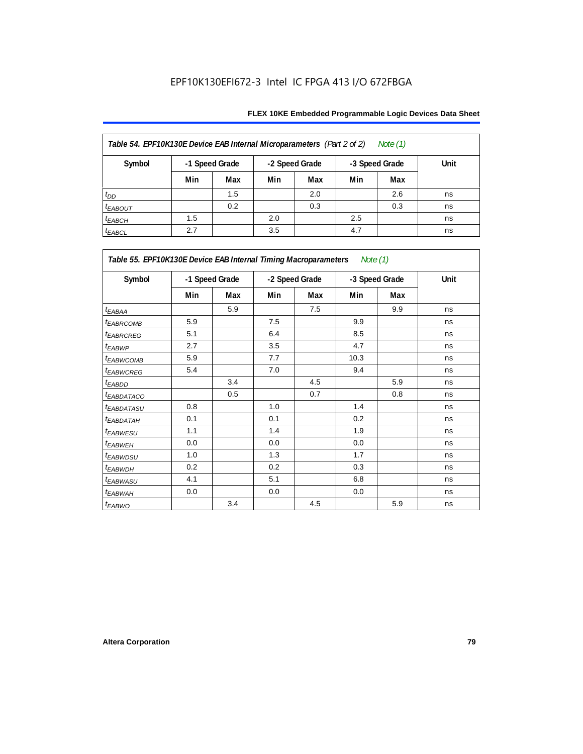| Table 54. EPF10K130E Device EAB Internal Microparameters (Part 2 of 2)<br>Note $(1)$ |                |      |     |     |     |     |    |  |  |  |
|--------------------------------------------------------------------------------------|----------------|------|-----|-----|-----|-----|----|--|--|--|
| Symbol                                                                               | -1 Speed Grade | Unit |     |     |     |     |    |  |  |  |
|                                                                                      | Min            | Max  | Min | Max | Min | Max |    |  |  |  |
| $t_{DD}$                                                                             |                | 1.5  |     | 2.0 |     | 2.6 | ns |  |  |  |
| $t_{EABOUT}$                                                                         |                | 0.2  |     | 0.3 |     | 0.3 | ns |  |  |  |
| $t_{EABCH}$                                                                          | 1.5            |      | 2.0 |     | 2.5 |     | ns |  |  |  |
| $t_{EABCL}$                                                                          | 2.7            |      | 3.5 |     | 4.7 |     | ns |  |  |  |

| Table 55. EPF10K130E Device EAB Internal Timing Macroparameters Note (1) |     |                |     |                |      |                |             |  |  |
|--------------------------------------------------------------------------|-----|----------------|-----|----------------|------|----------------|-------------|--|--|
| Symbol                                                                   |     | -1 Speed Grade |     | -2 Speed Grade |      | -3 Speed Grade | <b>Unit</b> |  |  |
|                                                                          | Min | Max            | Min | Max            | Min  | Max            |             |  |  |
| $t_{EABA}$                                                               |     | 5.9            |     | 7.5            |      | 9.9            | ns          |  |  |
| <sup>t</sup> EABRCOMB                                                    | 5.9 |                | 7.5 |                | 9.9  |                | ns          |  |  |
| <sup>t</sup> EABRCREG                                                    | 5.1 |                | 6.4 |                | 8.5  |                | ns          |  |  |
| t <sub>EABWP</sub>                                                       | 2.7 |                | 3.5 |                | 4.7  |                | ns          |  |  |
| <sup>t</sup> EABWCOMB                                                    | 5.9 |                | 7.7 |                | 10.3 |                | ns          |  |  |
| <sup>t</sup> EABWCREG                                                    | 5.4 |                | 7.0 |                | 9.4  |                | ns          |  |  |
| <sup>t</sup> EABDD                                                       |     | 3.4            |     | 4.5            |      | 5.9            | ns          |  |  |
| <sup>t</sup> EABDATACO                                                   |     | 0.5            |     | 0.7            |      | 0.8            | ns          |  |  |
| <sup>t</sup> EABDATASU                                                   | 0.8 |                | 1.0 |                | 1.4  |                | ns          |  |  |
| <sup>t</sup> EABDATAH                                                    | 0.1 |                | 0.1 |                | 0.2  |                | ns          |  |  |
| t <sub>EABWESU</sub>                                                     | 1.1 |                | 1.4 |                | 1.9  |                | ns          |  |  |
| <sup>t</sup> EABWEH                                                      | 0.0 |                | 0.0 |                | 0.0  |                | ns          |  |  |
| <sup>t</sup> EABWDSU                                                     | 1.0 |                | 1.3 |                | 1.7  |                | ns          |  |  |
| <sup>t</sup> EABWDH                                                      | 0.2 |                | 0.2 |                | 0.3  |                | ns          |  |  |
| <sup>t</sup> EABWASU                                                     | 4.1 |                | 5.1 |                | 6.8  |                | ns          |  |  |
| <sup>t</sup> EABWAH                                                      | 0.0 |                | 0.0 |                | 0.0  |                | ns          |  |  |
| t <sub>EABWO</sub>                                                       |     | 3.4            |     | 4.5            |      | 5.9            | ns          |  |  |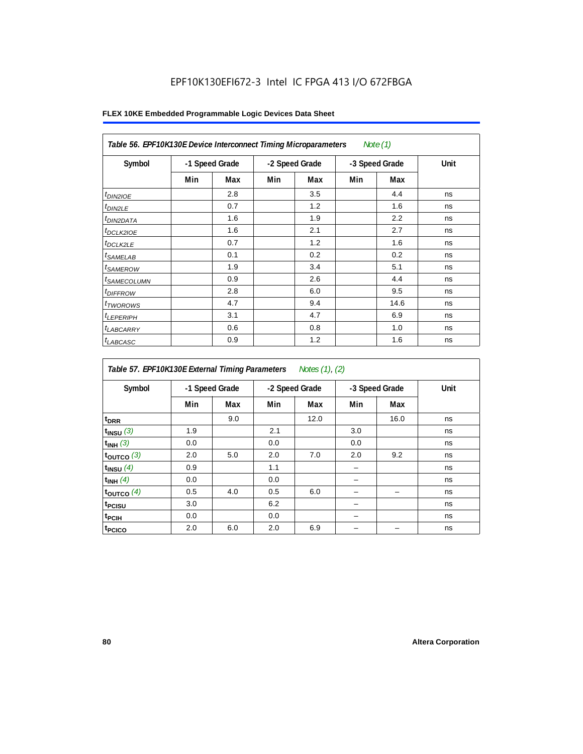| Table 56. EPF10K130E Device Interconnect Timing Microparameters<br>Note $(1)$ |                |     |                |     |                |      |      |  |  |  |
|-------------------------------------------------------------------------------|----------------|-----|----------------|-----|----------------|------|------|--|--|--|
| Symbol                                                                        | -1 Speed Grade |     | -2 Speed Grade |     | -3 Speed Grade |      | Unit |  |  |  |
|                                                                               | Min            | Max | Min            | Max | Min            | Max  |      |  |  |  |
| $t_{DIN2IOE}$                                                                 |                | 2.8 |                | 3.5 |                | 4.4  | ns   |  |  |  |
| $t_{DIN2LE}$                                                                  |                | 0.7 |                | 1.2 |                | 1.6  | ns   |  |  |  |
| t <sub>DIN2DATA</sub>                                                         |                | 1.6 |                | 1.9 |                | 2.2  | ns   |  |  |  |
| $t_{DCLK2IOE}$                                                                |                | 1.6 |                | 2.1 |                | 2.7  | ns   |  |  |  |
| <sup>t</sup> DCLK2LE                                                          |                | 0.7 |                | 1.2 |                | 1.6  | ns   |  |  |  |
| $t_{SAMELAB}$                                                                 |                | 0.1 |                | 0.2 |                | 0.2  | ns   |  |  |  |
| <i>t</i> SAMEROW                                                              |                | 1.9 |                | 3.4 |                | 5.1  | ns   |  |  |  |
| <sup>t</sup> SAMECOLUMN                                                       |                | 0.9 |                | 2.6 |                | 4.4  | ns   |  |  |  |
| <i>t<sub>DIFFROW</sub></i>                                                    |                | 2.8 |                | 6.0 |                | 9.5  | ns   |  |  |  |
| <sup>t</sup> TWOROWS                                                          |                | 4.7 |                | 9.4 |                | 14.6 | ns   |  |  |  |
| $t_{LEPERIPH}$                                                                |                | 3.1 |                | 4.7 |                | 6.9  | ns   |  |  |  |
| t <sub>LABCARRY</sub>                                                         |                | 0.6 |                | 0.8 |                | 1.0  | ns   |  |  |  |
| $t_{LABCASC}$                                                                 |                | 0.9 |                | 1.2 |                | 1.6  | ns   |  |  |  |

| Table 57. EPF10K130E External Timing Parameters Notes (1), (2) |                |     |                |      |                |      |      |  |  |
|----------------------------------------------------------------|----------------|-----|----------------|------|----------------|------|------|--|--|
| Symbol                                                         | -1 Speed Grade |     | -2 Speed Grade |      | -3 Speed Grade |      | Unit |  |  |
|                                                                | Min            | Max | Min            | Max  | Min            | Max  |      |  |  |
| t <sub>DRR</sub>                                               |                | 9.0 |                | 12.0 |                | 16.0 | ns   |  |  |
| $t_{INSU}$ (3)                                                 | 1.9            |     | 2.1            |      | 3.0            |      | ns   |  |  |
| $t_{INH}$ (3)                                                  | 0.0            |     | 0.0            |      | 0.0            |      | ns   |  |  |
| $t_{OUTCO}$ (3)                                                | 2.0            | 5.0 | 2.0            | 7.0  | 2.0            | 9.2  | ns   |  |  |
| $t_{INSU}$ (4)                                                 | 0.9            |     | 1.1            |      |                |      | ns   |  |  |
| $t_{INH}$ (4)                                                  | 0.0            |     | 0.0            |      |                |      | ns   |  |  |
| $t_{OUTCO}$ (4)                                                | 0.5            | 4.0 | 0.5            | 6.0  |                |      | ns   |  |  |
| t <sub>PCISU</sub>                                             | 3.0            |     | 6.2            |      |                |      | ns   |  |  |
| $t_{\rm{PCH}}$                                                 | 0.0            |     | 0.0            |      |                |      | ns   |  |  |
| t <sub>PCICO</sub>                                             | 2.0            | 6.0 | 2.0            | 6.9  |                |      | ns   |  |  |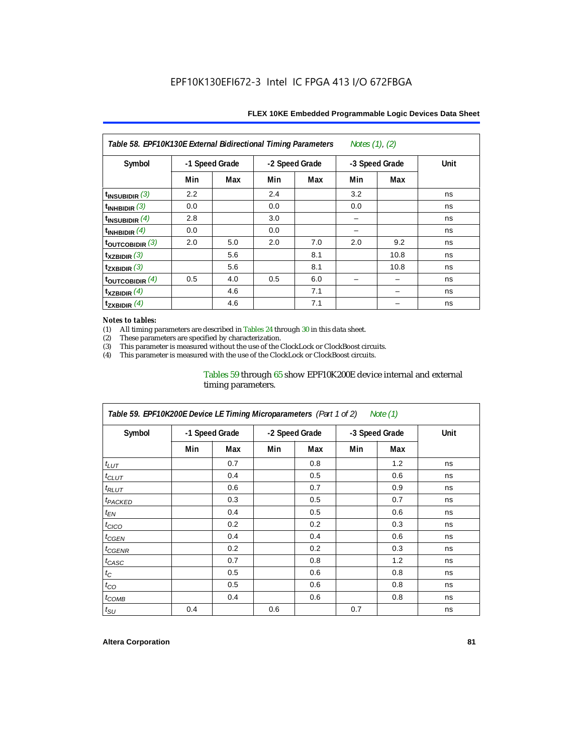| Notes $(1)$ , $(2)$<br>Table 58. EPF10K130E External Bidirectional Timing Parameters |                |     |     |                |     |                |      |  |  |
|--------------------------------------------------------------------------------------|----------------|-----|-----|----------------|-----|----------------|------|--|--|
| Symbol                                                                               | -1 Speed Grade |     |     | -2 Speed Grade |     | -3 Speed Grade | Unit |  |  |
|                                                                                      | Min            | Max | Min | Max            | Min | Max            |      |  |  |
| $t_{INSUBIDIR}$ (3)                                                                  | 2.2            |     | 2.4 |                | 3.2 |                | ns   |  |  |
| $t_{INHBIDIR}$ (3)                                                                   | 0.0            |     | 0.0 |                | 0.0 |                | ns   |  |  |
| $t_{\text{INSUBIDIR}}$ (4)                                                           | 2.8            |     | 3.0 |                |     |                | ns   |  |  |
| t <sub>INHBIDIR</sub> $(4)$                                                          | 0.0            |     | 0.0 |                |     |                | ns   |  |  |
| toutcobidir $(3)$                                                                    | 2.0            | 5.0 | 2.0 | 7.0            | 2.0 | 9.2            | ns   |  |  |
| $\mathsf{t}_{\texttt{XZBIDIR}}(3)$                                                   |                | 5.6 |     | 8.1            |     | 10.8           | ns   |  |  |
| $t_{ZXBIDIR}$ (3)                                                                    |                | 5.6 |     | 8.1            |     | 10.8           | ns   |  |  |
| toutcobidir $(4)$                                                                    | 0.5            | 4.0 | 0.5 | 6.0            |     |                | ns   |  |  |
| $t_{XZBIDIR}$ (4)                                                                    |                | 4.6 |     | 7.1            |     |                | ns   |  |  |
| $\mathsf{t}_{\mathsf{ZXBIDIR}}$ (4)                                                  |                | 4.6 |     | 7.1            |     |                | ns   |  |  |

#### *Notes to tables:*

(1) All timing parameters are described in Tables 24 through 30 in this data sheet.<br>(2) These parameters are specified by characterization.

(2) These parameters are specified by characterization.<br>
(3) This parameter is measured without the use of the C

This parameter is measured without the use of the ClockLock or ClockBoost circuits.

(4) This parameter is measured with the use of the ClockLock or ClockBoost circuits.

## Tables 59 through 65 show EPF10K200E device internal and external timing parameters.

| Table 59. EPF10K200E Device LE Timing Microparameters (Part 1 of 2) Note (1) |                |     |     |                |                |     |      |  |  |
|------------------------------------------------------------------------------|----------------|-----|-----|----------------|----------------|-----|------|--|--|
| Symbol                                                                       | -1 Speed Grade |     |     | -2 Speed Grade | -3 Speed Grade |     | Unit |  |  |
|                                                                              | Min            | Max | Min | Max            | Min            | Max |      |  |  |
| $t_{LUT}$                                                                    |                | 0.7 |     | 0.8            |                | 1.2 | ns   |  |  |
| $t_{CLUT}$                                                                   |                | 0.4 |     | 0.5            |                | 0.6 | ns   |  |  |
| $t_{RLUT}$                                                                   |                | 0.6 |     | 0.7            |                | 0.9 | ns   |  |  |
| <sup>t</sup> PACKED                                                          |                | 0.3 |     | 0.5            |                | 0.7 | ns   |  |  |
| $t_{EN}$                                                                     |                | 0.4 |     | 0.5            |                | 0.6 | ns   |  |  |
| $t_{CICO}$                                                                   |                | 0.2 |     | 0.2            |                | 0.3 | ns   |  |  |
| $t_{GEN}$                                                                    |                | 0.4 |     | 0.4            |                | 0.6 | ns   |  |  |
| <sup>t</sup> CGENR                                                           |                | 0.2 |     | 0.2            |                | 0.3 | ns   |  |  |
| $t_{CASC}$                                                                   |                | 0.7 |     | 0.8            |                | 1.2 | ns   |  |  |
| $t_{\rm C}$                                                                  |                | 0.5 |     | 0.6            |                | 0.8 | ns   |  |  |
| $t_{CO}$                                                                     |                | 0.5 |     | 0.6            |                | 0.8 | ns   |  |  |
| $t_{COMB}$                                                                   |                | 0.4 |     | 0.6            |                | 0.8 | ns   |  |  |
| $t_{\text{SU}}$                                                              | 0.4            |     | 0.6 |                | 0.7            |     | ns   |  |  |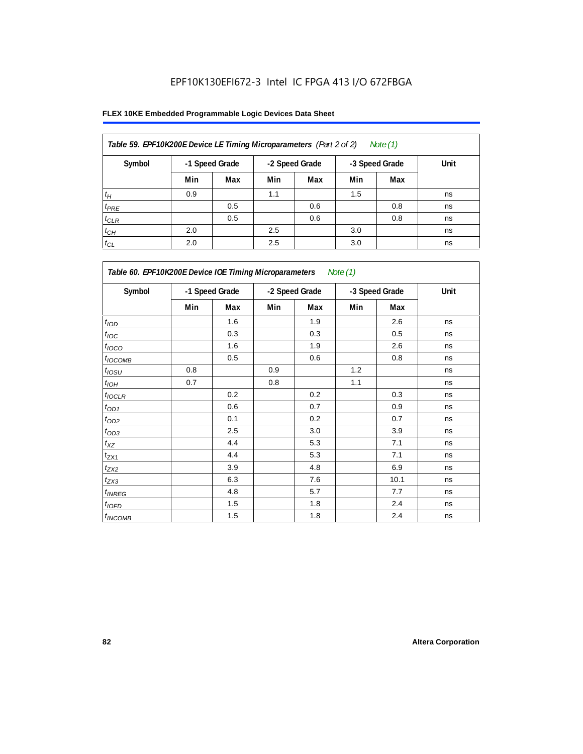| Table 59. EPF10K200E Device LE Timing Microparameters (Part 2 of 2)<br>Note (1) |     |                |                |     |                |     |      |  |  |  |
|---------------------------------------------------------------------------------|-----|----------------|----------------|-----|----------------|-----|------|--|--|--|
| Symbol                                                                          |     | -1 Speed Grade | -2 Speed Grade |     | -3 Speed Grade |     | Unit |  |  |  |
|                                                                                 | Min | Max            | Min            | Max | Min            | Max |      |  |  |  |
| $t_H$                                                                           | 0.9 |                | 1.1            |     | 1.5            |     | ns   |  |  |  |
| $t_{PRE}$                                                                       |     | 0.5            |                | 0.6 |                | 0.8 | ns   |  |  |  |
| $t_{CLR}$                                                                       |     | 0.5            |                | 0.6 |                | 0.8 | ns   |  |  |  |
| $t_{CH}$                                                                        | 2.0 |                | 2.5            |     | 3.0            |     | ns   |  |  |  |
| $t_{CL}$                                                                        | 2.0 |                | 2.5            |     | 3.0            |     | ns   |  |  |  |

| Table 60. EPF10K200E Device IOE Timing Microparameters Note (1) |                |     |                |     |                |      |      |  |  |
|-----------------------------------------------------------------|----------------|-----|----------------|-----|----------------|------|------|--|--|
| Symbol                                                          | -1 Speed Grade |     | -2 Speed Grade |     | -3 Speed Grade |      | Unit |  |  |
|                                                                 | Min            | Max | Min            | Max | Min            | Max  |      |  |  |
| t <sub>IOD</sub>                                                |                | 1.6 |                | 1.9 |                | 2.6  | ns   |  |  |
| $t_{\text{IOC}}$                                                |                | 0.3 |                | 0.3 |                | 0.5  | ns   |  |  |
| $t_{IOCO}$                                                      |                | 1.6 |                | 1.9 |                | 2.6  | ns   |  |  |
| $t_{IOCOMB}$                                                    |                | 0.5 |                | 0.6 |                | 0.8  | ns   |  |  |
| $t_{IOSU}$                                                      | 0.8            |     | 0.9            |     | 1.2            |      | ns   |  |  |
| $t_{IOH}$                                                       | 0.7            |     | 0.8            |     | 1.1            |      | ns   |  |  |
| $t_{IOCLR}$                                                     |                | 0.2 |                | 0.2 |                | 0.3  | ns   |  |  |
| $t_{OD1}$                                                       |                | 0.6 |                | 0.7 |                | 0.9  | ns   |  |  |
| $t_{OD2}$                                                       |                | 0.1 |                | 0.2 |                | 0.7  | ns   |  |  |
| $t_{\underline{OD3}}$                                           |                | 2.5 |                | 3.0 |                | 3.9  | ns   |  |  |
| $t_{\mathsf{XZ}}$                                               |                | 4.4 |                | 5.3 |                | 7.1  | ns   |  |  |
| $t_{ZX1}$                                                       |                | 4.4 |                | 5.3 |                | 7.1  | ns   |  |  |
| $t_{ZX2}$                                                       |                | 3.9 |                | 4.8 |                | 6.9  | ns   |  |  |
| $t_{ZX3}$                                                       |                | 6.3 |                | 7.6 |                | 10.1 | ns   |  |  |
| $t_{INREG}$                                                     |                | 4.8 |                | 5.7 |                | 7.7  | ns   |  |  |
| $t_{IOED}$                                                      |                | 1.5 |                | 1.8 |                | 2.4  | ns   |  |  |
| $t_{INCOMB}$                                                    |                | 1.5 |                | 1.8 |                | 2.4  | ns   |  |  |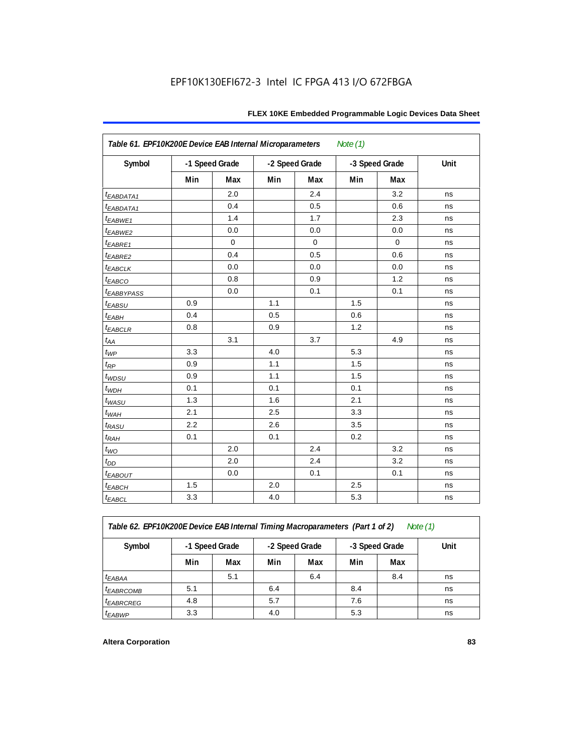| Table 61. EPF10K200E Device EAB Internal Microparameters<br>Note $(1)$ |                |             |                |             |     |                |      |  |  |  |
|------------------------------------------------------------------------|----------------|-------------|----------------|-------------|-----|----------------|------|--|--|--|
| Symbol                                                                 | -1 Speed Grade |             | -2 Speed Grade |             |     | -3 Speed Grade | Unit |  |  |  |
|                                                                        | Min            | Max         | Min            | Max         | Min | Max            |      |  |  |  |
| <i>EABDATA1</i>                                                        |                | 2.0         |                | 2.4         |     | 3.2            | ns   |  |  |  |
| <i><b>EABDATA1</b></i>                                                 |                | 0.4         |                | 0.5         |     | 0.6            | ns   |  |  |  |
| $t_{EABWE1}$                                                           |                | 1.4         |                | 1.7         |     | 2.3            | ns   |  |  |  |
| t <sub>EABWE2</sub>                                                    |                | 0.0         |                | 0.0         |     | 0.0            | ns   |  |  |  |
| $t_{EABRE1}$                                                           |                | $\mathbf 0$ |                | $\mathbf 0$ |     | $\mathbf 0$    | ns   |  |  |  |
| $t_{EABRE2}$                                                           |                | 0.4         |                | 0.5         |     | 0.6            | ns   |  |  |  |
| $t_{EABCLK}$                                                           |                | 0.0         |                | 0.0         |     | 0.0            | ns   |  |  |  |
| t <sub>EABCO</sub>                                                     |                | 0.8         |                | 0.9         |     | 1.2            | ns   |  |  |  |
| <i><b>LEABBYPASS</b></i>                                               |                | 0.0         |                | 0.1         |     | 0.1            | ns   |  |  |  |
| $t_{EABSU}$                                                            | 0.9            |             | 1.1            |             | 1.5 |                | ns   |  |  |  |
| $t_{EABH}$                                                             | 0.4            |             | 0.5            |             | 0.6 |                | ns   |  |  |  |
| $t_{EABCLR}$                                                           | 0.8            |             | 0.9            |             | 1.2 |                | ns   |  |  |  |
| $t_{\!A\!A}$                                                           |                | 3.1         |                | 3.7         |     | 4.9            | ns   |  |  |  |
| $t_{WP}$                                                               | 3.3            |             | 4.0            |             | 5.3 |                | ns   |  |  |  |
| $t_{RP}$                                                               | 0.9            |             | 1.1            |             | 1.5 |                | ns   |  |  |  |
| t <sub>WDSU</sub>                                                      | 0.9            |             | 1.1            |             | 1.5 |                | ns   |  |  |  |
| $t_{WDH}$                                                              | 0.1            |             | 0.1            |             | 0.1 |                | ns   |  |  |  |
| $t_{WASU}$                                                             | 1.3            |             | 1.6            |             | 2.1 |                | ns   |  |  |  |
| $t_{W\!AH}$                                                            | 2.1            |             | 2.5            |             | 3.3 |                | ns   |  |  |  |
| $t_{RASU}$                                                             | 2.2            |             | 2.6            |             | 3.5 |                | ns   |  |  |  |
| $t_{RAH}$                                                              | 0.1            |             | 0.1            |             | 0.2 |                | ns   |  |  |  |
| $t_{WO}$                                                               |                | 2.0         |                | 2.4         |     | 3.2            | ns   |  |  |  |
| $t_{DD}$                                                               |                | 2.0         |                | 2.4         |     | 3.2            | ns   |  |  |  |
| $t_{EABOUT}$                                                           |                | 0.0         |                | 0.1         |     | 0.1            | ns   |  |  |  |
| $t_{EABCH}$                                                            | 1.5            |             | 2.0            |             | 2.5 |                | ns   |  |  |  |
| $t_{EABCL}$                                                            | 3.3            |             | 4.0            |             | 5.3 |                | ns   |  |  |  |

*Table 62. EPF10K200E Device EAB Internal Timing Macroparameters (Part 1 of 2) Note (1)*

| Symbol                | -1 Speed Grade |     | -2 Speed Grade |     | -3 Speed Grade |     | Unit |
|-----------------------|----------------|-----|----------------|-----|----------------|-----|------|
|                       | Min            | Max | Min            | Max | Min            | Max |      |
| <sup>t</sup> EABAA    |                | 5.1 |                | 6.4 |                | 8.4 | ns   |
| <sup>t</sup> EABRCOMB | 5.1            |     | 6.4            |     | 8.4            |     | ns   |
| <sup>t</sup> EABRCREG | 4.8            |     | 5.7            |     | 7.6            |     | ns   |
| <sup>t</sup> EABWP    | 3.3            |     | 4.0            |     | 5.3            |     | ns   |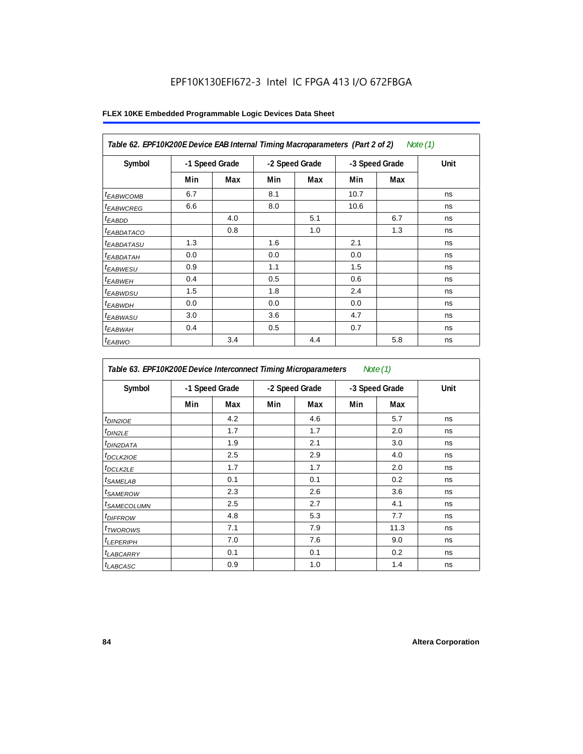| Table 62. EPF10K200E Device EAB Internal Timing Macroparameters (Part 2 of 2)<br>Note (1) |     |                |     |                |      |                |      |  |  |  |
|-------------------------------------------------------------------------------------------|-----|----------------|-----|----------------|------|----------------|------|--|--|--|
| Symbol                                                                                    |     | -1 Speed Grade |     | -2 Speed Grade |      | -3 Speed Grade | Unit |  |  |  |
|                                                                                           | Min | Max            | Min | Max            | Min  | Max            |      |  |  |  |
| <sup>t</sup> EABWCOMB                                                                     | 6.7 |                | 8.1 |                | 10.7 |                | ns   |  |  |  |
| <sup>t</sup> EABWCREG                                                                     | 6.6 |                | 8.0 |                | 10.6 |                | ns   |  |  |  |
| <sup>t</sup> EABDD                                                                        |     | 4.0            |     | 5.1            |      | 6.7            | ns   |  |  |  |
| <i>EABDATACO</i>                                                                          |     | 0.8            |     | 1.0            |      | 1.3            | ns   |  |  |  |
| <sup>t</sup> EABDATASU                                                                    | 1.3 |                | 1.6 |                | 2.1  |                | ns   |  |  |  |
| <sup>t</sup> EABDATAH                                                                     | 0.0 |                | 0.0 |                | 0.0  |                | ns   |  |  |  |
| <sup>t</sup> EABWESU                                                                      | 0.9 |                | 1.1 |                | 1.5  |                | ns   |  |  |  |
| <sup>t</sup> EABWEH                                                                       | 0.4 |                | 0.5 |                | 0.6  |                | ns   |  |  |  |
| <sup>t</sup> EABWDSU                                                                      | 1.5 |                | 1.8 |                | 2.4  |                | ns   |  |  |  |
| <sup>t</sup> EABWDH                                                                       | 0.0 |                | 0.0 |                | 0.0  |                | ns   |  |  |  |
| <sup>t</sup> EABWASU                                                                      | 3.0 |                | 3.6 |                | 4.7  |                | ns   |  |  |  |
| <sup>t</sup> EABWAH                                                                       | 0.4 |                | 0.5 |                | 0.7  |                | ns   |  |  |  |
| $t_{EABWO}$                                                                               |     | 3.4            |     | 4.4            |      | 5.8            | ns   |  |  |  |

| Symbol                  |     | -1 Speed Grade |     | -2 Speed Grade |     | -3 Speed Grade | Unit |
|-------------------------|-----|----------------|-----|----------------|-----|----------------|------|
|                         | Min | Max            | Min | Max            | Min | Max            |      |
| $t_{DINZIOE}$           |     | 4.2            |     | 4.6            |     | 5.7            | ns   |
| t <sub>DIN2LE</sub>     |     | 1.7            |     | 1.7            |     | 2.0            | ns   |
| <sup>t</sup> DIN2DATA   |     | 1.9            |     | 2.1            |     | 3.0            | ns   |
| <sup>t</sup> DCLK2IOE   |     | 2.5            |     | 2.9            |     | 4.0            | ns   |
| <sup>t</sup> DCLK2LE    |     | 1.7            |     | 1.7            |     | 2.0            | ns   |
| <sup>t</sup> SAMELAB    |     | 0.1            |     | 0.1            |     | 0.2            | ns   |
| <sup>t</sup> SAMEROW    |     | 2.3            |     | 2.6            |     | 3.6            | ns   |
| <sup>t</sup> SAMECOLUMN |     | 2.5            |     | 2.7            |     | 4.1            | ns   |
| <sup>t</sup> DIFFROW    |     | 4.8            |     | 5.3            |     | 7.7            | ns   |
| <sup>t</sup> TWOROWS    |     | 7.1            |     | 7.9            |     | 11.3           | ns   |
| <sup>t</sup> LEPERIPH   |     | 7.0            |     | 7.6            |     | 9.0            | ns   |
| <sup>t</sup> LABCARRY   |     | 0.1            |     | 0.1            |     | 0.2            | ns   |
| t <sub>LABCASC</sub>    |     | 0.9            |     | 1.0            |     | 1.4            | ns   |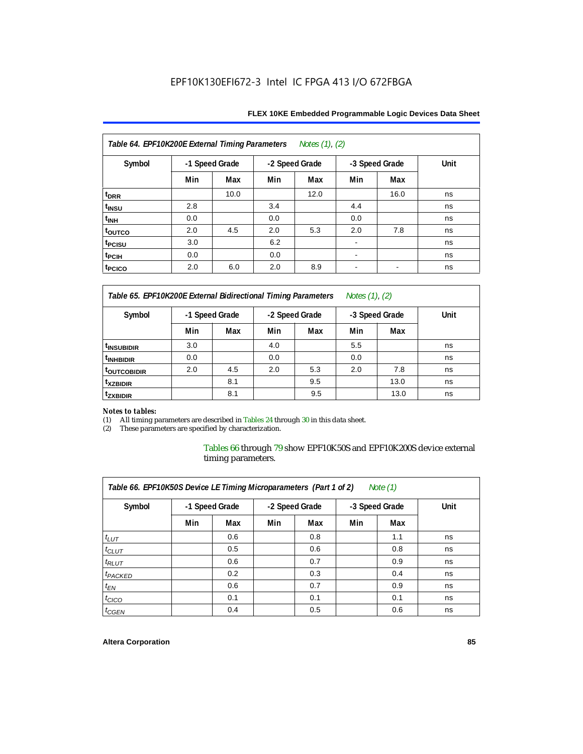| FLEX 10KE Embedded Programmable Logic Devices Data Sheet |  |
|----------------------------------------------------------|--|
|----------------------------------------------------------|--|

| Table 64. EPF10K200E External Timing Parameters<br>Notes (1), (2) |                |      |     |                |                          |                          |      |  |  |  |
|-------------------------------------------------------------------|----------------|------|-----|----------------|--------------------------|--------------------------|------|--|--|--|
| Symbol                                                            | -1 Speed Grade |      |     | -2 Speed Grade |                          | -3 Speed Grade           | Unit |  |  |  |
|                                                                   | Min            | Max  | Min | Max            | Min                      | Max                      |      |  |  |  |
| t <sub>DRR</sub>                                                  |                | 10.0 |     | 12.0           |                          | 16.0                     | ns   |  |  |  |
| t <sub>INSU</sub>                                                 | 2.8            |      | 3.4 |                | 4.4                      |                          | ns   |  |  |  |
| $t_{\mathsf{INH}}$                                                | 0.0            |      | 0.0 |                | 0.0                      |                          | ns   |  |  |  |
| toutco                                                            | 2.0            | 4.5  | 2.0 | 5.3            | 2.0                      | 7.8                      | ns   |  |  |  |
| t <sub>PCISU</sub>                                                | 3.0            |      | 6.2 |                | ۰                        |                          | ns   |  |  |  |
| t <sub>PCIH</sub>                                                 | 0.0            |      | 0.0 |                | ۰                        |                          | ns   |  |  |  |
| t <sub>PCICO</sub>                                                | 2.0            | 6.0  | 2.0 | 8.9            | $\overline{\phantom{a}}$ | $\overline{\phantom{a}}$ | ns   |  |  |  |

*Table 65. EPF10K200E External Bidirectional Timing Parameters Notes (1), (2)*

| Symbol                  | -1 Speed Grade |     | -2 Speed Grade |     | -3 Speed Grade |      | Unit |
|-------------------------|----------------|-----|----------------|-----|----------------|------|------|
|                         | Min            | Max | Min            | Max | Min            | Max  |      |
| <sup>t</sup> INSUBIDIR  | 3.0            |     | 4.0            |     | 5.5            |      | ns   |
| <sup>t</sup> INHBIDIR   | 0.0            |     | 0.0            |     | 0.0            |      | ns   |
| <sup>T</sup> OUTCOBIDIR | 2.0            | 4.5 | 2.0            | 5.3 | 2.0            | 7.8  | ns   |
| <sup>t</sup> xzbidir    |                | 8.1 |                | 9.5 |                | 13.0 | ns   |
| <sup>T</sup> ZXBIDIR    |                | 8.1 |                | 9.5 |                | 13.0 | ns   |

# *Notes to tables:*

(1) All timing parameters are described in Tables 24 through 30 in this data sheet.<br>(2) These parameters are specified by characterization.

These parameters are specified by characterization.

Tables 66 through 79 show EPF10K50S and EPF10K200S device external timing parameters.

| Table 66. EPF10K50S Device LE Timing Microparameters (Part 1 of 2)<br>Note $(1)$ |     |     |                |     |                                  |     |      |  |  |  |  |
|----------------------------------------------------------------------------------|-----|-----|----------------|-----|----------------------------------|-----|------|--|--|--|--|
| Symbol                                                                           |     |     | -1 Speed Grade |     | -2 Speed Grade<br>-3 Speed Grade |     | Unit |  |  |  |  |
|                                                                                  | Min | Max | Min            | Max | Min                              | Max |      |  |  |  |  |
| $t_{LUT}$                                                                        |     | 0.6 |                | 0.8 |                                  | 1.1 | ns   |  |  |  |  |
| $t_{CLUT}$                                                                       |     | 0.5 |                | 0.6 |                                  | 0.8 | ns   |  |  |  |  |
| $t_{RLUT}$                                                                       |     | 0.6 |                | 0.7 |                                  | 0.9 | ns   |  |  |  |  |
| <sup>t</sup> PACKED                                                              |     | 0.2 |                | 0.3 |                                  | 0.4 | ns   |  |  |  |  |
| $t_{EN}$                                                                         |     | 0.6 |                | 0.7 |                                  | 0.9 | ns   |  |  |  |  |
| $t_{CICO}$                                                                       |     | 0.1 |                | 0.1 |                                  | 0.1 | ns   |  |  |  |  |
| $t_{GEN}$                                                                        |     | 0.4 |                | 0.5 |                                  | 0.6 | ns   |  |  |  |  |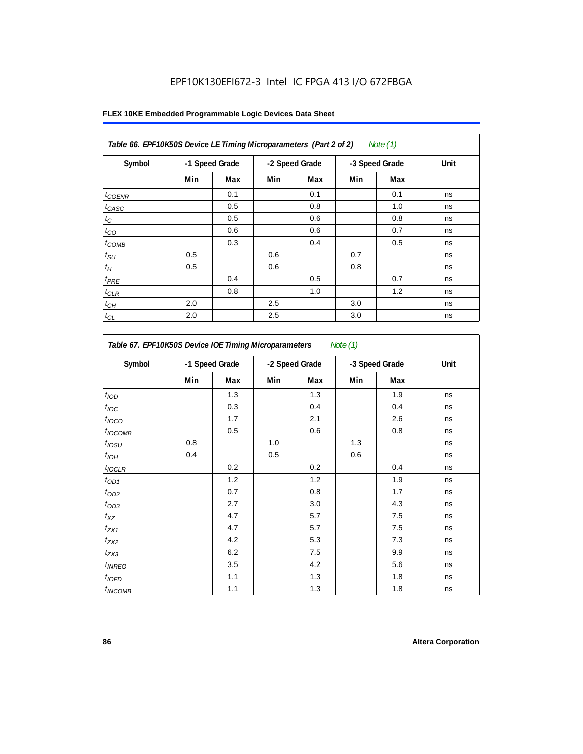|  |  |  | FLEX 10KE Embedded Programmable Logic Devices Data Sheet |  |  |  |  |
|--|--|--|----------------------------------------------------------|--|--|--|--|
|--|--|--|----------------------------------------------------------|--|--|--|--|

| Symbol            | -1 Speed Grade |     | -2 Speed Grade |     | -3 Speed Grade |     | Unit |
|-------------------|----------------|-----|----------------|-----|----------------|-----|------|
|                   | Min            | Max | Min            | Max | Min            | Max |      |
| $t_{GENR}$        |                | 0.1 |                | 0.1 |                | 0.1 | ns   |
| t <sub>CASC</sub> |                | 0.5 |                | 0.8 |                | 1.0 | ns   |
| $t_C$             |                | 0.5 |                | 0.6 |                | 0.8 | ns   |
| $t_{CO}$          |                | 0.6 |                | 0.6 |                | 0.7 | ns   |
| $t_{COMB}$        |                | 0.3 |                | 0.4 |                | 0.5 | ns   |
| $t_{\text{SU}}$   | 0.5            |     | 0.6            |     | 0.7            |     | ns   |
| $t_H$             | 0.5            |     | 0.6            |     | 0.8            |     | ns   |
| $t_{PRE}$         |                | 0.4 |                | 0.5 |                | 0.7 | ns   |
| $t_{CLR}$         |                | 0.8 |                | 1.0 |                | 1.2 | ns   |
| $t_{CH}$          | 2.0            |     | 2.5            |     | 3.0            |     | ns   |
| $t_{CL}$          | 2.0            |     | 2.5            |     | 3.0            |     | ns   |

| Table 67. EPF10K50S Device IOE Timing Microparameters<br>Note (1) |     |                |     |                |     |                |      |  |  |
|-------------------------------------------------------------------|-----|----------------|-----|----------------|-----|----------------|------|--|--|
| Symbol                                                            |     | -1 Speed Grade |     | -2 Speed Grade |     | -3 Speed Grade | Unit |  |  |
|                                                                   | Min | Max            | Min | Max            | Min | Max            |      |  |  |
| t <sub>IOD</sub>                                                  |     | 1.3            |     | 1.3            |     | 1.9            | ns   |  |  |
| $t_{\text{loc}}$                                                  |     | 0.3            |     | 0.4            |     | 0.4            | ns   |  |  |
| $t_{IOCO}$                                                        |     | 1.7            |     | 2.1            |     | 2.6            | ns   |  |  |
| $t_{\text{IOCOMB}}$                                               |     | 0.5            |     | 0.6            |     | 0.8            | ns   |  |  |
| $t_{IOSU}$                                                        | 0.8 |                | 1.0 |                | 1.3 |                | ns   |  |  |
| $t_{I\underline{OH}}$                                             | 0.4 |                | 0.5 |                | 0.6 |                | ns   |  |  |
| $t_{IOCLR}$                                                       |     | 0.2            |     | 0.2            |     | 0.4            | ns   |  |  |
| $t_{OD1}$                                                         |     | 1.2            |     | 1.2            |     | 1.9            | ns   |  |  |
| $t_{OD2}$                                                         |     | 0.7            |     | 0.8            |     | 1.7            | ns   |  |  |
| $t_{OD3}$                                                         |     | 2.7            |     | 3.0            |     | 4.3            | ns   |  |  |
| $t_{\mathsf{XZ}}$                                                 |     | 4.7            |     | 5.7            |     | 7.5            | ns   |  |  |
| $t_{ZX1}$                                                         |     | 4.7            |     | 5.7            |     | 7.5            | ns   |  |  |
| $t_{ZX2}$                                                         |     | 4.2            |     | 5.3            |     | 7.3            | ns   |  |  |
| $t_{ZX3}$                                                         |     | 6.2            |     | 7.5            |     | 9.9            | ns   |  |  |
| $t_{INREG}$                                                       |     | 3.5            |     | 4.2            |     | 5.6            | ns   |  |  |
| $t_{IOED}$                                                        |     | 1.1            |     | 1.3            |     | 1.8            | ns   |  |  |
| <i>t</i> <sub>INCOMB</sub>                                        |     | 1.1            |     | 1.3            |     | 1.8            | ns   |  |  |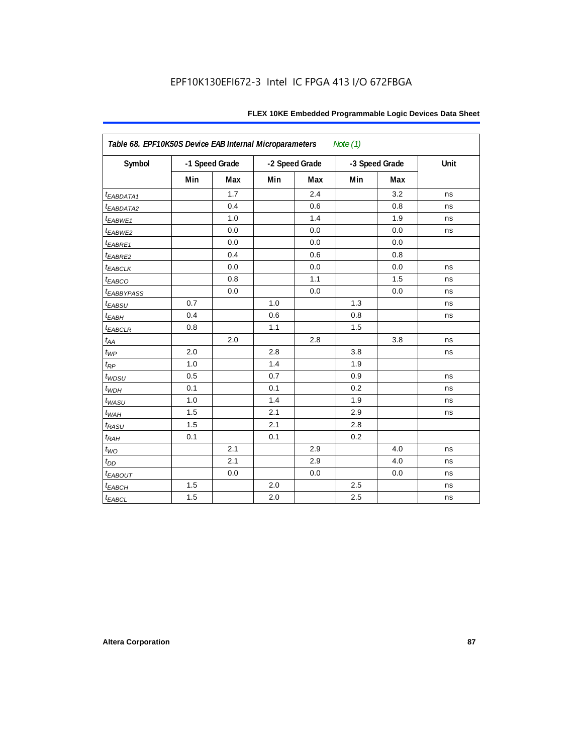| Table 68. EPF10K50S Device EAB Internal Microparameters<br>Note (1) |     |                |     |                |     |                |      |  |  |  |
|---------------------------------------------------------------------|-----|----------------|-----|----------------|-----|----------------|------|--|--|--|
| Symbol                                                              |     | -1 Speed Grade |     | -2 Speed Grade |     | -3 Speed Grade | Unit |  |  |  |
|                                                                     | Min | Max            | Min | Max            | Min | Max            |      |  |  |  |
| $t_{EABDATA1}$                                                      |     | 1.7            |     | 2.4            |     | 3.2            | ns   |  |  |  |
| $t_{EABDATA2}$                                                      |     | 0.4            |     | 0.6            |     | 0.8            | ns   |  |  |  |
| $t_{EABWE1}$                                                        |     | 1.0            |     | 1.4            |     | 1.9            | ns   |  |  |  |
| t <sub>EABWE2</sub>                                                 |     | 0.0            |     | 0.0            |     | 0.0            | ns   |  |  |  |
| $t_{EABRE1}$                                                        |     | 0.0            |     | 0.0            |     | 0.0            |      |  |  |  |
| $t_{EABRE2}$                                                        |     | 0.4            |     | 0.6            |     | 0.8            |      |  |  |  |
| $t_{EABCLK}$                                                        |     | 0.0            |     | 0.0            |     | 0.0            | ns   |  |  |  |
| $t_{EABCO}$                                                         |     | 0.8            |     | 1.1            |     | 1.5            | ns   |  |  |  |
| <b><i>EABBYPASS</i></b>                                             |     | 0.0            |     | 0.0            |     | 0.0            | ns   |  |  |  |
| $t_{EABSU}$                                                         | 0.7 |                | 1.0 |                | 1.3 |                | ns   |  |  |  |
| $t_{EABH}$                                                          | 0.4 |                | 0.6 |                | 0.8 |                | ns   |  |  |  |
| $t_{EABCLR}$                                                        | 0.8 |                | 1.1 |                | 1.5 |                |      |  |  |  |
| $t_{AA}$                                                            |     | 2.0            |     | 2.8            |     | 3.8            | ns   |  |  |  |
| $t_{WP}$                                                            | 2.0 |                | 2.8 |                | 3.8 |                | ns   |  |  |  |
| $t_{RP}$                                                            | 1.0 |                | 1.4 |                | 1.9 |                |      |  |  |  |
| $t_{WDSU}$                                                          | 0.5 |                | 0.7 |                | 0.9 |                | ns   |  |  |  |
| $t_{WDH}$                                                           | 0.1 |                | 0.1 |                | 0.2 |                | ns   |  |  |  |
| $t_{WASU}$                                                          | 1.0 |                | 1.4 |                | 1.9 |                | ns   |  |  |  |
| $t_{\textit{WAH}}$                                                  | 1.5 |                | 2.1 |                | 2.9 |                | ns   |  |  |  |
| $t_{RASU}$                                                          | 1.5 |                | 2.1 |                | 2.8 |                |      |  |  |  |
| $t_{RAH}$                                                           | 0.1 |                | 0.1 |                | 0.2 |                |      |  |  |  |
| $t_{WO}$                                                            |     | 2.1            |     | 2.9            |     | 4.0            | ns   |  |  |  |
| $t_{DD}$                                                            |     | 2.1            |     | 2.9            |     | 4.0            | ns   |  |  |  |
| $t_{EABOUT}$                                                        |     | 0.0            |     | 0.0            |     | 0.0            | ns   |  |  |  |
| $t_{EABCH}$                                                         | 1.5 |                | 2.0 |                | 2.5 |                | ns   |  |  |  |
| $t_{EABCL}$                                                         | 1.5 |                | 2.0 |                | 2.5 |                | ns   |  |  |  |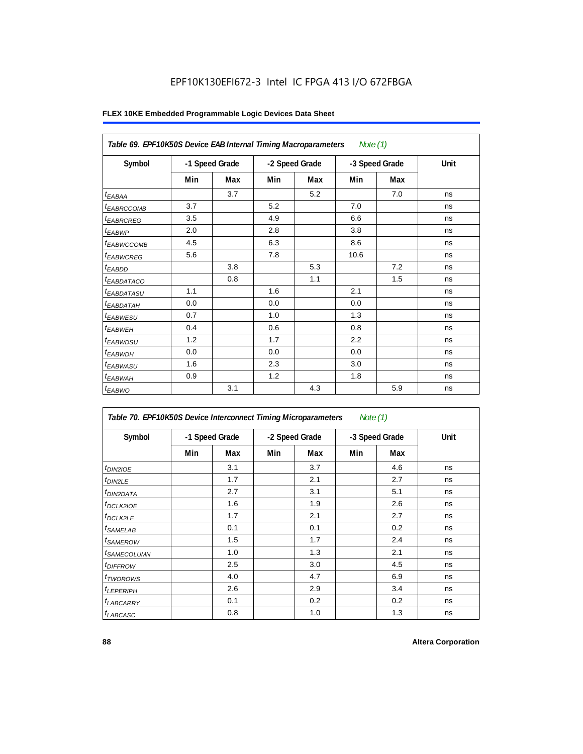| Table 69. EPF10K50S Device EAB Internal Timing Macroparameters |                |     |                |     | Note $(1)$     |     |      |
|----------------------------------------------------------------|----------------|-----|----------------|-----|----------------|-----|------|
| Symbol                                                         | -1 Speed Grade |     | -2 Speed Grade |     | -3 Speed Grade |     | Unit |
|                                                                | Min            | Max | Min            | Max | Min            | Max |      |
| $t_{EABA}$                                                     |                | 3.7 |                | 5.2 |                | 7.0 | ns   |
| <sup>t</sup> EABRCCOMB                                         | 3.7            |     | 5.2            |     | 7.0            |     | ns   |
| <sup>t</sup> EABRCREG                                          | 3.5            |     | 4.9            |     | 6.6            |     | ns   |
| $t_{EABWP}$                                                    | 2.0            |     | 2.8            |     | 3.8            |     | ns   |
| t <sub>EABWCCOMB</sub>                                         | 4.5            |     | 6.3            |     | 8.6            |     | ns   |
| <sup>t</sup> EABWCREG                                          | 5.6            |     | 7.8            |     | 10.6           |     | ns   |
| $t_{EABDD}$                                                    |                | 3.8 |                | 5.3 |                | 7.2 | ns   |
| <i>EABDATACO</i>                                               |                | 0.8 |                | 1.1 |                | 1.5 | ns   |
| <sup>t</sup> EABDATASU                                         | 1.1            |     | 1.6            |     | 2.1            |     | ns   |
| t <sub>EABDATAH</sub>                                          | 0.0            |     | 0.0            |     | 0.0            |     | ns   |
| t <sub>EABWESU</sub>                                           | 0.7            |     | 1.0            |     | 1.3            |     | ns   |
| $t_{EABWEH}$                                                   | 0.4            |     | 0.6            |     | 0.8            |     | ns   |
| t <sub>EABWDSU</sub>                                           | 1.2            |     | 1.7            |     | 2.2            |     | ns   |
| <sup>t</sup> EABWDH                                            | 0.0            |     | 0.0            |     | 0.0            |     | ns   |
| t <sub>EABWASU</sub>                                           | 1.6            |     | 2.3            |     | 3.0            |     | ns   |
| <sup>t</sup> EABWAH                                            | 0.9            |     | 1.2            |     | 1.8            |     | ns   |
| $t_{EABWO}$                                                    |                | 3.1 |                | 4.3 |                | 5.9 | ns   |

## **FLEX 10KE Embedded Programmable Logic Devices Data Sheet**

| Table 70. EPF10K50S Device Interconnect Timing Microparameters<br>Note $(1)$ |                |     |                |     |                |     |      |  |  |  |
|------------------------------------------------------------------------------|----------------|-----|----------------|-----|----------------|-----|------|--|--|--|
| Symbol                                                                       | -1 Speed Grade |     | -2 Speed Grade |     | -3 Speed Grade |     | Unit |  |  |  |
|                                                                              | Min            | Max | Min            | Max | Min            | Max |      |  |  |  |
| t <sub>DIN2IOE</sub>                                                         |                | 3.1 |                | 3.7 |                | 4.6 | ns   |  |  |  |
| <sup>t</sup> DIN2LE                                                          |                | 1.7 |                | 2.1 |                | 2.7 | ns   |  |  |  |
| <sup>t</sup> DIN2DATA                                                        |                | 2.7 |                | 3.1 |                | 5.1 | ns   |  |  |  |
| <sup>t</sup> DCLK2IOE                                                        |                | 1.6 |                | 1.9 |                | 2.6 | ns   |  |  |  |
| <sup>t</sup> DCLK2LE                                                         |                | 1.7 |                | 2.1 |                | 2.7 | ns   |  |  |  |
| <sup>t</sup> SAMELAB                                                         |                | 0.1 |                | 0.1 |                | 0.2 | ns   |  |  |  |
| <sup>t</sup> SAMEROW                                                         |                | 1.5 |                | 1.7 |                | 2.4 | ns   |  |  |  |
| <sup>t</sup> SAMECOLUMN                                                      |                | 1.0 |                | 1.3 |                | 2.1 | ns   |  |  |  |
| <i>t<sub>DIFFROW</sub></i>                                                   |                | 2.5 |                | 3.0 |                | 4.5 | ns   |  |  |  |
| <sup>t</sup> TWOROWS                                                         |                | 4.0 |                | 4.7 |                | 6.9 | ns   |  |  |  |
| <sup>t</sup> LEPERIPH                                                        |                | 2.6 |                | 2.9 |                | 3.4 | ns   |  |  |  |
| <b>LABCARRY</b>                                                              |                | 0.1 |                | 0.2 |                | 0.2 | ns   |  |  |  |
| <b>LABCASC</b>                                                               |                | 0.8 |                | 1.0 |                | 1.3 | ns   |  |  |  |

×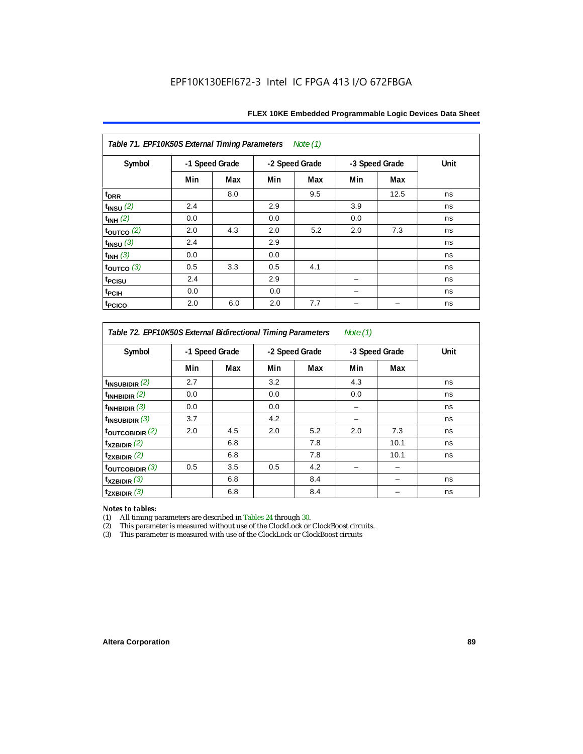| Table 71. EPF10K50S External Timing Parameters<br>Note (1) |     |                |     |                |     |                |      |  |  |  |
|------------------------------------------------------------|-----|----------------|-----|----------------|-----|----------------|------|--|--|--|
| Symbol                                                     |     | -1 Speed Grade |     | -2 Speed Grade |     | -3 Speed Grade | Unit |  |  |  |
|                                                            | Min | Max            | Min | Max            | Min | Max            |      |  |  |  |
| t <sub>DRR</sub>                                           |     | 8.0            |     | 9.5            |     | 12.5           | ns   |  |  |  |
| $t_{INSU}$ (2)                                             | 2.4 |                | 2.9 |                | 3.9 |                | ns   |  |  |  |
| $t_{INH}$ (2)                                              | 0.0 |                | 0.0 |                | 0.0 |                | ns   |  |  |  |
| $\tt_{\text{OUTCO}}$ (2)                                   | 2.0 | 4.3            | 2.0 | 5.2            | 2.0 | 7.3            | ns   |  |  |  |
| $t_{INSU}$ (3)                                             | 2.4 |                | 2.9 |                |     |                | ns   |  |  |  |
| $t_{INH}$ (3)                                              | 0.0 |                | 0.0 |                |     |                | ns   |  |  |  |
| toutco $(3)$                                               | 0.5 | 3.3            | 0.5 | 4.1            |     |                | ns   |  |  |  |
| t <sub>PCISU</sub>                                         | 2.4 |                | 2.9 |                |     |                | ns   |  |  |  |
| t <sub>PCIH</sub>                                          | 0.0 |                | 0.0 |                |     |                | ns   |  |  |  |
| t <sub>PCICO</sub>                                         | 2.0 | 6.0            | 2.0 | 7.7            |     |                | ns   |  |  |  |

*Table 72. EPF10K50S External Bidirectional Timing Parameters Note (1)*

| Symbol                    | -1 Speed Grade |     | -2 Speed Grade |     | -3 Speed Grade |      | Unit |
|---------------------------|----------------|-----|----------------|-----|----------------|------|------|
|                           | Min            | Max | Min            | Max | Min            | Max  |      |
| $t_{\text{INSUBIDIR}}(2)$ | 2.7            |     | 3.2            |     | 4.3            |      | ns   |
| $t_{INHBIDIR}$ (2)        | 0.0            |     | 0.0            |     | 0.0            |      | ns   |
| $t_{INHBIDIR}$ (3)        | 0.0            |     | 0.0            |     |                |      | ns   |
| $t_{INSUBIDIR}$ (3)       | 3.7            |     | 4.2            |     |                |      | ns   |
| toutcobidir $(2)$         | 2.0            | 4.5 | 2.0            | 5.2 | 2.0            | 7.3  | ns   |
| $t_{XZBIDIR}$ (2)         |                | 6.8 |                | 7.8 |                | 10.1 | ns   |
| $t_{ZXBIDIR}$ (2)         |                | 6.8 |                | 7.8 |                | 10.1 | ns   |
| toutcobidir $(3)$         | 0.5            | 3.5 | 0.5            | 4.2 |                |      |      |
| $t_{XZBIDIR}$ (3)         |                | 6.8 |                | 8.4 |                |      | ns   |
| $t_{ZXBIDIR}$ (3)         |                | 6.8 |                | 8.4 |                |      | ns   |

*Notes to tables:* All timing parameters are described in Tables 24 through 30.

(2) This parameter is measured without use of the ClockLock or ClockBoost circuits.<br>(3) This parameter is measured with use of the ClockLock or ClockBoost circuits

This parameter is measured with use of the ClockLock or ClockBoost circuits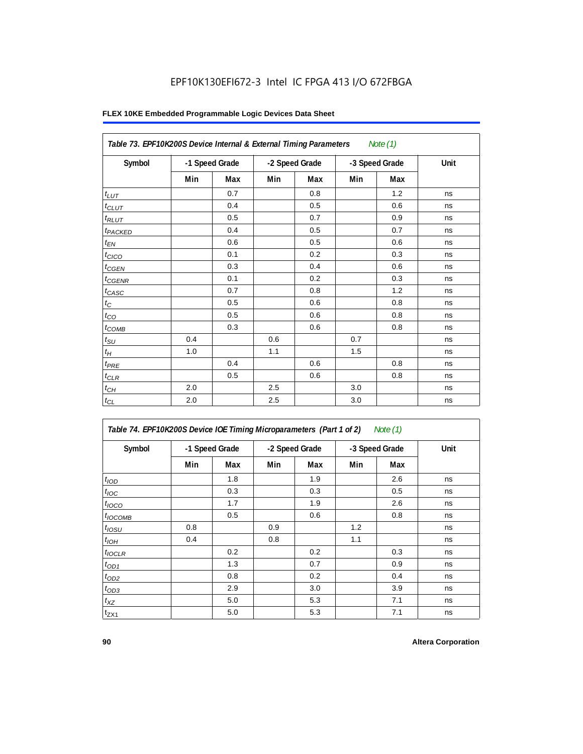| Table 73. EPF10K200S Device Internal & External Timing Parameters |                |     |     |                |     | Note $(1)$     |      |
|-------------------------------------------------------------------|----------------|-----|-----|----------------|-----|----------------|------|
| Symbol                                                            | -1 Speed Grade |     |     | -2 Speed Grade |     | -3 Speed Grade | Unit |
|                                                                   | Min            | Max | Min | Max            | Min | Max            |      |
| $t_{LUT}$                                                         |                | 0.7 |     | 0.8            |     | 1.2            | ns   |
| $t_{CLUT}$                                                        |                | 0.4 |     | 0.5            |     | 0.6            | ns   |
| $t_{RLUT}$                                                        |                | 0.5 |     | 0.7            |     | 0.9            | ns   |
| t <sub>PACKED</sub>                                               |                | 0.4 |     | 0.5            |     | 0.7            | ns   |
| $t_{EN}$                                                          |                | 0.6 |     | 0.5            |     | 0.6            | ns   |
| $t_{CICO}$                                                        |                | 0.1 |     | 0.2            |     | 0.3            | ns   |
| $t_{CGEN}$                                                        |                | 0.3 |     | 0.4            |     | 0.6            | ns   |
| $t_{CGENR}$                                                       |                | 0.1 |     | 0.2            |     | 0.3            | ns   |
| $t_{CASC}$                                                        |                | 0.7 |     | 0.8            |     | 1.2            | ns   |
| $t_{\rm C}$                                                       |                | 0.5 |     | 0.6            |     | 0.8            | ns   |
| $t_{CO}$                                                          |                | 0.5 |     | 0.6            |     | 0.8            | ns   |
| $t_{COMB}$                                                        |                | 0.3 |     | 0.6            |     | 0.8            | ns   |
| $t_{\text{SU}}$                                                   | 0.4            |     | 0.6 |                | 0.7 |                | ns   |
| $t_{\mathcal{H}}$                                                 | 1.0            |     | 1.1 |                | 1.5 |                | ns   |
| $t_{PRE}$                                                         |                | 0.4 |     | 0.6            |     | 0.8            | ns   |
| $t_{CLR}$                                                         |                | 0.5 |     | 0.6            |     | 0.8            | ns   |
| $t_{CH}$                                                          | 2.0            |     | 2.5 |                | 3.0 |                | ns   |
| $t_{CL}$                                                          | 2.0            |     | 2.5 |                | 3.0 |                | ns   |

| Table 74. EPF10K200S Device IOE Timing Microparameters (Part 1 of 2) Note (1) |  |  |  |
|-------------------------------------------------------------------------------|--|--|--|
|-------------------------------------------------------------------------------|--|--|--|

| Symbol           | -1 Speed Grade |     |     | -2 Speed Grade |     | -3 Speed Grade | Unit |
|------------------|----------------|-----|-----|----------------|-----|----------------|------|
|                  | Min            | Max | Min | Max            | Min | <b>Max</b>     |      |
| t <sub>IOD</sub> |                | 1.8 |     | 1.9            |     | 2.6            | ns   |
| $t_{\text{IOC}}$ |                | 0.3 |     | 0.3            |     | 0.5            | ns   |
| $t_{IOCO}$       |                | 1.7 |     | 1.9            |     | 2.6            | ns   |
| $t_{IOCOMB}$     |                | 0.5 |     | 0.6            |     | 0.8            | ns   |
| $t_{IOSU}$       | 0.8            |     | 0.9 |                | 1.2 |                | ns   |
| $t_{IOH}$        | 0.4            |     | 0.8 |                | 1.1 |                | ns   |
| $t_{IOCLR}$      |                | 0.2 |     | 0.2            |     | 0.3            | ns   |
| $t_{OD1}$        |                | 1.3 |     | 0.7            |     | 0.9            | ns   |
| $t_{OD2}$        |                | 0.8 |     | 0.2            |     | 0.4            | ns   |
| $t_{OD3}$        |                | 2.9 |     | 3.0            |     | 3.9            | ns   |
| $t_{XZ}$         |                | 5.0 |     | 5.3            |     | 7.1            | ns   |
| $t_{ZX1}$        |                | 5.0 |     | 5.3            |     | 7.1            | ns   |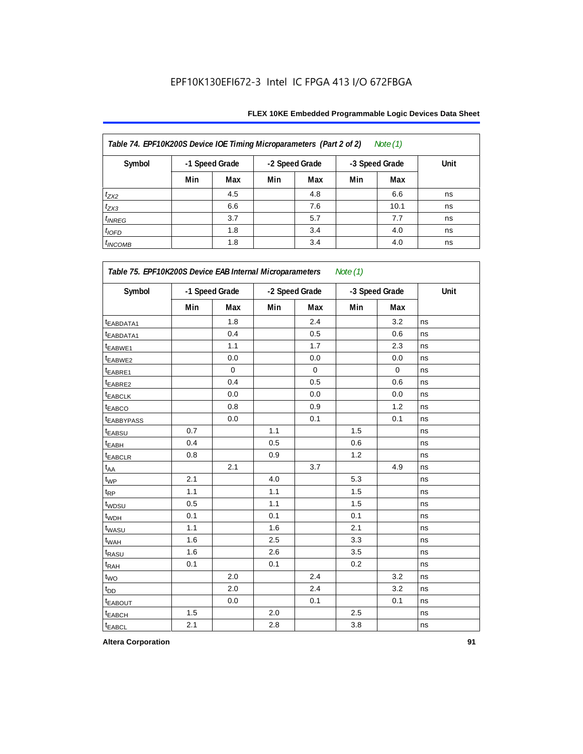| FLEX 10KE Embedded Programmable Logic Devices Data Sheet |  |
|----------------------------------------------------------|--|
|----------------------------------------------------------|--|

| Table 74. EPF10K200S Device IOE Timing Microparameters (Part 2 of 2)<br>Note (1) |                |     |     |                |     |                |      |  |  |  |
|----------------------------------------------------------------------------------|----------------|-----|-----|----------------|-----|----------------|------|--|--|--|
| Symbol                                                                           | -1 Speed Grade |     |     | -2 Speed Grade |     | -3 Speed Grade | Unit |  |  |  |
|                                                                                  | Min            | Max | Min | Max            | Min | Max            |      |  |  |  |
| $t_{ZX2}$                                                                        |                | 4.5 |     | 4.8            |     | 6.6            | ns   |  |  |  |
| $t_{ZX3}$                                                                        |                | 6.6 |     | 7.6            |     | 10.1           | ns   |  |  |  |
| $t_{INREG}$                                                                      |                | 3.7 |     | 5.7            |     | 7.7            | ns   |  |  |  |
| $t_{IOFD}$                                                                       |                | 1.8 |     | 3.4            |     | 4.0            | ns   |  |  |  |
| $t_{INCOMB}$                                                                     |                | 1.8 |     | 3.4            |     | 4.0            | ns   |  |  |  |

| Symbol                | -1 Speed Grade |             | -2 Speed Grade |             | -3 Speed Grade |           | Unit |  |
|-----------------------|----------------|-------------|----------------|-------------|----------------|-----------|------|--|
|                       | Min            | Max         | Min            | Max         | Min            | Max       |      |  |
| t <sub>EABDATA1</sub> |                | 1.8         |                | 2.4         |                | 3.2       | ns   |  |
| t <sub>EABDATA1</sub> |                | 0.4         |                | 0.5         |                | 0.6       | ns   |  |
| t <sub>EABWE1</sub>   |                | 1.1         |                | 1.7         |                | 2.3       | ns   |  |
| t <sub>EABWE2</sub>   |                | 0.0         |                | 0.0         |                | 0.0       | ns   |  |
| t <sub>EABRE1</sub>   |                | $\mathbf 0$ |                | $\mathbf 0$ |                | $\pmb{0}$ | ns   |  |
| t <sub>EABRE2</sub>   |                | 0.4         |                | 0.5         |                | 0.6       | ns   |  |
| <b><i>EABCLK</i></b>  |                | 0.0         |                | 0.0         |                | 0.0       | ns   |  |
| <b><i>EABCO</i></b>   |                | 0.8         |                | 0.9         |                | 1.2       | ns   |  |
| <b>EABBYPASS</b>      |                | 0.0         |                | 0.1         |                | 0.1       | ns   |  |
| <b>EABSU</b>          | 0.7            |             | 1.1            |             | 1.5            |           | ns   |  |
| t <sub>EABH</sub>     | 0.4            |             | 0.5            |             | 0.6            |           | ns   |  |
| <sup>t</sup> EABCLR   | 0.8            |             | 0.9            |             | 1.2            |           | ns   |  |
| $t_{AA}$              |                | 2.1         |                | 3.7         |                | 4.9       | ns   |  |
| $t_{\mathsf{WP}}$     | 2.1            |             | 4.0            |             | 5.3            |           | ns   |  |
| $t_{RP}$              | 1.1            |             | 1.1            |             | 1.5            |           | ns   |  |
| t <sub>WDSU</sub>     | 0.5            |             | 1.1            |             | 1.5            |           | ns   |  |
| t <sub>WDH</sub>      | 0.1            |             | 0.1            |             | 0.1            |           | ns   |  |
| t <sub>WASU</sub>     | 1.1            |             | 1.6            |             | 2.1            |           | ns   |  |
| t <sub>WAH</sub>      | 1.6            |             | 2.5            |             | 3.3            |           | ns   |  |
| t <sub>RASU</sub>     | 1.6            |             | 2.6            |             | 3.5            |           | ns   |  |
| t <sub>RAH</sub>      | 0.1            |             | 0.1            |             | 0.2            |           | ns   |  |
| $t_{\text{WO}}$       |                | 2.0         |                | 2.4         |                | 3.2       | ns   |  |
| t <sub>DD</sub>       |                | 2.0         |                | 2.4         |                | 3.2       | ns   |  |
| <b><i>EABOUT</i></b>  |                | 0.0         |                | 0.1         |                | 0.1       | ns   |  |
| t <sub>EABCH</sub>    | 1.5            |             | 2.0            |             | 2.5            |           | ns   |  |
| <b>t</b> EABCL        | 2.1            |             | 2.8            |             | 3.8            |           | ns   |  |

**Altera Corporation 91**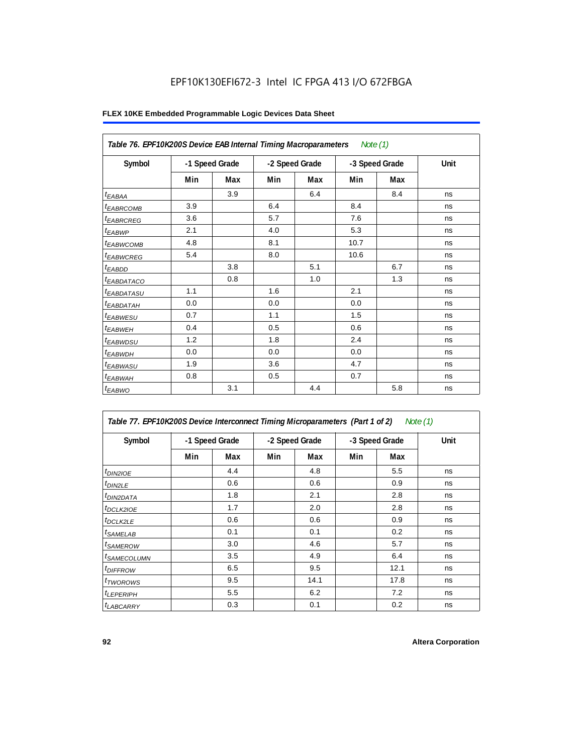|                        | Table 76. EPF10K200S Device EAB Internal Timing Macroparameters Note (1) |     |     |                |      |                |      |  |  |  |  |
|------------------------|--------------------------------------------------------------------------|-----|-----|----------------|------|----------------|------|--|--|--|--|
| Symbol                 | -1 Speed Grade                                                           |     |     | -2 Speed Grade |      | -3 Speed Grade | Unit |  |  |  |  |
|                        | Min                                                                      | Max | Min | Max            | Min  | Max            |      |  |  |  |  |
| $t_{EABA}$             |                                                                          | 3.9 |     | 6.4            |      | 8.4            | ns   |  |  |  |  |
| <sup>t</sup> EABRCOMB  | 3.9                                                                      |     | 6.4 |                | 8.4  |                | ns   |  |  |  |  |
| <sup>t</sup> EABRCREG  | 3.6                                                                      |     | 5.7 |                | 7.6  |                | ns   |  |  |  |  |
| t <sub>EABWP</sub>     | 2.1                                                                      |     | 4.0 |                | 5.3  |                | ns   |  |  |  |  |
| <sup>t</sup> EABWCOMB  | 4.8                                                                      |     | 8.1 |                | 10.7 |                | ns   |  |  |  |  |
| <b><i>EABWCREG</i></b> | 5.4                                                                      |     | 8.0 |                | 10.6 |                | ns   |  |  |  |  |
| $t_{EABDD}$            |                                                                          | 3.8 |     | 5.1            |      | 6.7            | ns   |  |  |  |  |
| <sup>t</sup> EABDATACO |                                                                          | 0.8 |     | 1.0            |      | 1.3            | ns   |  |  |  |  |
| <sup>t</sup> EABDATASU | 1.1                                                                      |     | 1.6 |                | 2.1  |                | ns   |  |  |  |  |
| <sup>t</sup> EABDATAH  | 0.0                                                                      |     | 0.0 |                | 0.0  |                | ns   |  |  |  |  |
| <sup>t</sup> EABWESU   | 0.7                                                                      |     | 1.1 |                | 1.5  |                | ns   |  |  |  |  |
| <sup>t</sup> EABWEH    | 0.4                                                                      |     | 0.5 |                | 0.6  |                | ns   |  |  |  |  |
| t <sub>EABWDSU</sub>   | 1.2                                                                      |     | 1.8 |                | 2.4  |                | ns   |  |  |  |  |
| <sup>t</sup> EABWDH    | 0.0                                                                      |     | 0.0 |                | 0.0  |                | ns   |  |  |  |  |
| <sup>t</sup> EABWASU   | 1.9                                                                      |     | 3.6 |                | 4.7  |                | ns   |  |  |  |  |
| t <sub>EABWAH</sub>    | 0.8                                                                      |     | 0.5 |                | 0.7  |                | ns   |  |  |  |  |
| $t_{EABWO}$            |                                                                          | 3.1 |     | 4.4            |      | 5.8            | ns   |  |  |  |  |

| Table 77. EPF10K200S Device Interconnect Timing Microparameters (Part 1 of 2) |     |                |                |      |                |      | Note (1) |
|-------------------------------------------------------------------------------|-----|----------------|----------------|------|----------------|------|----------|
| Symbol                                                                        |     | -1 Speed Grade | -2 Speed Grade |      | -3 Speed Grade |      | Unit     |
|                                                                               | Min | Max            | Min            | Max  | Min            | Max  |          |
| $t_{DINZIOE}$                                                                 |     | 4.4            |                | 4.8  |                | 5.5  | ns       |
| $t_{DIN2LE}$                                                                  |     | 0.6            |                | 0.6  |                | 0.9  | ns       |
| <sup>t</sup> DIN2DATA                                                         |     | 1.8            |                | 2.1  |                | 2.8  | ns       |
| <sup>t</sup> DCLK2IOE                                                         |     | 1.7            |                | 2.0  |                | 2.8  | ns       |
| $t$ DCLK2LE                                                                   |     | 0.6            |                | 0.6  |                | 0.9  | ns       |
| <sup>t</sup> SAMELAB                                                          |     | 0.1            |                | 0.1  |                | 0.2  | ns       |
| <sup>t</sup> SAMEROW                                                          |     | 3.0            |                | 4.6  |                | 5.7  | ns       |
| <sup>t</sup> SAMECOLUMN                                                       |     | 3.5            |                | 4.9  |                | 6.4  | ns       |
| <sup>t</sup> DIFFROW                                                          |     | 6.5            |                | 9.5  |                | 12.1 | ns       |
| <sup>t</sup> TWOROWS                                                          |     | 9.5            |                | 14.1 |                | 17.8 | ns       |
| <sup>t</sup> LEPERIPH                                                         |     | 5.5            |                | 6.2  |                | 7.2  | ns       |
| <b><i>LABCARRY</i></b>                                                        |     | 0.3            |                | 0.1  |                | 0.2  | ns       |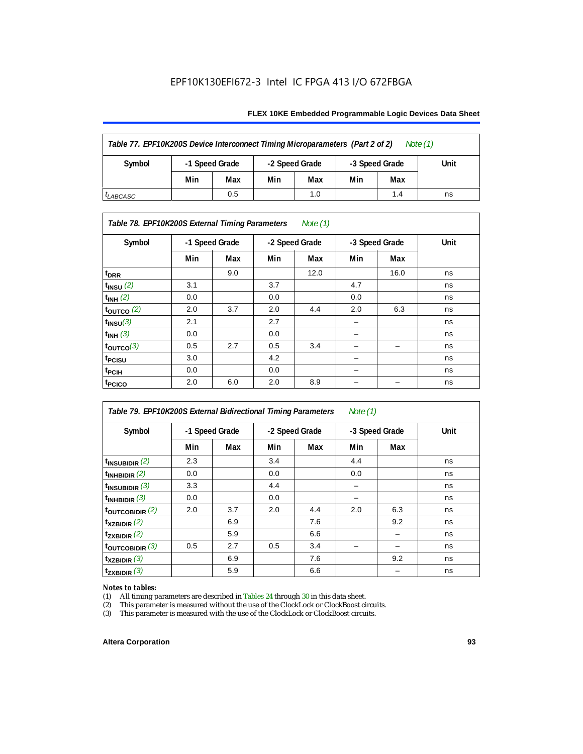#### **FLEX 10KE Embedded Programmable Logic Devices Data Sheet**

| Table 77. EPF10K200S Device Interconnect Timing Microparameters (Part 2 of 2)<br>Note $(1)$ |                |     |                |     |                |     |      |  |  |
|---------------------------------------------------------------------------------------------|----------------|-----|----------------|-----|----------------|-----|------|--|--|
| Symbol                                                                                      | -1 Speed Grade |     | -2 Speed Grade |     | -3 Speed Grade |     | Unit |  |  |
|                                                                                             | Min            | Max | Min            | Max | Min            | Max |      |  |  |
| <sup>I</sup> LABCASC                                                                        |                | 0.5 |                | 1.0 |                | 1.4 | ns   |  |  |

## *Table 78. EPF10K200S External Timing Parameters Note (1)*

| Symbol                    |     | -1 Speed Grade |     | -2 Speed Grade |     | -3 Speed Grade | Unit |
|---------------------------|-----|----------------|-----|----------------|-----|----------------|------|
|                           | Min | Max            | Min | Max            | Min | Max            |      |
| t <sub>DRR</sub>          |     | 9.0            |     | 12.0           |     | 16.0           | ns   |
| $t$ <sub>INSU</sub> $(2)$ | 3.1 |                | 3.7 |                | 4.7 |                | ns   |
| $t_{INH}$ (2)             | 0.0 |                | 0.0 |                | 0.0 |                | ns   |
| $t_{\text{OUTCO}}(2)$     | 2.0 | 3.7            | 2.0 | 4.4            | 2.0 | 6.3            | ns   |
| $t_{INSU}(3)$             | 2.1 |                | 2.7 |                |     |                | ns   |
| $t_{INH}$ (3)             | 0.0 |                | 0.0 |                | -   |                | ns   |
| $t_{OUTCO}(3)$            | 0.5 | 2.7            | 0.5 | 3.4            | -   | -              | ns   |
| t <sub>PCISU</sub>        | 3.0 |                | 4.2 |                | -   |                | ns   |
| <sup>t</sup> PCIH         | 0.0 |                | 0.0 |                | -   |                | ns   |
| t <sub>PCICO</sub>        | 2.0 | 6.0            | 2.0 | 8.9            |     |                | ns   |

| Table 79. EPF10K200S External Bidirectional Timing Parameters<br>Note $(1)$ |     |                |     |                |     |                |      |
|-----------------------------------------------------------------------------|-----|----------------|-----|----------------|-----|----------------|------|
| Symbol                                                                      |     | -1 Speed Grade |     | -2 Speed Grade |     | -3 Speed Grade | Unit |
|                                                                             | Min | Max            | Min | Max            | Min | Max            |      |
| $t_{\text{INSUBIDIR}}(2)$                                                   | 2.3 |                | 3.4 |                | 4.4 |                | ns   |
| $t_{INHBIDIR}$ (2)                                                          | 0.0 |                | 0.0 |                | 0.0 |                | ns   |
| $t_{INSUBIDIR}$ (3)                                                         | 3.3 |                | 4.4 |                |     |                | ns   |
| $t_{INHBIDIR}$ (3)                                                          | 0.0 |                | 0.0 |                |     |                | ns   |
| toutcobidir $(2)$                                                           | 2.0 | 3.7            | 2.0 | 4.4            | 2.0 | 6.3            | ns   |
| $t_{XZBIDIR}$ (2)                                                           |     | 6.9            |     | 7.6            |     | 9.2            | ns   |
| $t_{ZXBIDIR}$ (2)                                                           |     | 5.9            |     | 6.6            |     |                | ns   |
| $t_{\text{OUTC}OBIDIR}$ (3)                                                 | 0.5 | 2.7            | 0.5 | 3.4            |     |                | ns   |
| $t_{XZBIDIR}$ (3)                                                           |     | 6.9            |     | 7.6            |     | 9.2            | ns   |
| $t_{ZXBIDIR}$ (3)                                                           |     | 5.9            |     | 6.6            |     |                | ns   |

# *Notes to tables:*<br>(1) All timing p

(1) All timing parameters are described in Tables  $24$  through  $30$  in this data sheet.<br>
(2) This parameter is measured without the use of the ClockLock or ClockBoost ci

(2) This parameter is measured without the use of the ClockLock or ClockBoost circuits.<br>(3) This parameter is measured with the use of the ClockLock or ClockBoost circuits.

This parameter is measured with the use of the ClockLock or ClockBoost circuits.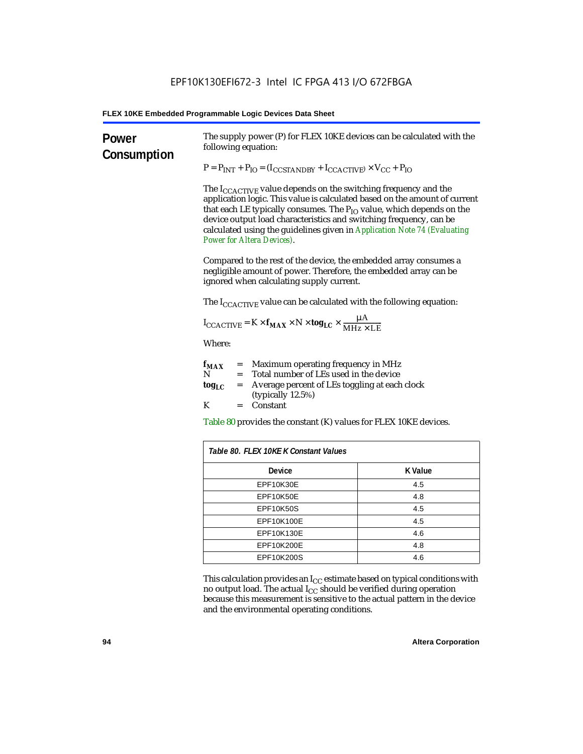| Power<br>Consumption | The supply power (P) for FLEX 10KE devices can be calculated with the<br>following equation:                                                                                                                                                                                                                                                                                                                                 |                |  |  |  |
|----------------------|------------------------------------------------------------------------------------------------------------------------------------------------------------------------------------------------------------------------------------------------------------------------------------------------------------------------------------------------------------------------------------------------------------------------------|----------------|--|--|--|
|                      | $P = P_{INT} + P_{IO} = (I_{COSTANDBY} + I_{CCACTIVE}) \times V_{CC} + P_{IO}$                                                                                                                                                                                                                                                                                                                                               |                |  |  |  |
|                      | The $I_{\text{CCACTIVE}}$ value depends on the switching frequency and the<br>application logic. This value is calculated based on the amount of current<br>that each LE typically consumes. The $P_{IO}$ value, which depends on the<br>device output load characteristics and switching frequency, can be<br>calculated using the guidelines given in Application Note 74 (Evaluating<br><b>Power for Altera Devices).</b> |                |  |  |  |
|                      | Compared to the rest of the device, the embedded array consumes a<br>negligible amount of power. Therefore, the embedded array can be<br>ignored when calculating supply current.                                                                                                                                                                                                                                            |                |  |  |  |
|                      | The $I_{\text{CCACTIVE}}$ value can be calculated with the following equation:                                                                                                                                                                                                                                                                                                                                               |                |  |  |  |
|                      | $I_{\text{CCACTIVE}} = K \times f_{\text{MAX}} \times N \times \text{tog}_{\text{LC}} \times \frac{\mu A}{\text{MHz} \times \text{LE}}$                                                                                                                                                                                                                                                                                      |                |  |  |  |
|                      | Where:                                                                                                                                                                                                                                                                                                                                                                                                                       |                |  |  |  |
|                      | = Maximum operating frequency in MHz<br>$f_{MAX}$<br>= Total number of LEs used in the device<br>N                                                                                                                                                                                                                                                                                                                           |                |  |  |  |
|                      | Average percent of LEs toggling at each clock<br>$log_{LC}$<br>$=$<br>(typically $12.5\%$ )                                                                                                                                                                                                                                                                                                                                  |                |  |  |  |
|                      | K<br>$=$ Constant                                                                                                                                                                                                                                                                                                                                                                                                            |                |  |  |  |
|                      | Table 80 provides the constant (K) values for FLEX 10KE devices.                                                                                                                                                                                                                                                                                                                                                             |                |  |  |  |
|                      | Table 80. FLEX 10KE K Constant Values                                                                                                                                                                                                                                                                                                                                                                                        |                |  |  |  |
|                      | <b>Device</b>                                                                                                                                                                                                                                                                                                                                                                                                                | <b>K</b> Value |  |  |  |
|                      | EPF10K30E                                                                                                                                                                                                                                                                                                                                                                                                                    | 4.5            |  |  |  |
|                      | EPF10K50E<br>4.8                                                                                                                                                                                                                                                                                                                                                                                                             |                |  |  |  |
|                      | <b>EPF10K50S</b><br>4.5                                                                                                                                                                                                                                                                                                                                                                                                      |                |  |  |  |
|                      | EPF10K100E<br>4.5                                                                                                                                                                                                                                                                                                                                                                                                            |                |  |  |  |
|                      | EPF10K130E<br>4.6                                                                                                                                                                                                                                                                                                                                                                                                            |                |  |  |  |
|                      | EPF10K200E<br>4.8                                                                                                                                                                                                                                                                                                                                                                                                            |                |  |  |  |
|                      | EPF10K200S                                                                                                                                                                                                                                                                                                                                                                                                                   | 4.6            |  |  |  |

This calculation provides an  $\rm I_{CC}$  estimate based on typical conditions with no output load. The actual I $_{\rm CC}$  should be verified during operation because this measurement is sensitive to the actual pattern in the device and the environmental operating conditions.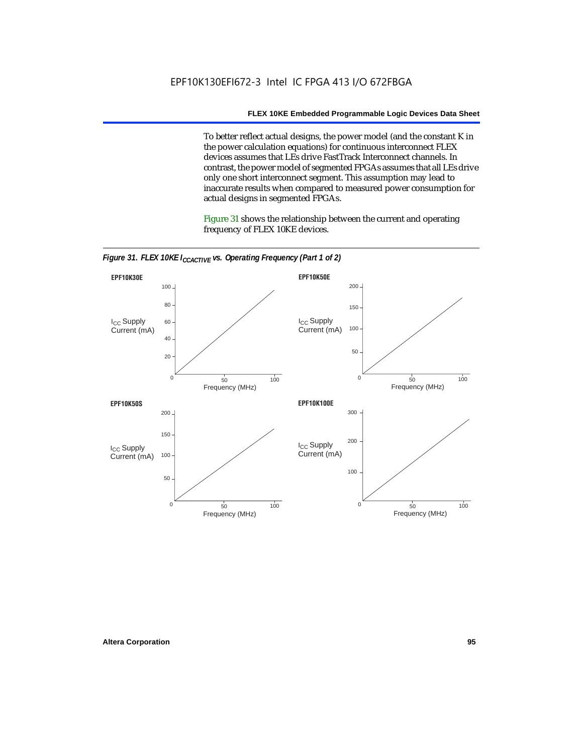To better reflect actual designs, the power model (and the constant K in the power calculation equations) for continuous interconnect FLEX devices assumes that LEs drive FastTrack Interconnect channels. In contrast, the power model of segmented FPGAs assumes that all LEs drive only one short interconnect segment. This assumption may lead to inaccurate results when compared to measured power consumption for actual designs in segmented FPGAs.

Figure 31 shows the relationship between the current and operating frequency of FLEX 10KE devices.



*Figure 31. FLEX 10KE I<sub>CCACTIVE</sub> vs. Operating Frequency (Part 1 of 2)*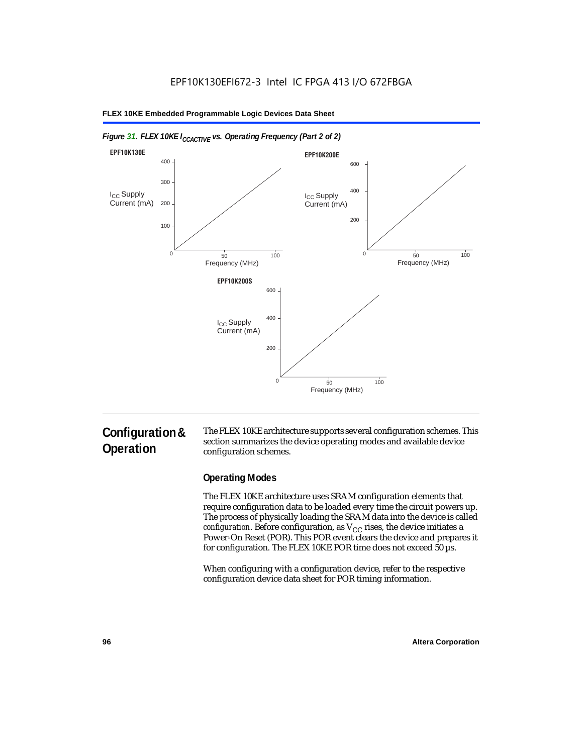

## *Figure 31. FLEX 10KE I<sub>CCACTIVE</sub> vs. Operating Frequency (Part 2 of 2)*

# **Configuration & Operation**

The FLEX 10KE architecture supports several configuration schemes. This section summarizes the device operating modes and available device configuration schemes.

## **Operating Modes**

The FLEX 10KE architecture uses SRAM configuration elements that require configuration data to be loaded every time the circuit powers up. The process of physically loading the SRAM data into the device is called *configuration.* Before configuration, as  $V_{CC}$  rises, the device initiates a Power-On Reset (POR). This POR event clears the device and prepares it for configuration. The FLEX 10KE POR time does not exceed 50 µs.

When configuring with a configuration device, refer to the respective configuration device data sheet for POR timing information.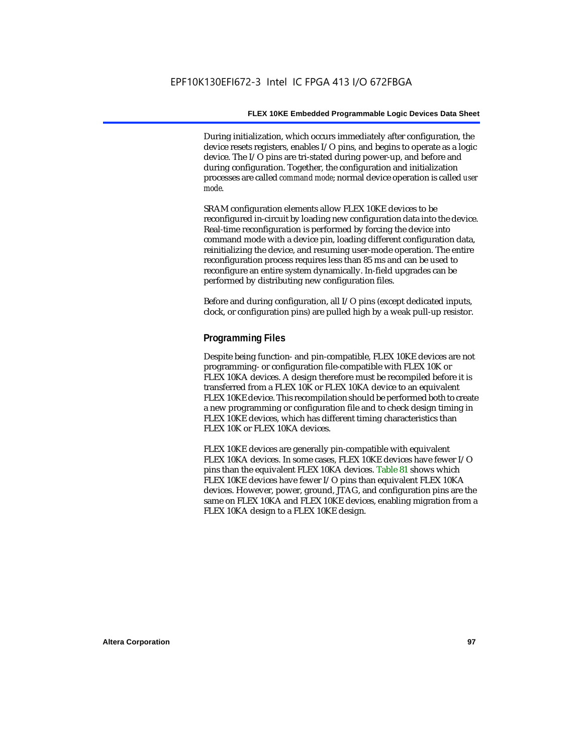During initialization, which occurs immediately after configuration, the device resets registers, enables I/O pins, and begins to operate as a logic device. The I/O pins are tri-stated during power-up, and before and during configuration. Together, the configuration and initialization processes are called *command mode*; normal device operation is called *user mode*.

SRAM configuration elements allow FLEX 10KE devices to be reconfigured in-circuit by loading new configuration data into the device. Real-time reconfiguration is performed by forcing the device into command mode with a device pin, loading different configuration data, reinitializing the device, and resuming user-mode operation. The entire reconfiguration process requires less than 85 ms and can be used to reconfigure an entire system dynamically. In-field upgrades can be performed by distributing new configuration files.

Before and during configuration, all I/O pins (except dedicated inputs, clock, or configuration pins) are pulled high by a weak pull-up resistor.

## **Programming Files**

Despite being function- and pin-compatible, FLEX 10KE devices are not programming- or configuration file-compatible with FLEX 10K or FLEX 10KA devices. A design therefore must be recompiled before it is transferred from a FLEX 10K or FLEX 10KA device to an equivalent FLEX 10KE device. This recompilation should be performed both to create a new programming or configuration file and to check design timing in FLEX 10KE devices, which has different timing characteristics than FLEX 10K or FLEX 10KA devices.

FLEX 10KE devices are generally pin-compatible with equivalent FLEX 10KA devices. In some cases, FLEX 10KE devices have fewer I/O pins than the equivalent FLEX 10KA devices. Table 81 shows which FLEX 10KE devices have fewer I/O pins than equivalent FLEX 10KA devices. However, power, ground, JTAG, and configuration pins are the same on FLEX 10KA and FLEX 10KE devices, enabling migration from a FLEX 10KA design to a FLEX 10KE design.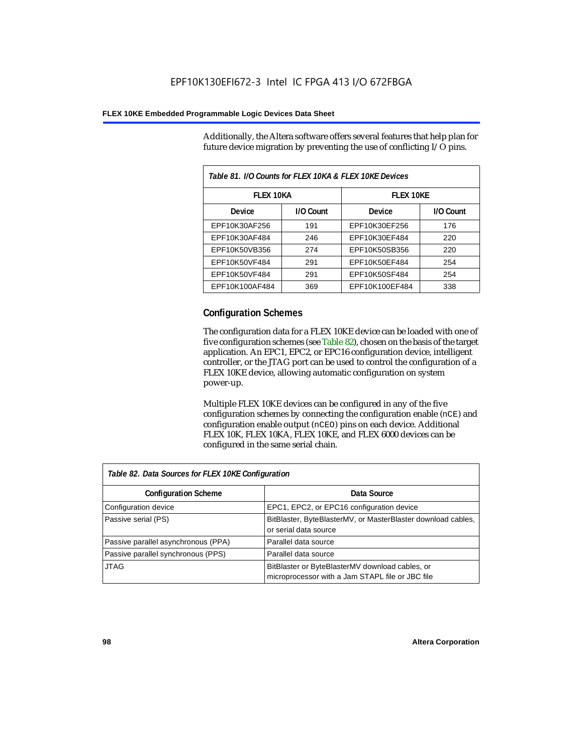Additionally, the Altera software offers several features that help plan for future device migration by preventing the use of conflicting I/O pins.

| Table 81. I/O Counts for FLEX 10KA & FLEX 10KE Devices |           |                  |           |  |
|--------------------------------------------------------|-----------|------------------|-----------|--|
| <b>FLEX 10KA</b>                                       |           | <b>FLEX 10KE</b> |           |  |
| <b>Device</b>                                          | I/O Count | Device           | I/O Count |  |
| EPF10K30AF256                                          | 191       | EPF10K30EF256    | 176       |  |
| EPF10K30AF484                                          | 246       | EPF10K30EF484    | 220       |  |
| EPF10K50VB356                                          | 274       | EPF10K50SB356    | 220       |  |
| EPF10K50VF484                                          | 291       | EPF10K50EF484    | 254       |  |
| EPF10K50VF484                                          | 291       | EPF10K50SF484    | 254       |  |
| EPF10K100AF484                                         | 369       | EPF10K100EF484   | 338       |  |

## **Configuration Schemes**

The configuration data for a FLEX 10KE device can be loaded with one of five configuration schemes (see Table 82), chosen on the basis of the target application. An EPC1, EPC2, or EPC16 configuration device, intelligent controller, or the JTAG port can be used to control the configuration of a FLEX 10KE device, allowing automatic configuration on system power-up.

Multiple FLEX 10KE devices can be configured in any of the five configuration schemes by connecting the configuration enable (nCE) and configuration enable output (nCEO) pins on each device. Additional FLEX 10K, FLEX 10KA, FLEX 10KE, and FLEX 6000 devices can be configured in the same serial chain.

| Table 82. Data Sources for FLEX 10KE Configuration |                                                                                                     |  |  |
|----------------------------------------------------|-----------------------------------------------------------------------------------------------------|--|--|
| <b>Configuration Scheme</b>                        | Data Source                                                                                         |  |  |
| Configuration device                               | EPC1, EPC2, or EPC16 configuration device                                                           |  |  |
| Passive serial (PS)                                | BitBlaster, ByteBlasterMV, or MasterBlaster download cables,<br>or serial data source               |  |  |
| Passive parallel asynchronous (PPA)                | Parallel data source                                                                                |  |  |
| Passive parallel synchronous (PPS)                 | Parallel data source                                                                                |  |  |
| <b>JTAG</b>                                        | BitBlaster or ByteBlasterMV download cables, or<br>microprocessor with a Jam STAPL file or JBC file |  |  |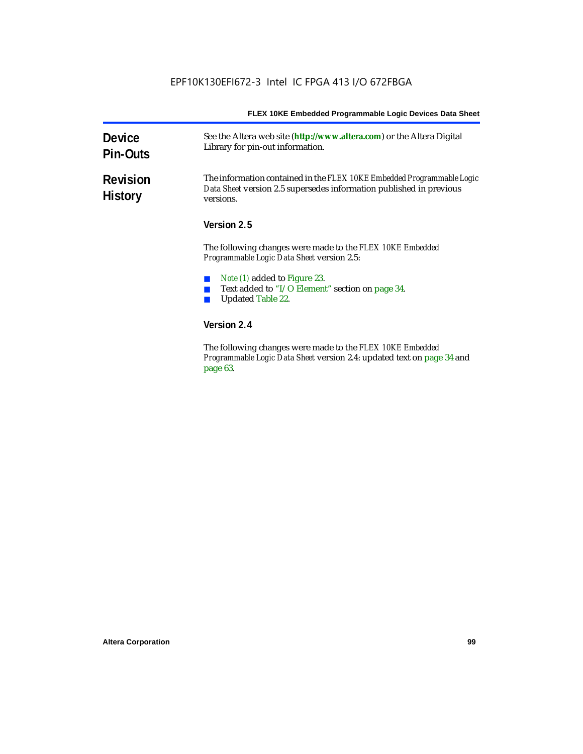| <b>Device</b><br><b>Pin-Outs</b>  | See the Altera web site (http://www.altera.com) or the Altera Digital<br>Library for pin-out information.                                                  |  |  |  |
|-----------------------------------|------------------------------------------------------------------------------------------------------------------------------------------------------------|--|--|--|
| <b>Revision</b><br><b>History</b> | The information contained in the FLEX 10KE Embedded Programmable Logic<br>Data Sheet version 2.5 supersedes information published in previous<br>versions. |  |  |  |
|                                   | Version 2.5                                                                                                                                                |  |  |  |
|                                   | The following changes were made to the FLEX 10KE Embedded<br><i>Programmable Logic Data Sheet version 2.5:</i>                                             |  |  |  |
|                                   | Note (1) added to Figure 23.<br>Text added to "I/O Element" section on page 34.<br><b>Updated Table 22.</b>                                                |  |  |  |
|                                   | Version 2.4                                                                                                                                                |  |  |  |
|                                   | The following changes were made to the FLFV 10KF Embedded                                                                                                  |  |  |  |

The following changes were made to the *FLEX 10KE Embedded Programmable Logic Data Sheet* version 2.4: updated text on page 34 and page 63.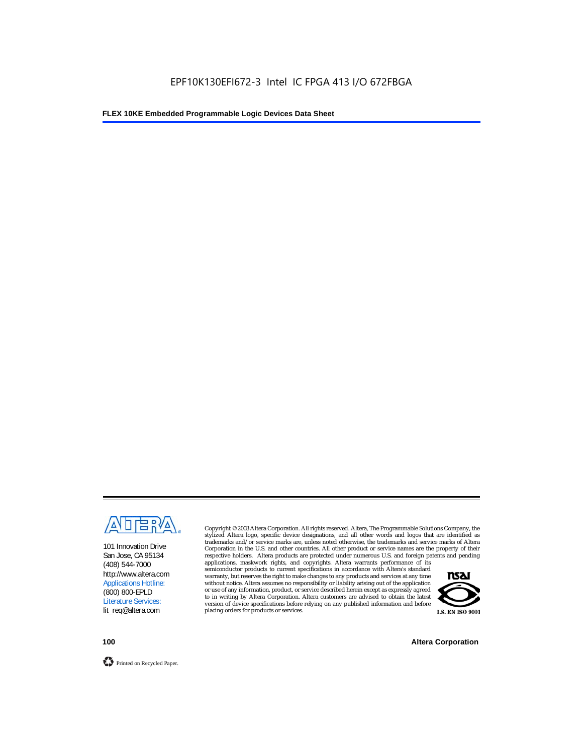

101 Innovation Drive San Jose, CA 95134 (408) 544-7000 http://www.altera.com Applications Hotline: (800) 800-EPLD Literature Services: lit\_req@altera.com

Copyright © 2003 Altera Corporation. All rights reserved. Altera, The Programmable Solutions Company, the stylized Altera logo, specific device designations, and all other words and logos that are identified as trademarks and/or service marks are, unless noted otherwise, the trademarks and service marks of Altera Corporation in the U.S. and other countries. All other product or service names are the property of their respective holders. Altera products are protected under numerous U.S. and foreign patents and pending

applications, maskwork rights, and copyrights. Altera warrants performance of its semiconductor products to current specifications in accordance with Altera's standard warranty, but reserves the right to make changes to any products and services at any time without notice. Altera assumes no responsibility or liability arising out of the application or use of any information, product, or service described herein except as expressly agreed to in writing by Altera Corporation. Altera customers are advised to obtain the latest version of device specifications before relying on any published information and before placing orders for products or services.



**100 Altera Corporation**